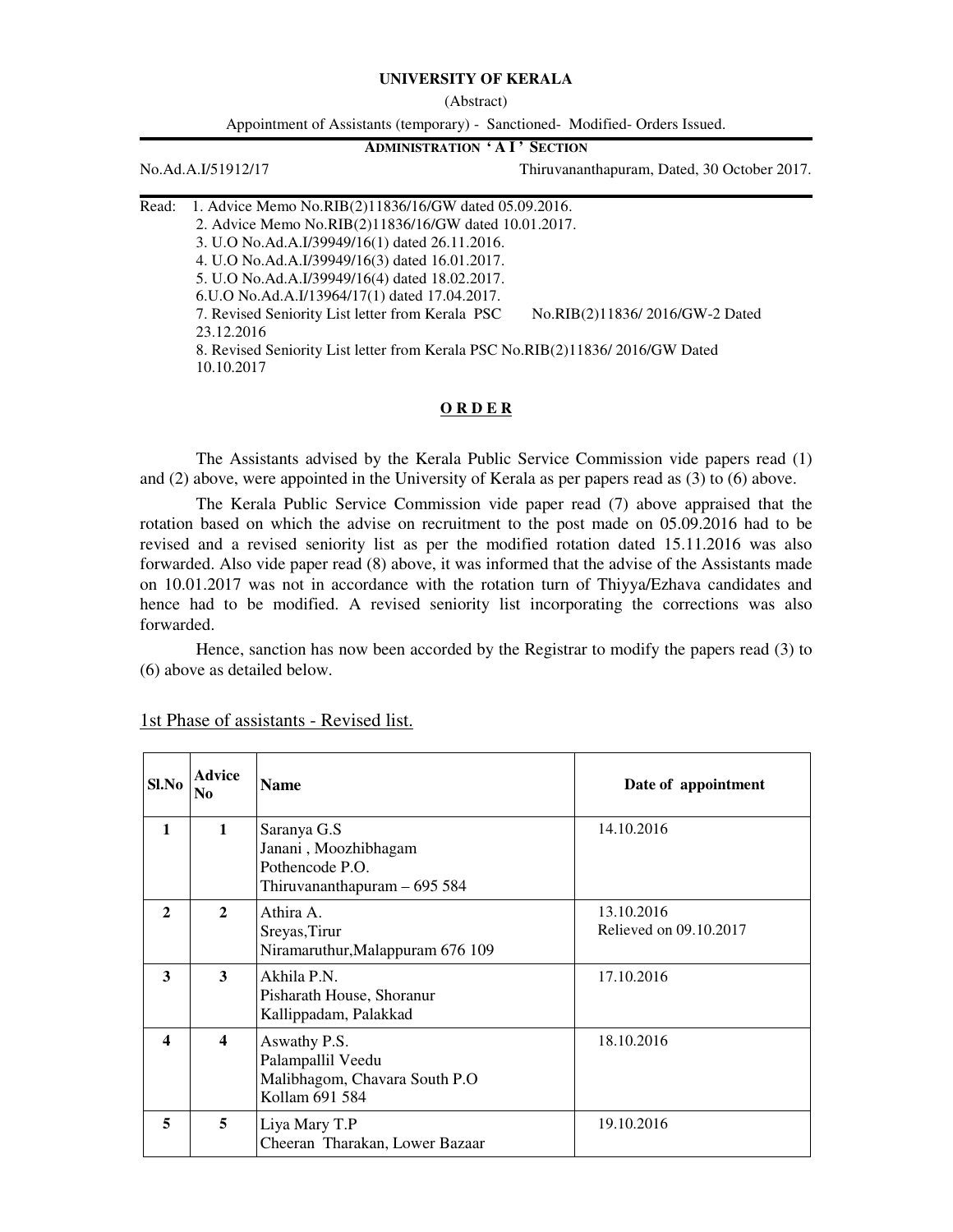## **UNIVERSITY OF KERALA**

(Abstract)

Appointment of Assistants (temporary) - Sanctioned- Modified- Orders Issued. **ADMINISTRATION ' A I ' SECTION**

No.Ad.A.I/51912/17 Thiruvananthapuram, Dated, 30 October 2017.

Read: 1. Advice Memo No.RIB(2)11836/16/GW dated 05.09.2016. 2. Advice Memo No.RIB(2)11836/16/GW dated 10.01.2017. 3. U.O No.Ad.A.I/39949/16(1) dated 26.11.2016. 4. U.O No.Ad.A.I/39949/16(3) dated 16.01.2017. 5. U.O No.Ad.A.I/39949/16(4) dated 18.02.2017. 6.U.O No.Ad.A.I/13964/17(1) dated 17.04.2017. 7. Revised Seniority List letter from Kerala PSC No.RIB(2)11836/2016/GW-2 Dated 23.12.2016 8. Revised Seniority List letter from Kerala PSC No.RIB(2)11836/ 2016/GW Dated 10.10.2017

## **O R D E R**

The Assistants advised by the Kerala Public Service Commission vide papers read (1) and (2) above, were appointed in the University of Kerala as per papers read as (3) to (6) above.

 The Kerala Public Service Commission vide paper read (7) above appraised that the rotation based on which the advise on recruitment to the post made on 05.09.2016 had to be revised and a revised seniority list as per the modified rotation dated 15.11.2016 was also forwarded. Also vide paper read (8) above, it was informed that the advise of the Assistants made on 10.01.2017 was not in accordance with the rotation turn of Thiyya/Ezhava candidates and hence had to be modified. A revised seniority list incorporating the corrections was also forwarded.

 Hence, sanction has now been accorded by the Registrar to modify the papers read (3) to (6) above as detailed below.

| Sl.No            | Advice<br>No.           | <b>Name</b>                                                                            | Date of appointment                  |
|------------------|-------------------------|----------------------------------------------------------------------------------------|--------------------------------------|
| $\mathbf{1}$     | $\mathbf{1}$            | Saranya G.S<br>Janani, Moozhibhagam<br>Pothencode P.O.<br>Thiruvananthapuram - 695 584 | 14.10.2016                           |
| $\mathbf{2}$     | $\mathfrak{D}$          | Athira A.<br>Sreyas, Tirur<br>Niramaruthur, Malappuram 676 109                         | 13.10.2016<br>Relieved on 09.10.2017 |
| 3                | 3                       | Akhila P.N.<br>Pisharath House, Shoranur<br>Kallippadam, Palakkad                      | 17.10.2016                           |
| $\boldsymbol{4}$ | $\overline{\mathbf{4}}$ | Aswathy P.S.<br>Palampallil Veedu<br>Malibhagom, Chavara South P.O.<br>Kollam 691 584  | 18.10.2016                           |
| 5                | 5                       | Liya Mary T.P<br>Cheeran Tharakan, Lower Bazaar                                        | 19.10.2016                           |

1st Phase of assistants - Revised list.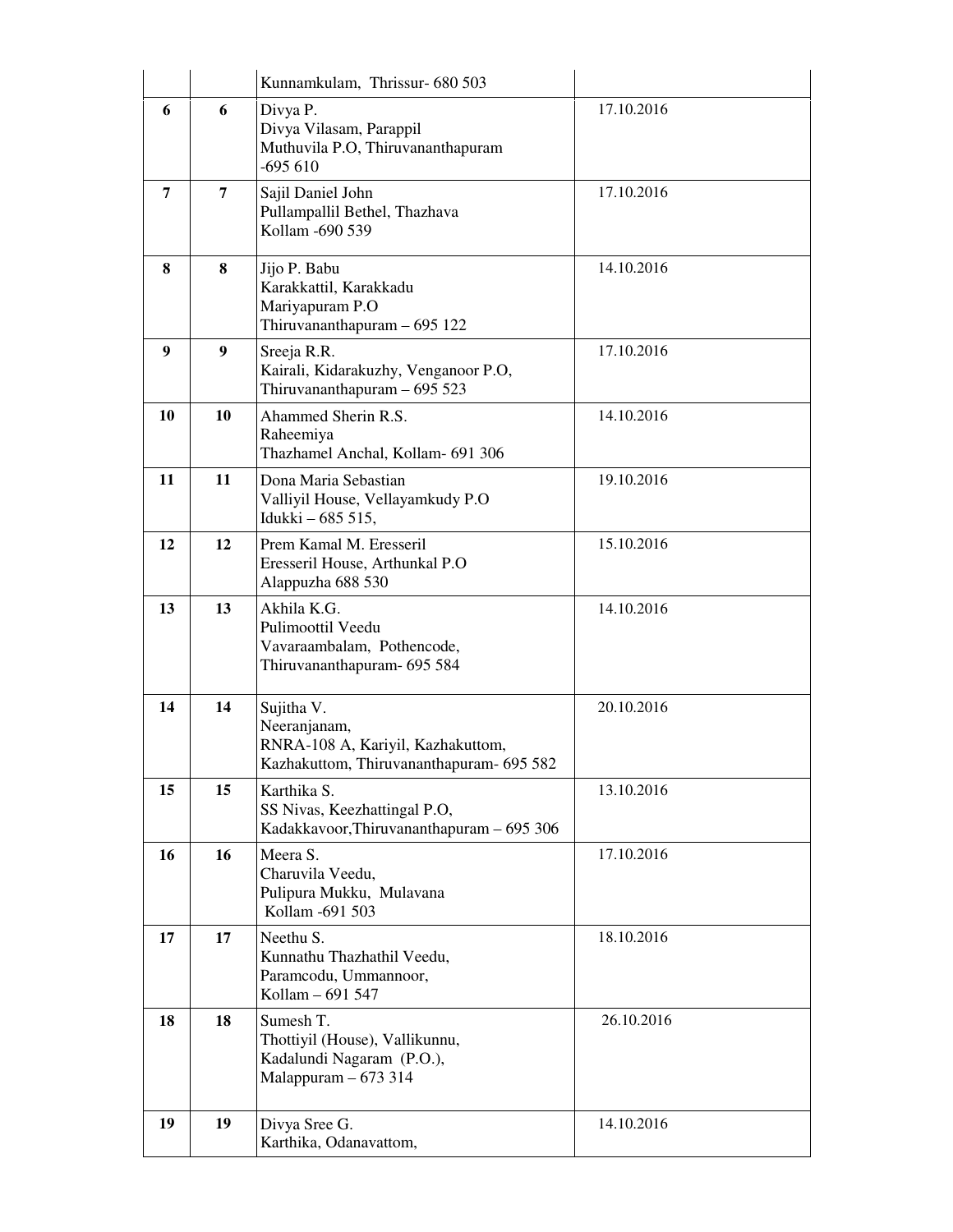|    |    | Kunnamkulam, Thrissur- 680 503                                                                              |            |
|----|----|-------------------------------------------------------------------------------------------------------------|------------|
| 6  | 6  | Divya P.<br>Divya Vilasam, Parappil<br>Muthuvila P.O, Thiruvananthapuram<br>$-695610$                       | 17.10.2016 |
| 7  | 7  | Sajil Daniel John<br>Pullampallil Bethel, Thazhava<br>Kollam -690 539                                       | 17.10.2016 |
| 8  | 8  | Jijo P. Babu<br>Karakkattil, Karakkadu<br>Mariyapuram P.O<br>Thiruvananthapuram - 695 122                   | 14.10.2016 |
| 9  | 9  | Sreeja R.R.<br>Kairali, Kidarakuzhy, Venganoor P.O,<br>Thiruvananthapuram - 695 523                         | 17.10.2016 |
| 10 | 10 | Ahammed Sherin R.S.<br>Raheemiya<br>Thazhamel Anchal, Kollam- 691 306                                       | 14.10.2016 |
| 11 | 11 | Dona Maria Sebastian<br>Valliyil House, Vellayamkudy P.O<br>Idukki - 685 515,                               | 19.10.2016 |
| 12 | 12 | Prem Kamal M. Eresseril<br>Eresseril House, Arthunkal P.O<br>Alappuzha 688 530                              | 15.10.2016 |
| 13 | 13 | Akhila K.G.<br>Pulimoottil Veedu<br>Vavaraambalam, Pothencode,<br>Thiruvananthapuram- 695 584               | 14.10.2016 |
| 14 | 14 | Sujitha V.<br>Neeranjanam,<br>RNRA-108 A, Kariyil, Kazhakuttom,<br>Kazhakuttom, Thiruvananthapuram- 695 582 | 20.10.2016 |
| 15 | 15 | Karthika S.<br>SS Nivas, Keezhattingal P.O,<br>Kadakkavoor, Thiruvananthapuram - 695 306                    | 13.10.2016 |
| 16 | 16 | Meera S.<br>Charuvila Veedu,<br>Pulipura Mukku, Mulavana<br>Kollam - 691 503                                | 17.10.2016 |
| 17 | 17 | Neethu S.<br>Kunnathu Thazhathil Veedu,<br>Paramcodu, Ummannoor,<br>Kollam - 691 547                        | 18.10.2016 |
| 18 | 18 | Sumesh T.<br>Thottiyil (House), Vallikunnu,<br>Kadalundi Nagaram (P.O.),<br>Malappuram $-673314$            | 26.10.2016 |
| 19 | 19 | Divya Sree G.<br>Karthika, Odanavattom,                                                                     | 14.10.2016 |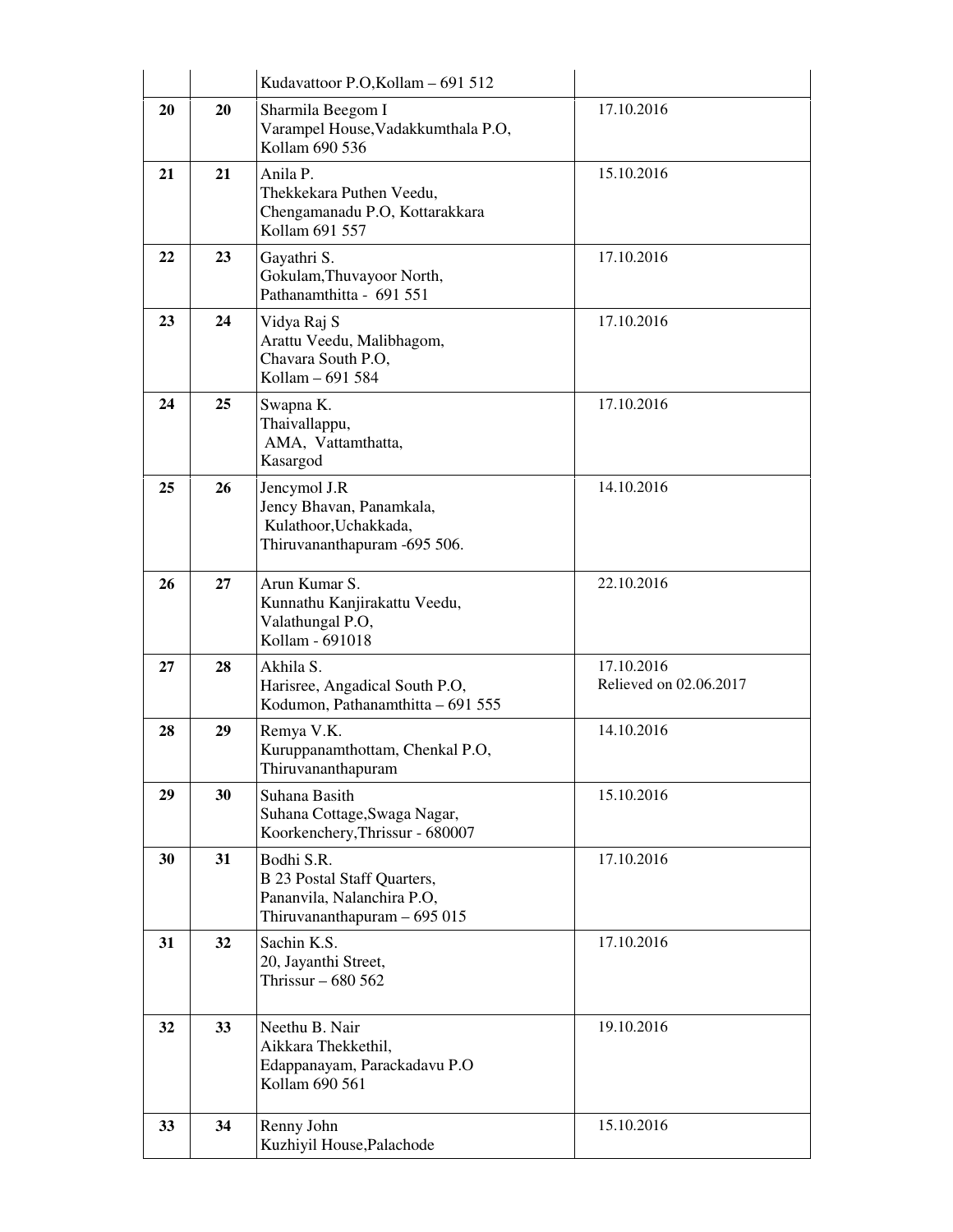|    |    | Kudavattoor P.O, Kollam - 691 512                                                                              |                                      |
|----|----|----------------------------------------------------------------------------------------------------------------|--------------------------------------|
| 20 | 20 | Sharmila Beegom I<br>Varampel House, Vadakkumthala P.O,<br>Kollam 690 536                                      | 17.10.2016                           |
| 21 | 21 | Anila P.<br>Thekkekara Puthen Veedu,<br>Chengamanadu P.O, Kottarakkara<br>Kollam 691 557                       | 15.10.2016                           |
| 22 | 23 | Gayathri S.<br>Gokulam, Thuvayoor North,<br>Pathanamthitta - 691 551                                           | 17.10.2016                           |
| 23 | 24 | Vidya Raj S<br>Arattu Veedu, Malibhagom,<br>Chavara South P.O,<br>Kollam - 691 584                             | 17.10.2016                           |
| 24 | 25 | Swapna K.<br>Thaivallappu,<br>AMA, Vattamthatta,<br>Kasargod                                                   | 17.10.2016                           |
| 25 | 26 | Jencymol J.R<br>Jency Bhavan, Panamkala,<br>Kulathoor, Uchakkada,<br>Thiruvananthapuram -695 506.              | 14.10.2016                           |
| 26 | 27 | Arun Kumar S.<br>Kunnathu Kanjirakattu Veedu,<br>Valathungal P.O,<br>Kollam - 691018                           | 22.10.2016                           |
| 27 | 28 | Akhila S.<br>Harisree, Angadical South P.O,<br>Kodumon, Pathanamthitta - 691 555                               | 17.10.2016<br>Relieved on 02.06.2017 |
| 28 | 29 | Remya V.K.<br>Kuruppanamthottam, Chenkal P.O,<br>Thiruvananthapuram                                            | 14.10.2016                           |
| 29 | 30 | Suhana Basith<br>Suhana Cottage, Swaga Nagar,<br>Koorkenchery, Thrissur - 680007                               | 15.10.2016                           |
| 30 | 31 | Bodhi S.R.<br><b>B</b> 23 Postal Staff Quarters,<br>Pananvila, Nalanchira P.O,<br>Thiruvananthapuram $-695015$ | 17.10.2016                           |
| 31 | 32 | Sachin K.S.<br>20, Jayanthi Street,<br>Thrissur $-680562$                                                      | 17.10.2016                           |
| 32 | 33 | Neethu B. Nair<br>Aikkara Thekkethil,<br>Edappanayam, Parackadavu P.O<br>Kollam 690 561                        | 19.10.2016                           |
| 33 | 34 | Renny John<br>Kuzhiyil House, Palachode                                                                        | 15.10.2016                           |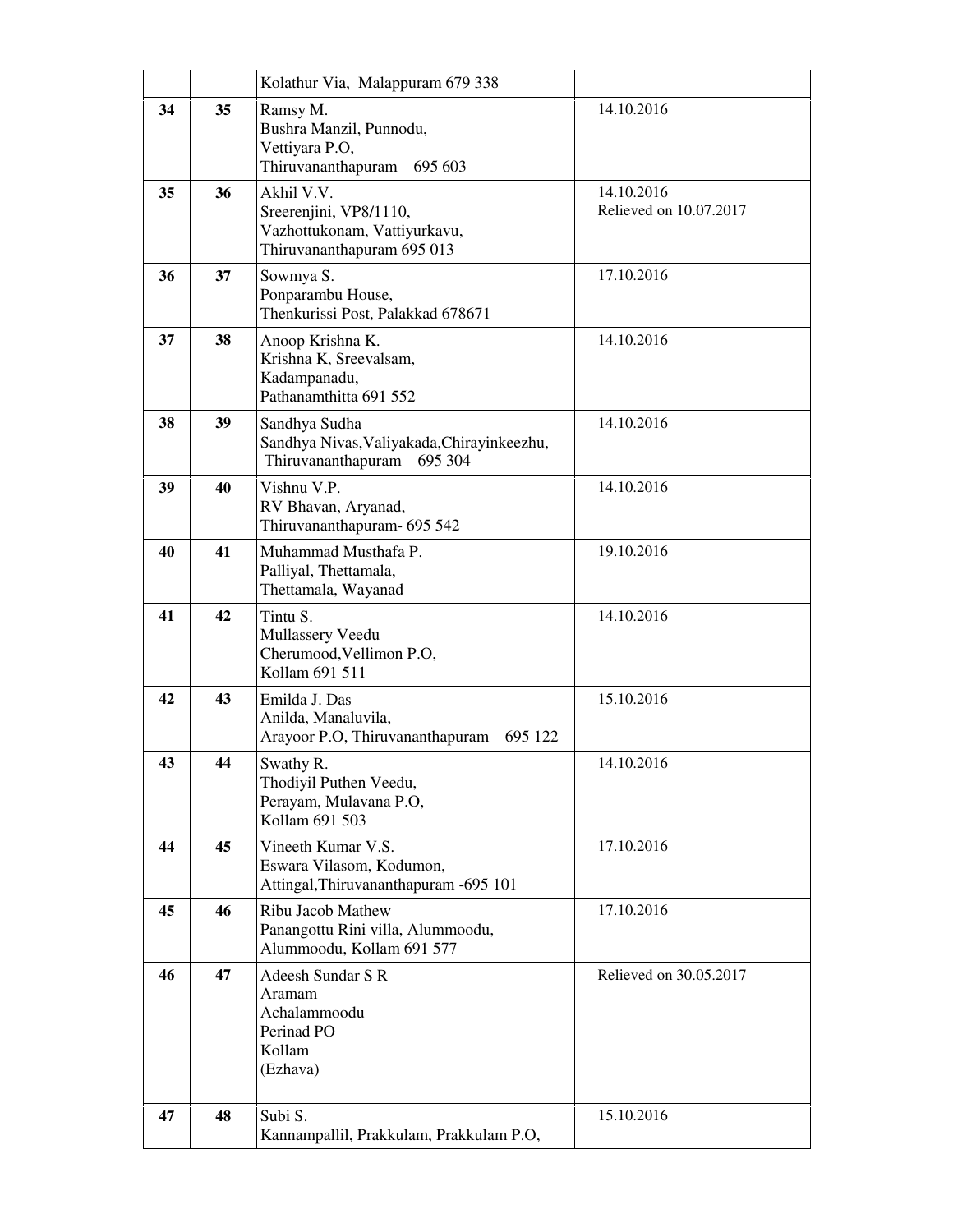|    |    | Kolathur Via, Malappuram 679 338                                                                   |                                      |
|----|----|----------------------------------------------------------------------------------------------------|--------------------------------------|
| 34 | 35 | Ramsy M.<br>Bushra Manzil, Punnodu,<br>Vettiyara P.O,<br>Thiruvananthapuram $-695603$              | 14.10.2016                           |
| 35 | 36 | Akhil V.V.<br>Sreerenjini, VP8/1110,<br>Vazhottukonam, Vattiyurkavu,<br>Thiruvananthapuram 695 013 | 14.10.2016<br>Relieved on 10.07.2017 |
| 36 | 37 | Sowmya S.<br>Ponparambu House,<br>Thenkurissi Post, Palakkad 678671                                | 17.10.2016                           |
| 37 | 38 | Anoop Krishna K.<br>Krishna K, Sreevalsam,<br>Kadampanadu,<br>Pathanamthitta 691 552               | 14.10.2016                           |
| 38 | 39 | Sandhya Sudha<br>Sandhya Nivas, Valiyakada, Chirayinkeezhu,<br>Thiruvananthapuram - 695 304        | 14.10.2016                           |
| 39 | 40 | Vishnu V.P.<br>RV Bhavan, Aryanad,<br>Thiruvananthapuram- 695 542                                  | 14.10.2016                           |
| 40 | 41 | Muhammad Musthafa P.<br>Palliyal, Thettamala,<br>Thettamala, Wayanad                               | 19.10.2016                           |
| 41 | 42 | Tintu S.<br>Mullassery Veedu<br>Cherumood, Vellimon P.O,<br>Kollam 691 511                         | 14.10.2016                           |
| 42 | 43 | Emilda J. Das<br>Anilda, Manaluvila,<br>Arayoor P.O, Thiruvananthapuram - 695 122                  | 15.10.2016                           |
| 43 | 44 | Swathy R.<br>Thodiyil Puthen Veedu,<br>Perayam, Mulavana P.O,<br>Kollam 691 503                    | 14.10.2016                           |
| 44 | 45 | Vineeth Kumar V.S.<br>Eswara Vilasom, Kodumon,<br>Attingal, Thiruvananthapuram -695 101            | 17.10.2016                           |
| 45 | 46 | Ribu Jacob Mathew<br>Panangottu Rini villa, Alummoodu,<br>Alummoodu, Kollam 691 577                | 17.10.2016                           |
| 46 | 47 | Adeesh Sundar S R<br>Aramam<br>Achalammoodu<br>Perinad PO<br>Kollam<br>(Ezhava)                    | Relieved on 30.05.2017               |
| 47 | 48 | Subi S.<br>Kannampallil, Prakkulam, Prakkulam P.O,                                                 | 15.10.2016                           |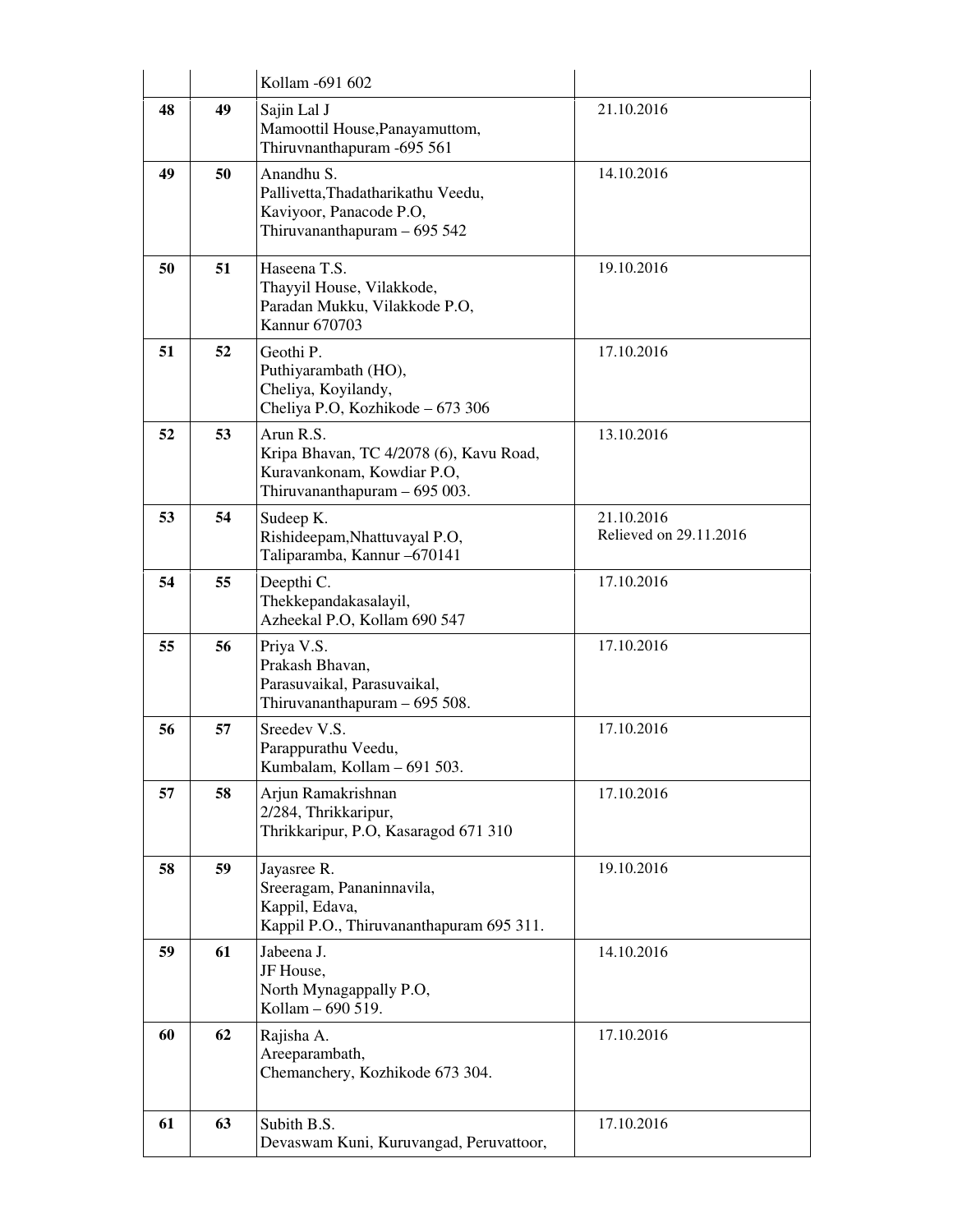|    |    | Kollam -691 602                                                                                                     |                                      |
|----|----|---------------------------------------------------------------------------------------------------------------------|--------------------------------------|
| 48 | 49 | Sajin Lal J<br>Mamoottil House, Panayamuttom,<br>Thiruvnanthapuram -695 561                                         | 21.10.2016                           |
| 49 | 50 | Anandhu S.<br>Pallivetta, Thadatharikathu Veedu,<br>Kaviyoor, Panacode P.O,<br>Thiruvananthapuram - 695 542         | 14.10.2016                           |
| 50 | 51 | Haseena T.S.<br>Thayyil House, Vilakkode,<br>Paradan Mukku, Vilakkode P.O,<br><b>Kannur 670703</b>                  | 19.10.2016                           |
| 51 | 52 | Geothi P.<br>Puthiyarambath (HO),<br>Cheliya, Koyilandy,<br>Cheliya P.O, Kozhikode - 673 306                        | 17.10.2016                           |
| 52 | 53 | Arun R.S.<br>Kripa Bhavan, TC 4/2078 (6), Kavu Road,<br>Kuravankonam, Kowdiar P.O,<br>Thiruvananthapuram - 695 003. | 13.10.2016                           |
| 53 | 54 | Sudeep K.<br>Rishideepam, Nhattuvayal P.O,<br>Taliparamba, Kannur -670141                                           | 21.10.2016<br>Relieved on 29.11.2016 |
| 54 | 55 | Deepthi C.<br>Thekkepandakasalayil,<br>Azheekal P.O, Kollam 690 547                                                 | 17.10.2016                           |
| 55 | 56 | Priya V.S.<br>Prakash Bhavan,<br>Parasuvaikal, Parasuvaikal,<br>Thiruvananthapuram - 695 508.                       | 17.10.2016                           |
| 56 | 57 | Sreedev V.S.<br>Parappurathu Veedu,<br>Kumbalam, Kollam - 691 503.                                                  | 17.10.2016                           |
| 57 | 58 | Arjun Ramakrishnan<br>2/284, Thrikkaripur,<br>Thrikkaripur, P.O, Kasaragod 671 310                                  | 17.10.2016                           |
| 58 | 59 | Jayasree R.<br>Sreeragam, Pananinnavila,<br>Kappil, Edava,<br>Kappil P.O., Thiruvananthapuram 695 311.              | 19.10.2016                           |
| 59 | 61 | Jabeena J.<br>JF House,<br>North Mynagappally P.O,<br>Kollam - 690 519.                                             | 14.10.2016                           |
| 60 | 62 | Rajisha A.<br>Areeparambath,<br>Chemanchery, Kozhikode 673 304.                                                     | 17.10.2016                           |
| 61 | 63 | Subith B.S.<br>Devaswam Kuni, Kuruvangad, Peruvattoor,                                                              | 17.10.2016                           |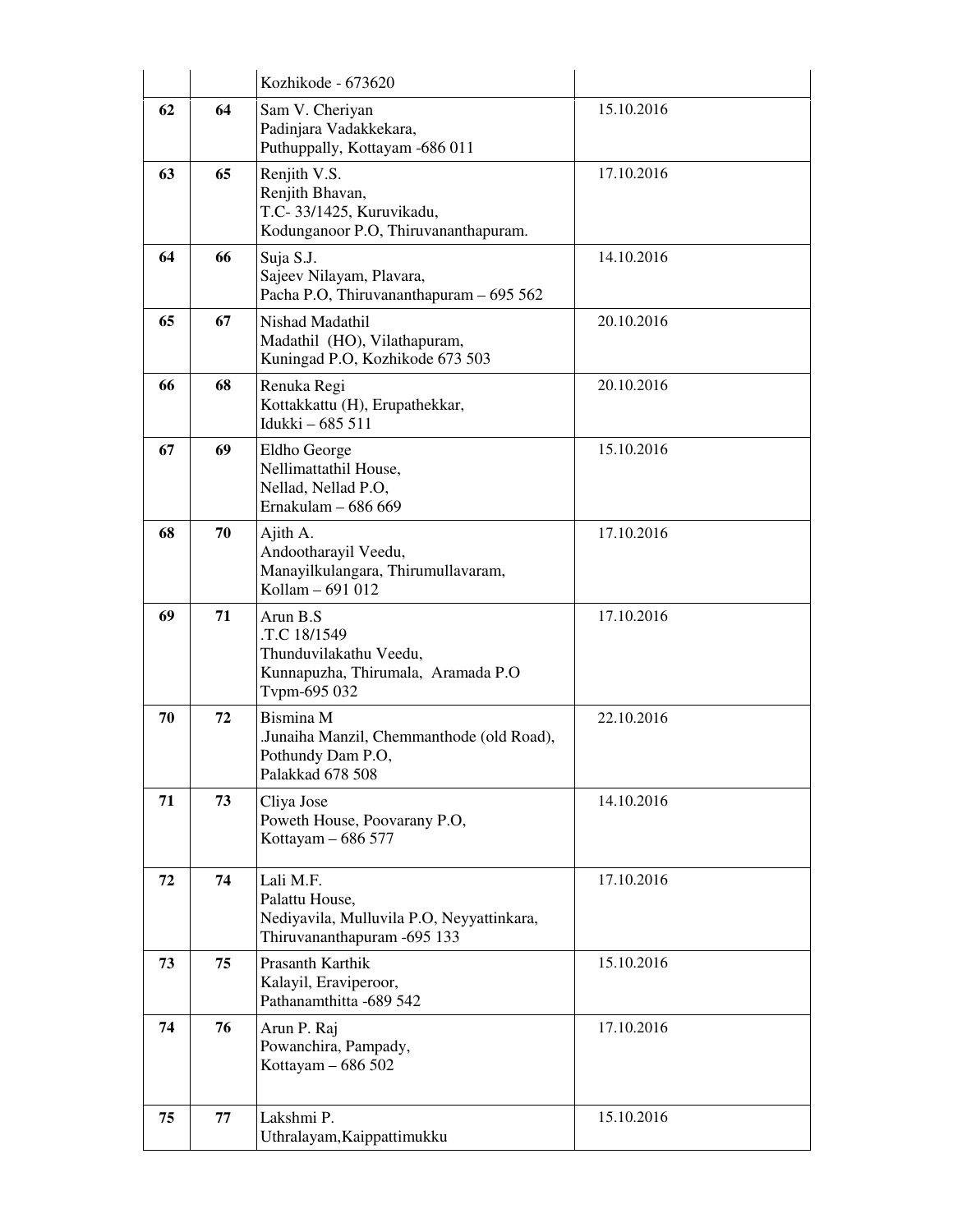|    |    | Kozhikode - 673620                                                                                       |            |
|----|----|----------------------------------------------------------------------------------------------------------|------------|
| 62 | 64 | Sam V. Cheriyan<br>Padinjara Vadakkekara,<br>Puthuppally, Kottayam -686 011                              | 15.10.2016 |
| 63 | 65 | Renjith V.S.<br>Renjith Bhavan,<br>T.C-33/1425, Kuruvikadu,<br>Kodunganoor P.O, Thiruvananthapuram.      | 17.10.2016 |
| 64 | 66 | Suja S.J.<br>Sajeev Nilayam, Plavara,<br>Pacha P.O, Thiruvananthapuram - 695 562                         | 14.10.2016 |
| 65 | 67 | Nishad Madathil<br>Madathil (HO), Vilathapuram,<br>Kuningad P.O, Kozhikode 673 503                       | 20.10.2016 |
| 66 | 68 | Renuka Regi<br>Kottakkattu (H), Erupathekkar,<br>Idukki - 685 511                                        | 20.10.2016 |
| 67 | 69 | Eldho George<br>Nellimattathil House,<br>Nellad, Nellad P.O,<br>Ernakulam - 686 669                      | 15.10.2016 |
| 68 | 70 | Ajith A.<br>Andootharayil Veedu,<br>Manayilkulangara, Thirumullavaram,<br>Kollam - 691 012               | 17.10.2016 |
| 69 | 71 | Arun B.S<br>.T.C 18/1549<br>Thunduvilakathu Veedu,<br>Kunnapuzha, Thirumala, Aramada P.O<br>Tvpm-695 032 | 17.10.2016 |
| 70 | 72 | Bismina M<br>.Junaiha Manzil, Chemmanthode (old Road),<br>Pothundy Dam P.O.<br>Palakkad 678 508          | 22.10.2016 |
| 71 | 73 | Cliya Jose<br>Poweth House, Poovarany P.O,<br>Kottayam - 686 577                                         | 14.10.2016 |
| 72 | 74 | Lali M.F.<br>Palattu House,<br>Nediyavila, Mulluvila P.O, Neyyattinkara,<br>Thiruvananthapuram -695 133  | 17.10.2016 |
| 73 | 75 | Prasanth Karthik<br>Kalayil, Eraviperoor,<br>Pathanamthitta -689 542                                     | 15.10.2016 |
| 74 | 76 | Arun P. Raj<br>Powanchira, Pampady,<br>Kottayam - 686 502                                                | 17.10.2016 |
| 75 | 77 | Lakshmi P.<br>Uthralayam, Kaippattimukku                                                                 | 15.10.2016 |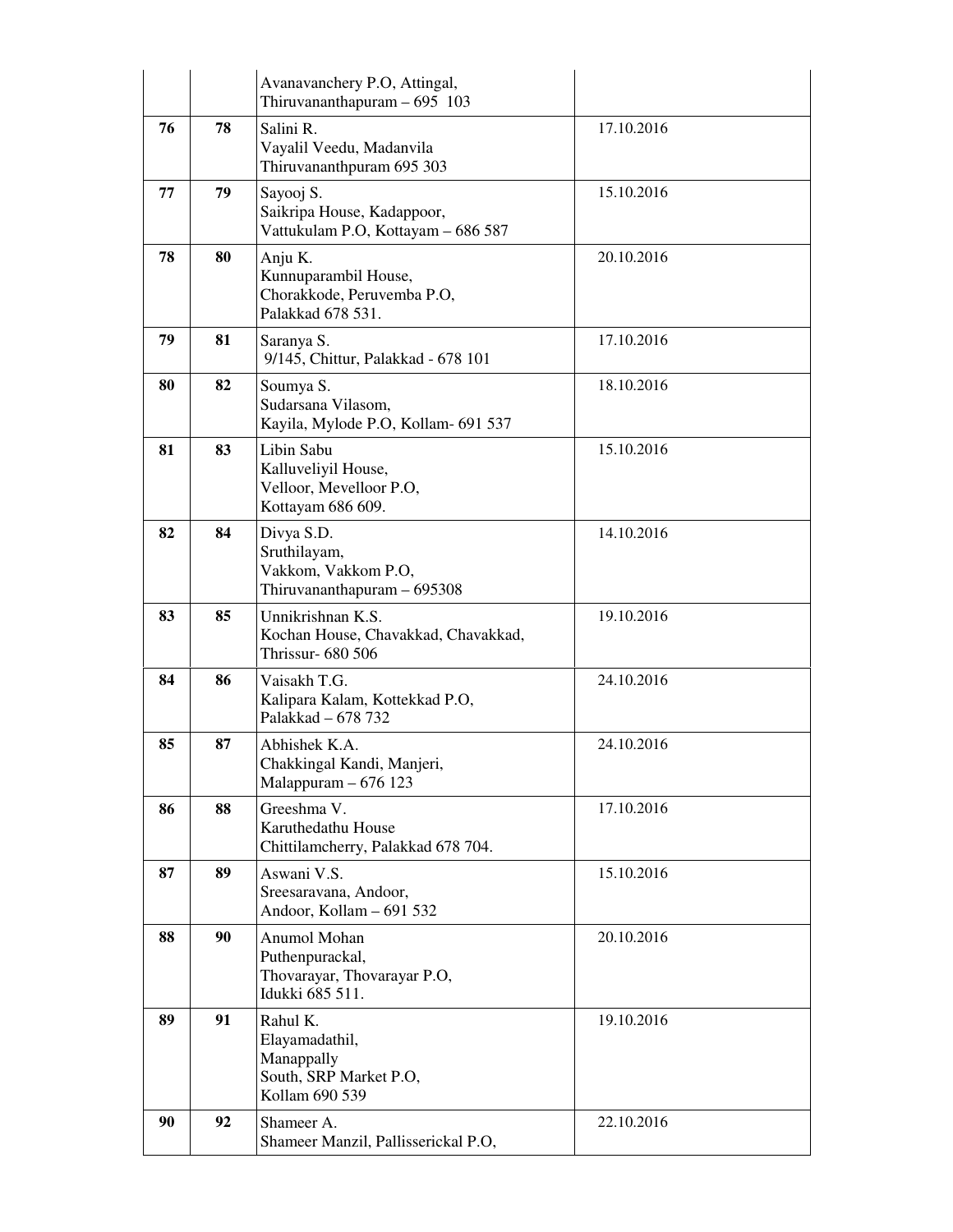|    |    | Avanavanchery P.O, Attingal,<br>Thiruvananthapuram $-695$ 103                        |            |
|----|----|--------------------------------------------------------------------------------------|------------|
| 76 | 78 | Salini R.<br>Vayalil Veedu, Madanvila<br>Thiruvananthpuram 695 303                   | 17.10.2016 |
| 77 | 79 | Sayooj S.<br>Saikripa House, Kadappoor,<br>Vattukulam P.O, Kottayam - 686 587        | 15.10.2016 |
| 78 | 80 | Anju K.<br>Kunnuparambil House,<br>Chorakkode, Peruvemba P.O,<br>Palakkad 678 531.   | 20.10.2016 |
| 79 | 81 | Saranya S.<br>9/145, Chittur, Palakkad - 678 101                                     | 17.10.2016 |
| 80 | 82 | Soumya S.<br>Sudarsana Vilasom,<br>Kayila, Mylode P.O, Kollam- 691 537               | 18.10.2016 |
| 81 | 83 | Libin Sabu<br>Kalluveliyil House,<br>Velloor, Mevelloor P.O,<br>Kottayam 686 609.    | 15.10.2016 |
| 82 | 84 | Divya S.D.<br>Sruthilayam,<br>Vakkom, Vakkom P.O,<br>Thiruvananthapuram - 695308     | 14.10.2016 |
| 83 | 85 | Unnikrishnan K.S.<br>Kochan House, Chavakkad, Chavakkad,<br>Thrissur- 680 506        | 19.10.2016 |
| 84 | 86 | Vaisakh T.G.<br>Kalipara Kalam, Kottekkad P.O,<br>Palakkad - 678 732                 | 24.10.2016 |
| 85 | 87 | Abhishek K.A.<br>Chakkingal Kandi, Manjeri,<br>Malappuram $-676$ 123                 | 24.10.2016 |
| 86 | 88 | Greeshma V.<br>Karuthedathu House<br>Chittilamcherry, Palakkad 678 704.              | 17.10.2016 |
| 87 | 89 | Aswani V.S.<br>Sreesaravana, Andoor,<br>Andoor, Kollam - 691 532                     | 15.10.2016 |
| 88 | 90 | Anumol Mohan<br>Puthenpurackal,<br>Thovarayar, Thovarayar P.O,<br>Idukki 685 511.    | 20.10.2016 |
| 89 | 91 | Rahul K.<br>Elayamadathil,<br>Manappally<br>South, SRP Market P.O,<br>Kollam 690 539 | 19.10.2016 |
| 90 | 92 | Shameer A.<br>Shameer Manzil, Pallisserickal P.O,                                    | 22.10.2016 |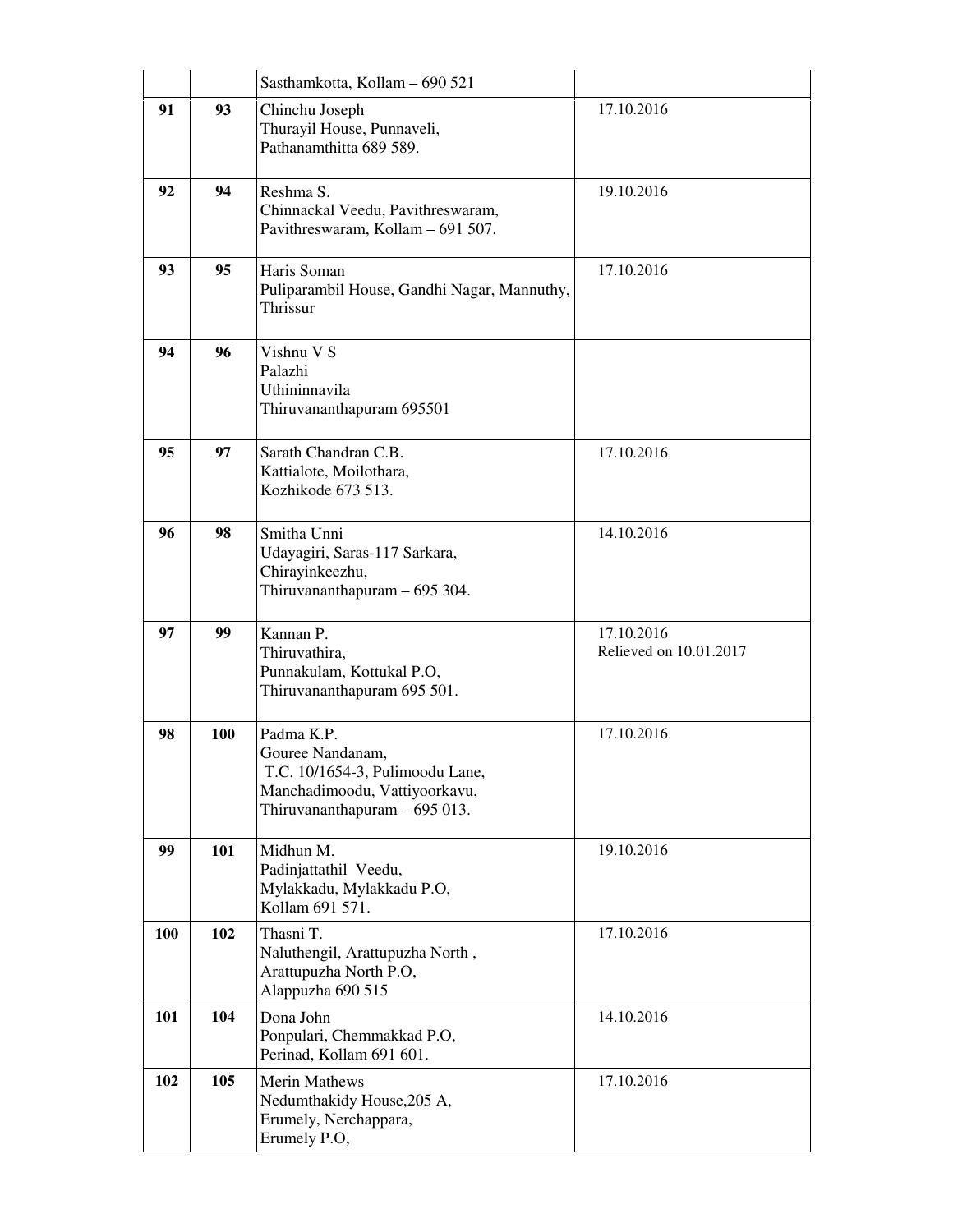|            |     | Sasthamkotta, Kollam - 690 521                                                                                                      |                                      |
|------------|-----|-------------------------------------------------------------------------------------------------------------------------------------|--------------------------------------|
| 91         | 93  | Chinchu Joseph<br>Thurayil House, Punnaveli,<br>Pathanamthitta 689 589.                                                             | 17.10.2016                           |
| 92         | 94  | Reshma S.<br>Chinnackal Veedu, Pavithreswaram,<br>Pavithreswaram, Kollam - 691 507.                                                 | 19.10.2016                           |
| 93         | 95  | Haris Soman<br>Puliparambil House, Gandhi Nagar, Mannuthy,<br>Thrissur                                                              | 17.10.2016                           |
| 94         | 96  | Vishnu V S<br>Palazhi<br>Uthininnavila<br>Thiruvananthapuram 695501                                                                 |                                      |
| 95         | 97  | Sarath Chandran C.B.<br>Kattialote, Moilothara,<br>Kozhikode 673 513.                                                               | 17.10.2016                           |
| 96         | 98  | Smitha Unni<br>Udayagiri, Saras-117 Sarkara,<br>Chirayinkeezhu,<br>Thiruvananthapuram - 695 304.                                    | 14.10.2016                           |
| 97         | 99  | Kannan P.<br>Thiruvathira,<br>Punnakulam, Kottukal P.O,<br>Thiruvananthapuram 695 501.                                              | 17.10.2016<br>Relieved on 10.01.2017 |
| 98         | 100 | Padma K.P.<br>Gouree Nandanam,<br>T.C. 10/1654-3, Pulimoodu Lane,<br>Manchadimoodu, Vattiyoorkavu,<br>Thiruvananthapuram - 695 013. | 17.10.2016                           |
| 99         | 101 | Midhun M.<br>Padinjattathil Veedu,<br>Mylakkadu, Mylakkadu P.O,<br>Kollam 691 571.                                                  | 19.10.2016                           |
| <b>100</b> | 102 | Thasni T.<br>Naluthengil, Arattupuzha North,<br>Arattupuzha North P.O,<br>Alappuzha 690 515                                         | 17.10.2016                           |
| 101        | 104 | Dona John<br>Ponpulari, Chemmakkad P.O,<br>Perinad, Kollam 691 601.                                                                 | 14.10.2016                           |
| 102        | 105 | Merin Mathews<br>Nedumthakidy House, 205 A,<br>Erumely, Nerchappara,<br>Erumely P.O,                                                | 17.10.2016                           |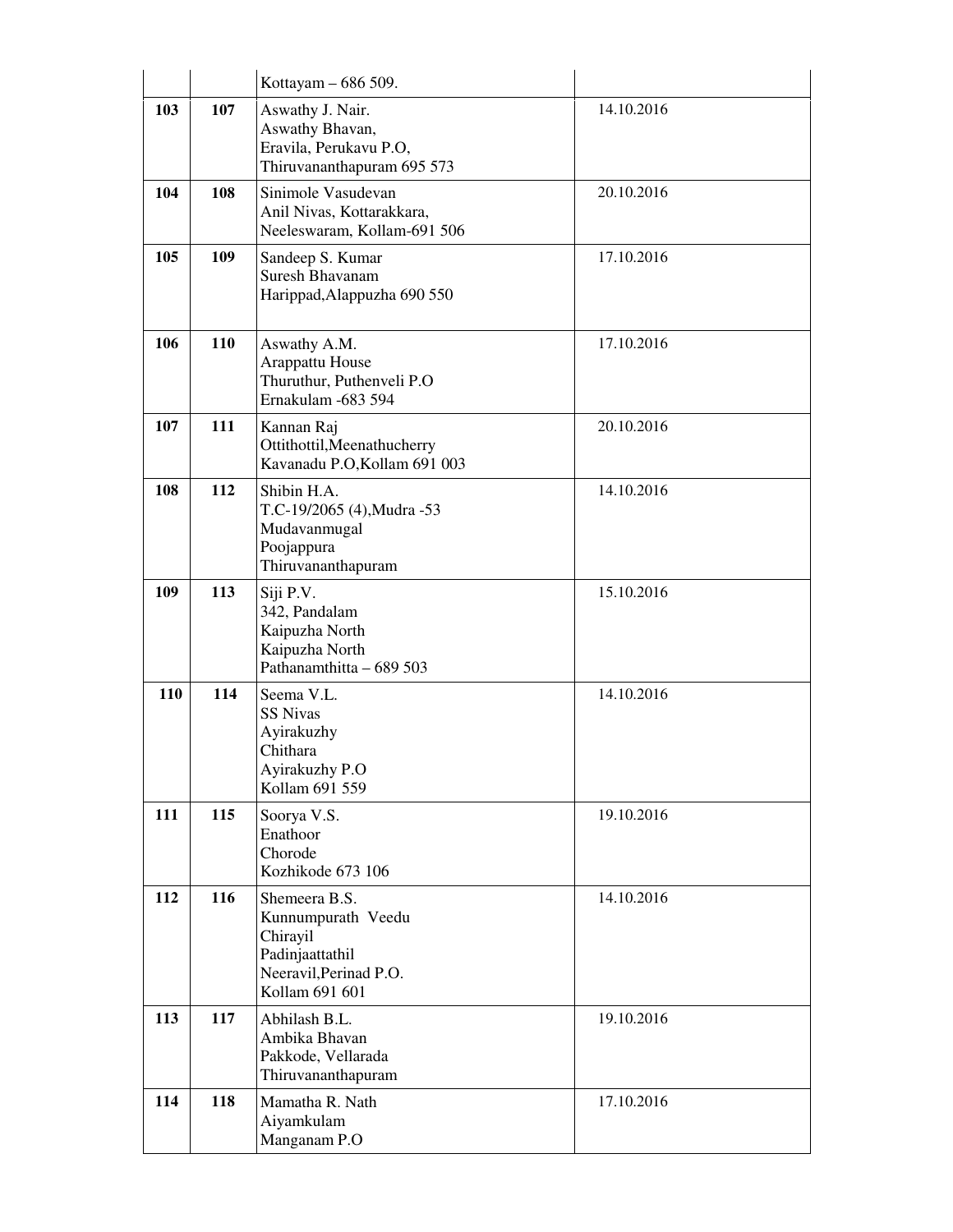|            |     | Kottayam – 686 509.                                                                                            |            |
|------------|-----|----------------------------------------------------------------------------------------------------------------|------------|
| 103        | 107 | Aswathy J. Nair.<br>Aswathy Bhavan,<br>Eravila, Perukavu P.O,<br>Thiruvananthapuram 695 573                    | 14.10.2016 |
| 104        | 108 | Sinimole Vasudevan<br>Anil Nivas, Kottarakkara,<br>Neeleswaram, Kollam-691 506                                 | 20.10.2016 |
| 105        | 109 | Sandeep S. Kumar<br><b>Suresh Bhavanam</b><br>Harippad, Alappuzha 690 550                                      | 17.10.2016 |
| 106        | 110 | Aswathy A.M.<br>Arappattu House<br>Thuruthur, Puthenveli P.O<br>Ernakulam -683 594                             | 17.10.2016 |
| 107        | 111 | Kannan Raj<br>Ottithottil, Meenathucherry<br>Kavanadu P.O, Kollam 691 003                                      | 20.10.2016 |
| 108        | 112 | Shibin H.A.<br>T.C-19/2065 (4), Mudra - 53<br>Mudavanmugal<br>Poojappura<br>Thiruvananthapuram                 | 14.10.2016 |
| 109        | 113 | Siji P.V.<br>342, Pandalam<br>Kaipuzha North<br>Kaipuzha North<br>Pathanamthitta - 689 503                     | 15.10.2016 |
| <b>110</b> | 114 | Seema V.L.<br><b>SS Nivas</b><br>Ayirakuzhy<br>Chithara<br>Ayirakuzhy P.O<br>Kollam 691 559                    | 14.10.2016 |
| 111        | 115 | Soorya V.S.<br>Enathoor<br>Chorode<br>Kozhikode 673 106                                                        | 19.10.2016 |
| 112        | 116 | Shemeera B.S.<br>Kunnumpurath Veedu<br>Chirayil<br>Padinjaattathil<br>Neeravil, Perinad P.O.<br>Kollam 691 601 | 14.10.2016 |
| 113        | 117 | Abhilash B.L.<br>Ambika Bhavan<br>Pakkode, Vellarada<br>Thiruvananthapuram                                     | 19.10.2016 |
| 114        | 118 | Mamatha R. Nath<br>Aiyamkulam<br>Manganam P.O                                                                  | 17.10.2016 |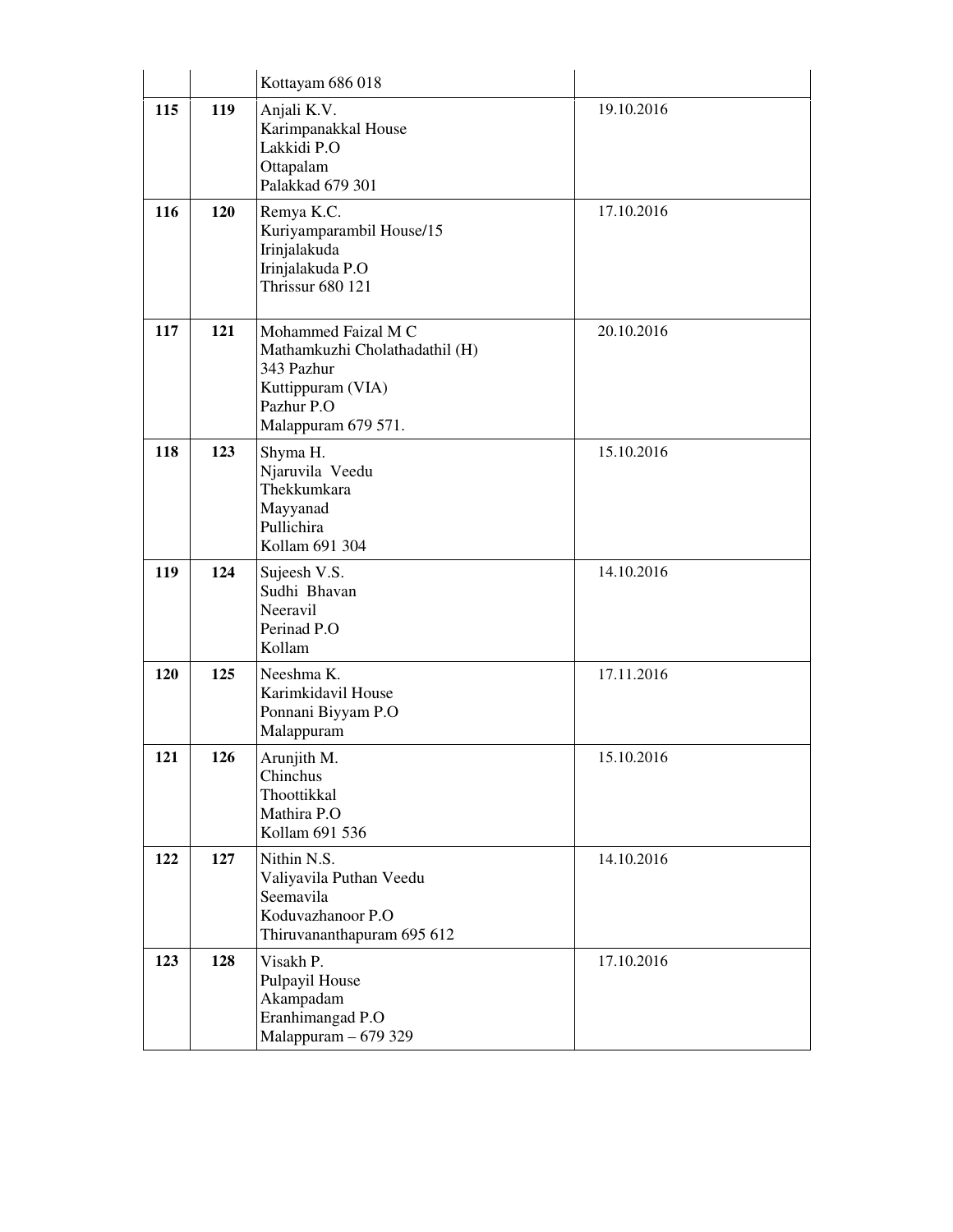|     |            | Kottayam 686 018                                                                                                              |            |
|-----|------------|-------------------------------------------------------------------------------------------------------------------------------|------------|
| 115 | 119        | Anjali K.V.<br>Karimpanakkal House<br>Lakkidi P.O<br>Ottapalam<br>Palakkad 679 301                                            | 19.10.2016 |
| 116 | <b>120</b> | Remya K.C.<br>Kuriyamparambil House/15<br>Irinjalakuda<br>Irinjalakuda P.O<br><b>Thrissur 680 121</b>                         | 17.10.2016 |
| 117 | 121        | Mohammed Faizal M C<br>Mathamkuzhi Cholathadathil (H)<br>343 Pazhur<br>Kuttippuram (VIA)<br>Pazhur P.O<br>Malappuram 679 571. | 20.10.2016 |
| 118 | 123        | Shyma H.<br>Njaruvila Veedu<br>Thekkumkara<br>Mayyanad<br>Pullichira<br>Kollam 691 304                                        | 15.10.2016 |
| 119 | 124        | Sujeesh V.S.<br>Sudhi Bhavan<br>Neeravil<br>Perinad P.O<br>Kollam                                                             | 14.10.2016 |
| 120 | 125        | Neeshma K.<br>Karimkidavil House<br>Ponnani Biyyam P.O<br>Malappuram                                                          | 17.11.2016 |
| 121 | 126        | Arunjith M.<br>Chinchus<br>Thoottikkal<br>Mathira P.O<br>Kollam 691 536                                                       | 15.10.2016 |
| 122 | 127        | Nithin N.S.<br>Valiyavila Puthan Veedu<br>Seemavila<br>Koduvazhanoor P.O<br>Thiruvananthapuram 695 612                        | 14.10.2016 |
| 123 | 128        | Visakh P.<br>Pulpayil House<br>Akampadam<br>Eranhimangad P.O<br>Malappuram - 679 329                                          | 17.10.2016 |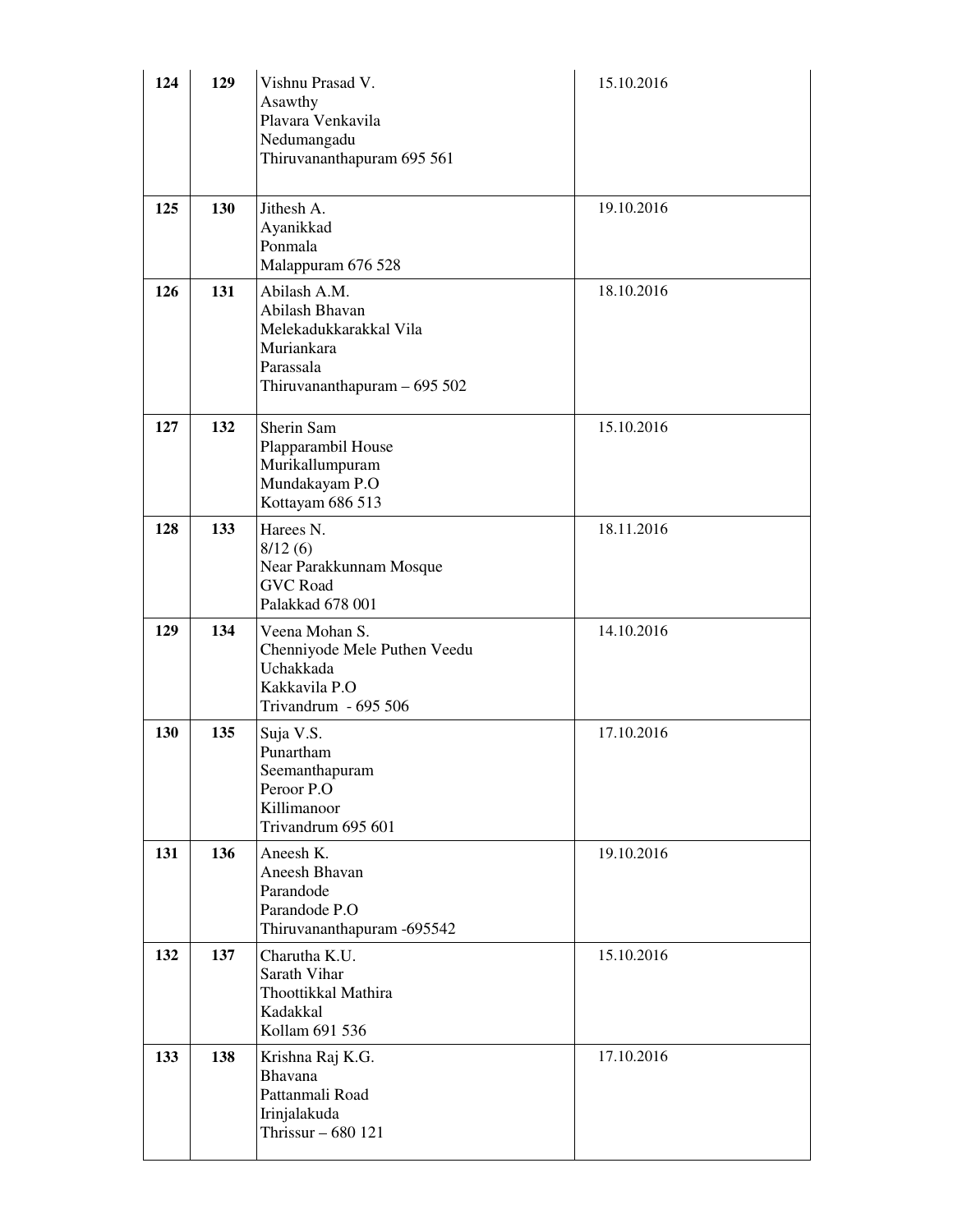| 124 | 129 | Vishnu Prasad V.<br>Asawthy<br>Plavara Venkavila<br>Nedumangadu<br>Thiruvananthapuram 695 561                       | 15.10.2016 |
|-----|-----|---------------------------------------------------------------------------------------------------------------------|------------|
| 125 | 130 | Jithesh A.<br>Ayanikkad<br>Ponmala<br>Malappuram 676 528                                                            | 19.10.2016 |
| 126 | 131 | Abilash A.M.<br>Abilash Bhavan<br>Melekadukkarakkal Vila<br>Muriankara<br>Parassala<br>Thiruvananthapuram - 695 502 | 18.10.2016 |
| 127 | 132 | Sherin Sam<br>Plapparambil House<br>Murikallumpuram<br>Mundakayam P.O<br>Kottayam 686 513                           | 15.10.2016 |
| 128 | 133 | Harees N.<br>8/12(6)<br>Near Parakkunnam Mosque<br><b>GVC Road</b><br>Palakkad 678 001                              | 18.11.2016 |
| 129 | 134 | Veena Mohan S.<br>Chenniyode Mele Puthen Veedu<br>Uchakkada<br>Kakkavila P.O<br>Trivandrum - 695 506                | 14.10.2016 |
| 130 | 135 | Suja V.S.<br>Punartham<br>Seemanthapuram<br>Peroor P.O<br>Killimanoor<br>Trivandrum 695 601                         | 17.10.2016 |
| 131 | 136 | Aneesh K.<br>Aneesh Bhavan<br>Parandode<br>Parandode P.O<br>Thiruvananthapuram -695542                              | 19.10.2016 |
| 132 | 137 | Charutha K.U.<br>Sarath Vihar<br>Thoottikkal Mathira<br>Kadakkal<br>Kollam 691 536                                  | 15.10.2016 |
| 133 | 138 | Krishna Raj K.G.<br>Bhavana<br>Pattanmali Road<br>Irinjalakuda<br>Thrissur - 680 121                                | 17.10.2016 |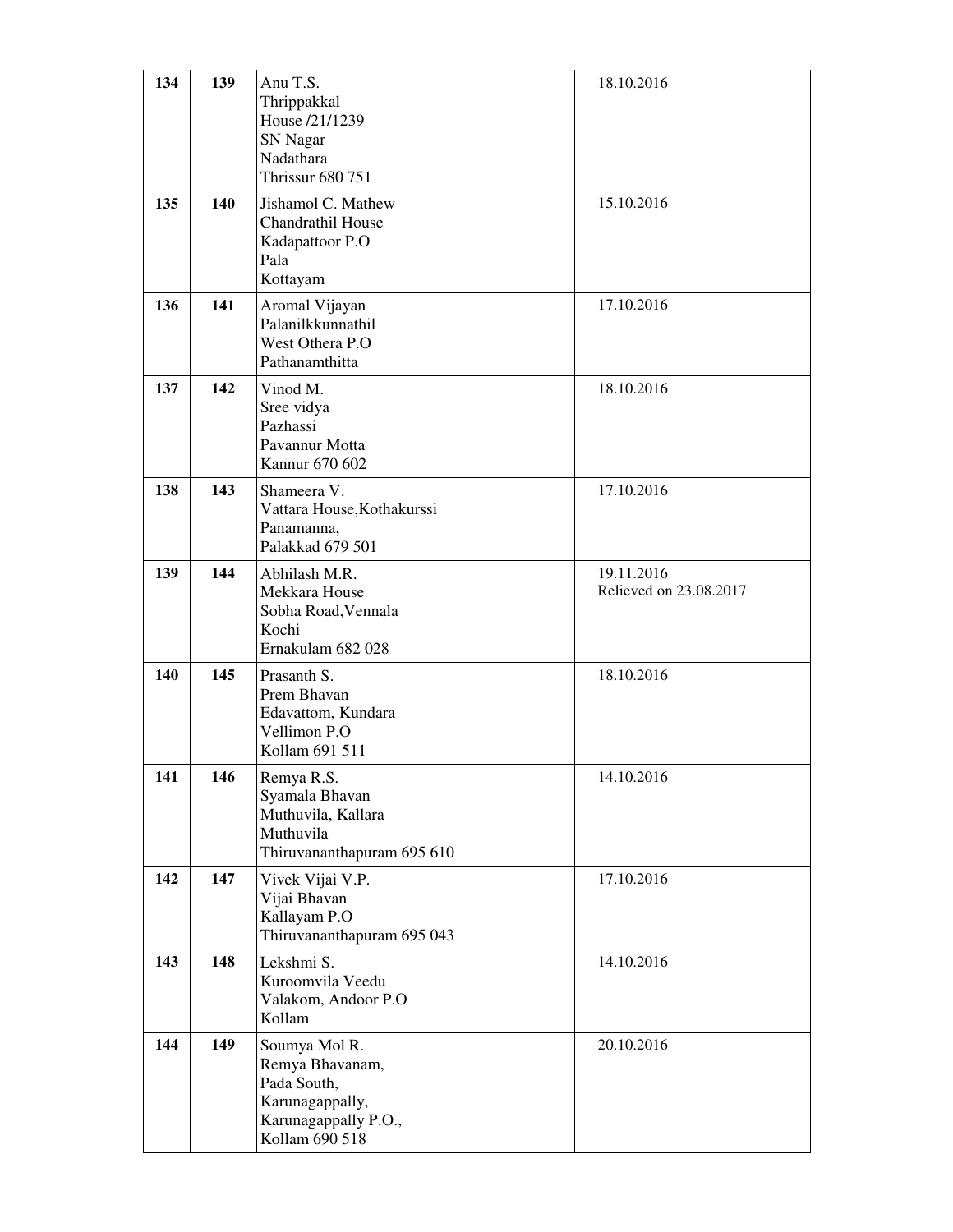| 134 | 139 | Anu T.S.<br>Thrippakkal<br>House /21/1239<br><b>SN Nagar</b><br>Nadathara<br><b>Thrissur 680 751</b>         | 18.10.2016                           |
|-----|-----|--------------------------------------------------------------------------------------------------------------|--------------------------------------|
| 135 | 140 | Jishamol C. Mathew<br>Chandrathil House<br>Kadapattoor P.O<br>Pala<br>Kottayam                               | 15.10.2016                           |
| 136 | 141 | Aromal Vijayan<br>Palanilkkunnathil<br>West Othera P.O<br>Pathanamthitta                                     | 17.10.2016                           |
| 137 | 142 | Vinod M.<br>Sree vidya<br>Pazhassi<br>Pavannur Motta<br>Kannur 670 602                                       | 18.10.2016                           |
| 138 | 143 | Shameera V.<br>Vattara House, Kothakurssi<br>Panamanna,<br>Palakkad 679 501                                  | 17.10.2016                           |
| 139 | 144 | Abhilash M.R.<br>Mekkara House<br>Sobha Road, Vennala<br>Kochi<br>Ernakulam 682 028                          | 19.11.2016<br>Relieved on 23.08.2017 |
| 140 | 145 | Prasanth S.<br>Prem Bhavan<br>Edavattom, Kundara<br>Vellimon P.O<br>Kollam 691 511                           | 18.10.2016                           |
| 141 | 146 | Remya R.S.<br>Syamala Bhavan<br>Muthuvila, Kallara<br>Muthuvila<br>Thiruvananthapuram 695 610                | 14.10.2016                           |
| 142 | 147 | Vivek Vijai V.P.<br>Vijai Bhavan<br>Kallayam P.O<br>Thiruvananthapuram 695 043                               | 17.10.2016                           |
| 143 | 148 | Lekshmi S.<br>Kuroomvila Veedu<br>Valakom, Andoor P.O<br>Kollam                                              | 14.10.2016                           |
| 144 | 149 | Soumya Mol R.<br>Remya Bhavanam,<br>Pada South,<br>Karunagappally,<br>Karunagappally P.O.,<br>Kollam 690 518 | 20.10.2016                           |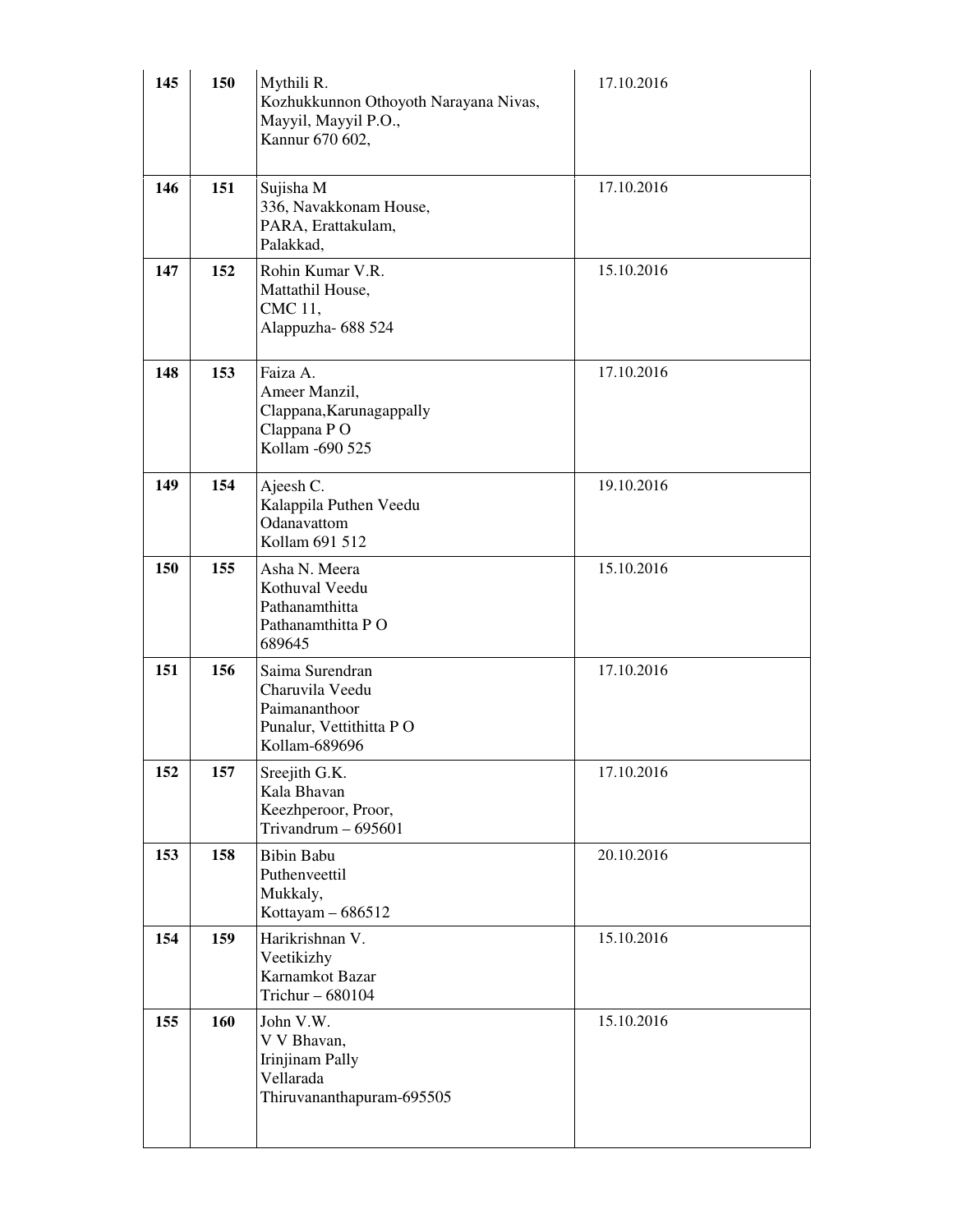| 145 | 150 | Mythili R.<br>Kozhukkunnon Othoyoth Narayana Nivas,<br>Mayyil, Mayyil P.O.,<br>Kannur 670 602,  | 17.10.2016 |
|-----|-----|-------------------------------------------------------------------------------------------------|------------|
| 146 | 151 | Sujisha M<br>336, Navakkonam House,<br>PARA, Erattakulam,<br>Palakkad,                          | 17.10.2016 |
| 147 | 152 | Rohin Kumar V.R.<br>Mattathil House,<br>CMC 11,<br>Alappuzha- 688 524                           | 15.10.2016 |
| 148 | 153 | Faiza A.<br>Ameer Manzil,<br>Clappana, Karunagappally<br>Clappana PO<br>Kollam -690 525         | 17.10.2016 |
| 149 | 154 | Ajeesh C.<br>Kalappila Puthen Veedu<br>Odanavattom<br>Kollam 691 512                            | 19.10.2016 |
| 150 | 155 | Asha N. Meera<br>Kothuval Veedu<br>Pathanamthitta<br>Pathanamthitta PO<br>689645                | 15.10.2016 |
| 151 | 156 | Saima Surendran<br>Charuvila Veedu<br>Paimananthoor<br>Punalur, Vettithitta PO<br>Kollam-689696 | 17.10.2016 |
| 152 | 157 | Sreejith G.K.<br>Kala Bhavan<br>Keezhperoor, Proor,<br>Trivandrum $-695601$                     | 17.10.2016 |
| 153 | 158 | Bibin Babu<br>Puthenveettil<br>Mukkaly,<br>Kottayam - 686512                                    | 20.10.2016 |
| 154 | 159 | Harikrishnan V.<br>Veetikizhy<br>Karnamkot Bazar<br>Trichur - 680104                            | 15.10.2016 |
| 155 | 160 | John V.W.<br>V V Bhavan,<br><b>Irinjinam Pally</b><br>Vellarada<br>Thiruvananthapuram-695505    | 15.10.2016 |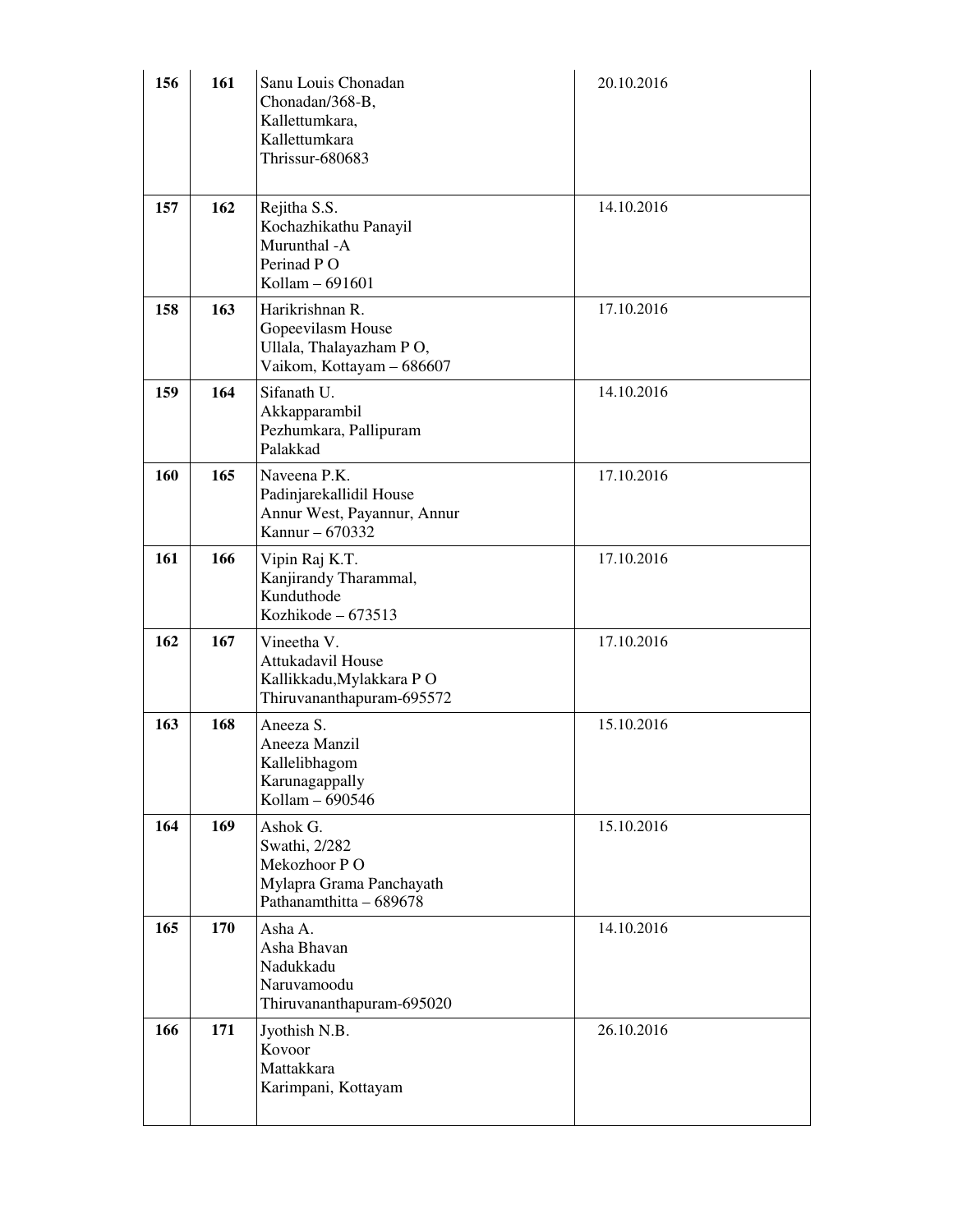| 156 | 161 | Sanu Louis Chonadan<br>Chonadan/368-B,<br>Kallettumkara,<br>Kallettumkara<br>Thrissur-680683     | 20.10.2016 |
|-----|-----|--------------------------------------------------------------------------------------------------|------------|
| 157 | 162 | Rejitha S.S.<br>Kochazhikathu Panayil<br>Murunthal -A<br>Perinad PO<br>Kollam - 691601           | 14.10.2016 |
| 158 | 163 | Harikrishnan R.<br>Gopeevilasm House<br>Ullala, Thalayazham PO,<br>Vaikom, Kottayam - 686607     | 17.10.2016 |
| 159 | 164 | Sifanath U.<br>Akkapparambil<br>Pezhumkara, Pallipuram<br>Palakkad                               | 14.10.2016 |
| 160 | 165 | Naveena P.K.<br>Padinjarekallidil House<br>Annur West, Payannur, Annur<br>Kannur – 670332        | 17.10.2016 |
| 161 | 166 | Vipin Raj K.T.<br>Kanjirandy Tharammal,<br>Kunduthode<br>Kozhikode - 673513                      | 17.10.2016 |
| 162 | 167 | Vineetha V.<br><b>Attukadavil House</b><br>Kallikkadu, Mylakkara PO<br>Thiruvananthapuram-695572 | 17.10.2016 |
| 163 | 168 | Aneeza S.<br>Aneeza Manzil<br>Kallelibhagom<br>Karunagappally<br>Kollam - 690546                 | 15.10.2016 |
| 164 | 169 | Ashok G.<br>Swathi, 2/282<br>Mekozhoor PO<br>Mylapra Grama Panchayath<br>Pathanamthitta - 689678 | 15.10.2016 |
| 165 | 170 | Asha A.<br>Asha Bhavan<br>Nadukkadu<br>Naruvamoodu<br>Thiruvananthapuram-695020                  | 14.10.2016 |
| 166 | 171 | Jyothish N.B.<br>Kovoor<br>Mattakkara<br>Karimpani, Kottayam                                     | 26.10.2016 |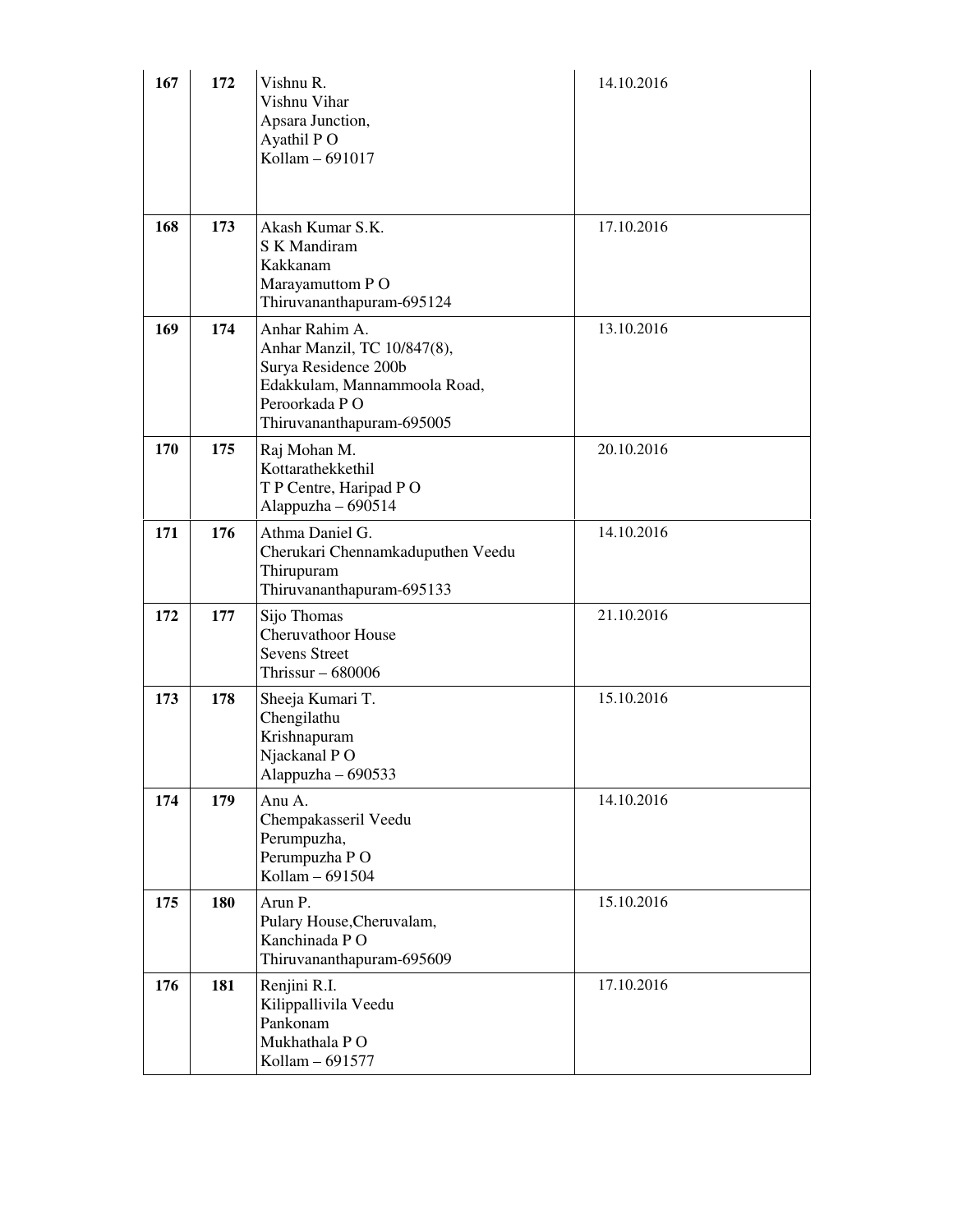| 167 | 172 | Vishnu R.<br>Vishnu Vihar<br>Apsara Junction,<br>Ayathil PO<br>Kollam - 691017                                                                      | 14.10.2016 |
|-----|-----|-----------------------------------------------------------------------------------------------------------------------------------------------------|------------|
| 168 | 173 | Akash Kumar S.K.<br>S K Mandiram<br>Kakkanam<br>Marayamuttom PO<br>Thiruvananthapuram-695124                                                        | 17.10.2016 |
| 169 | 174 | Anhar Rahim A.<br>Anhar Manzil, TC 10/847(8),<br>Surya Residence 200b<br>Edakkulam, Mannammoola Road,<br>Peroorkada PO<br>Thiruvananthapuram-695005 | 13.10.2016 |
| 170 | 175 | Raj Mohan M.<br>Kottarathekkethil<br>T P Centre, Haripad P O<br>Alappuzha $-690514$                                                                 | 20.10.2016 |
| 171 | 176 | Athma Daniel G.<br>Cherukari Chennamkaduputhen Veedu<br>Thirupuram<br>Thiruvananthapuram-695133                                                     | 14.10.2016 |
| 172 | 177 | Sijo Thomas<br>Cheruvathoor House<br><b>Sevens Street</b><br>Thrissur $-680006$                                                                     | 21.10.2016 |
| 173 | 178 | Sheeja Kumari T.<br>Chengilathu<br>Krishnapuram<br>Njackanal PO<br>Alappuzha - 690533                                                               | 15.10.2016 |
| 174 | 179 | Anu A.<br>Chempakasseril Veedu<br>Perumpuzha,<br>Perumpuzha PO<br>Kollam - 691504                                                                   | 14.10.2016 |
| 175 | 180 | Arun P.<br>Pulary House, Cheruvalam,<br>Kanchinada PO<br>Thiruvananthapuram-695609                                                                  | 15.10.2016 |
| 176 | 181 | Renjini R.I.<br>Kilippallivila Veedu<br>Pankonam<br>Mukhathala PO<br>Kollam - 691577                                                                | 17.10.2016 |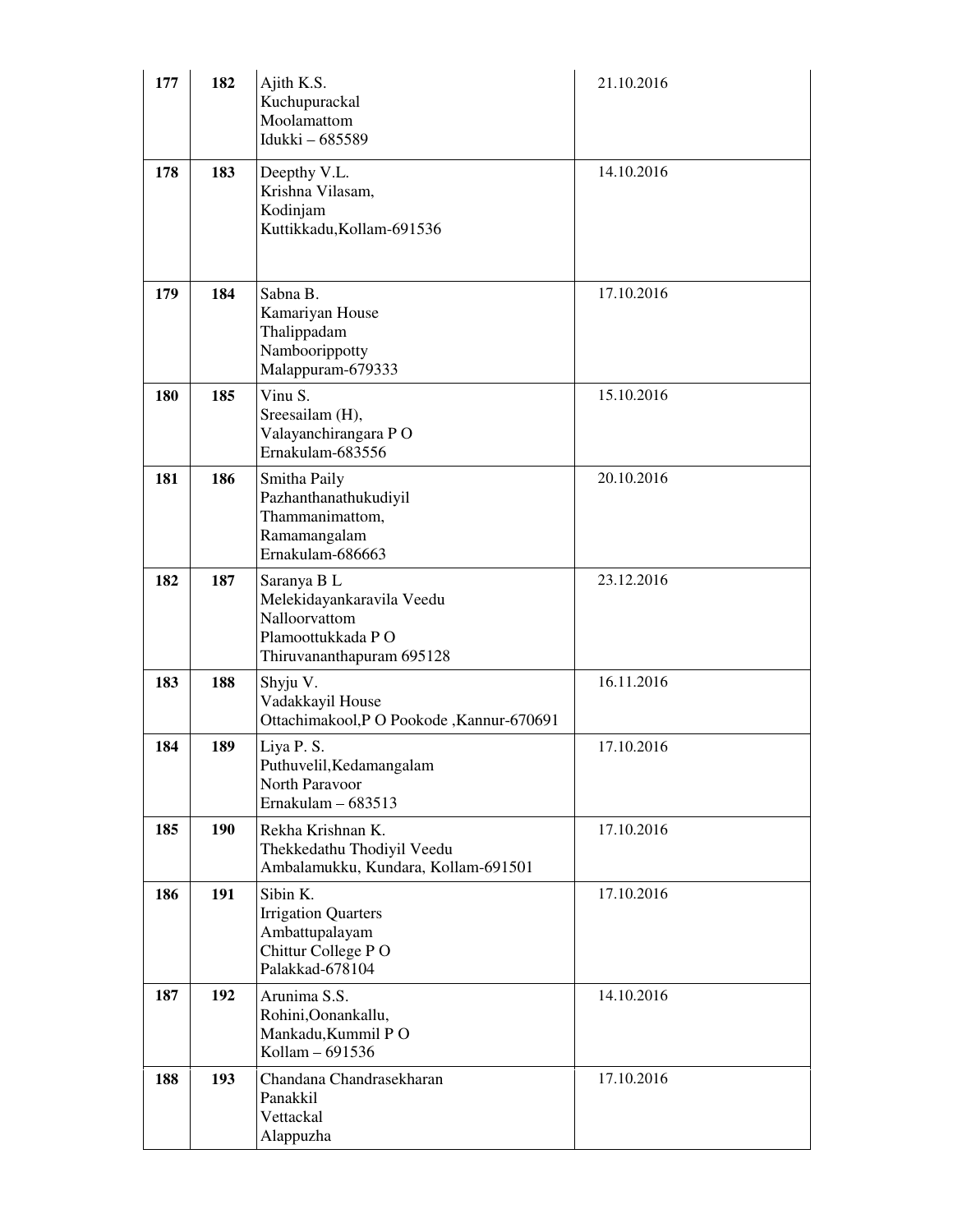| 177 | 182 | Ajith K.S.<br>Kuchupurackal<br>Moolamattom<br>Idukki - 685589                                               | 21.10.2016 |
|-----|-----|-------------------------------------------------------------------------------------------------------------|------------|
| 178 | 183 | Deepthy V.L.<br>Krishna Vilasam,<br>Kodinjam<br>Kuttikkadu, Kollam-691536                                   | 14.10.2016 |
| 179 | 184 | Sabna B.<br>Kamariyan House<br>Thalippadam<br>Namboorippotty<br>Malappuram-679333                           | 17.10.2016 |
| 180 | 185 | Vinu S.<br>Sreesailam (H),<br>Valayanchirangara PO<br>Ernakulam-683556                                      | 15.10.2016 |
| 181 | 186 | Smitha Paily<br>Pazhanthanathukudiyil<br>Thammanimattom,<br>Ramamangalam<br>Ernakulam-686663                | 20.10.2016 |
| 182 | 187 | Saranya B L<br>Melekidayankaravila Veedu<br>Nalloorvattom<br>Plamoottukkada PO<br>Thiruvananthapuram 695128 | 23.12.2016 |
| 183 | 188 | Shyju V.<br>Vadakkayil House<br>Ottachimakool, PO Pookode, Kannur-670691                                    | 16.11.2016 |
| 184 | 189 | Liya P. S.<br>Puthuvelil, Kedamangalam<br>North Paravoor<br>Ernakulam - 683513                              | 17.10.2016 |
| 185 | 190 | Rekha Krishnan K.<br>Thekkedathu Thodiyil Veedu<br>Ambalamukku, Kundara, Kollam-691501                      | 17.10.2016 |
| 186 | 191 | Sibin K.<br><b>Irrigation Quarters</b><br>Ambattupalayam<br>Chittur College PO<br>Palakkad-678104           | 17.10.2016 |
| 187 | 192 | Arunima S.S.<br>Rohini, Oonankallu,<br>Mankadu, Kummil PO<br>Kollam - 691536                                | 14.10.2016 |
| 188 | 193 | Chandana Chandrasekharan<br>Panakkil<br>Vettackal<br>Alappuzha                                              | 17.10.2016 |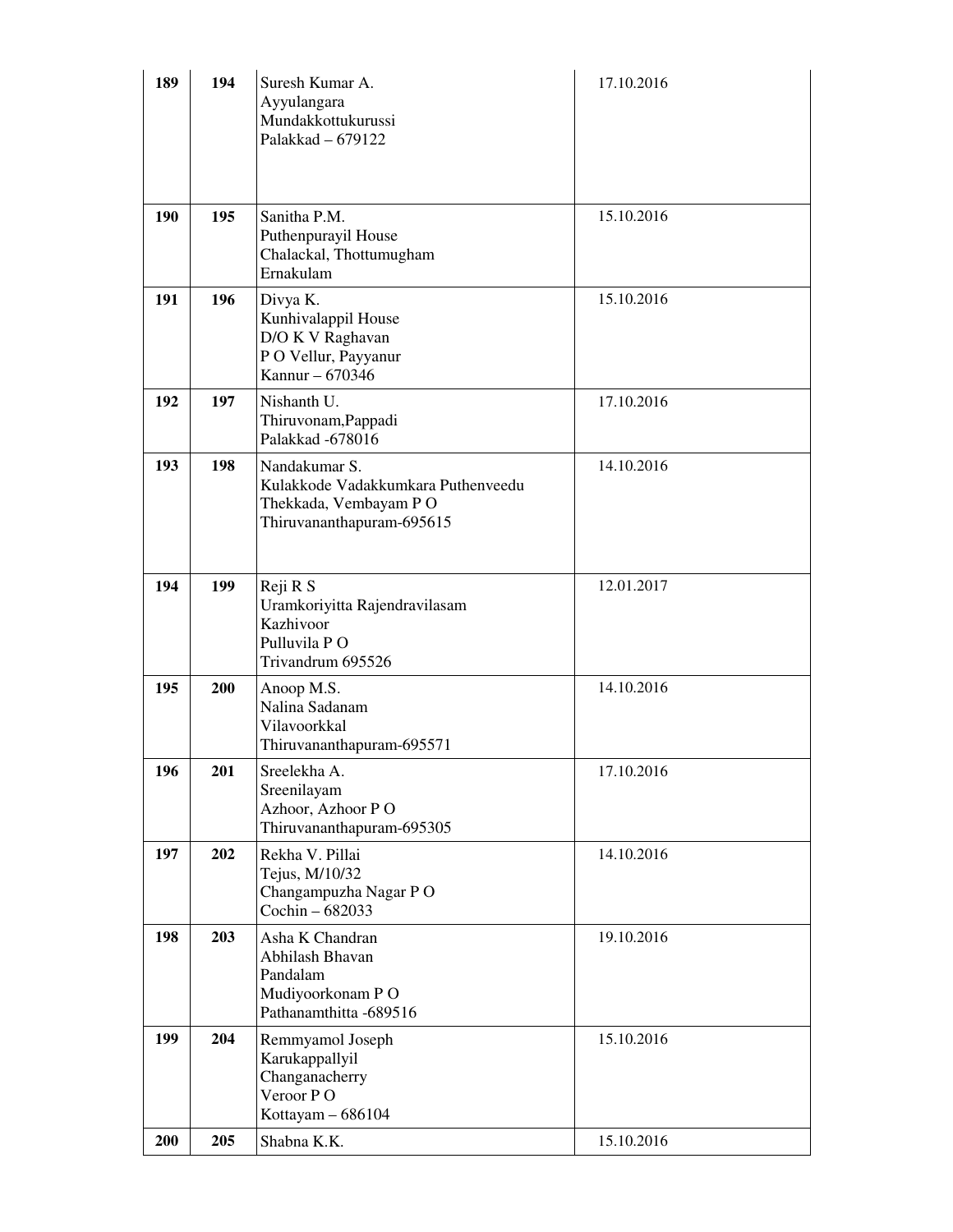| 189 | 194 | Suresh Kumar A.<br>Ayyulangara<br>Mundakkottukurussi<br>Palakkad - 679122                                 | 17.10.2016 |
|-----|-----|-----------------------------------------------------------------------------------------------------------|------------|
| 190 | 195 | Sanitha P.M.<br>Puthenpurayil House<br>Chalackal, Thottumugham<br>Ernakulam                               | 15.10.2016 |
| 191 | 196 | Divya K.<br>Kunhivalappil House<br>D/O K V Raghavan<br>P O Vellur, Payyanur<br>Kannur - 670346            | 15.10.2016 |
| 192 | 197 | Nishanth U.<br>Thiruvonam, Pappadi<br>Palakkad -678016                                                    | 17.10.2016 |
| 193 | 198 | Nandakumar S.<br>Kulakkode Vadakkumkara Puthenveedu<br>Thekkada, Vembayam PO<br>Thiruvananthapuram-695615 | 14.10.2016 |
| 194 | 199 | Reji R S<br>Uramkoriyitta Rajendravilasam<br>Kazhivoor<br>Pulluvila PO<br>Trivandrum 695526               | 12.01.2017 |
| 195 | 200 | Anoop M.S.<br>Nalina Sadanam<br>Vilavoorkkal<br>Thiruvananthapuram-695571                                 | 14.10.2016 |
| 196 | 201 | Sreelekha A.<br>Sreenilayam<br>Azhoor, Azhoor PO<br>Thiruvananthapuram-695305                             | 17.10.2016 |
| 197 | 202 | Rekha V. Pillai<br>Tejus, M/10/32<br>Changampuzha Nagar PO<br>Cochin $-682033$                            | 14.10.2016 |
| 198 | 203 | Asha K Chandran<br>Abhilash Bhavan<br>Pandalam<br>Mudiyoorkonam PO<br>Pathanamthitta -689516              | 19.10.2016 |
| 199 | 204 | Remmyamol Joseph<br>Karukappallyil<br>Changanacherry<br>Veroor PO<br>Kottayam - 686104                    | 15.10.2016 |
| 200 | 205 | Shabna K.K.                                                                                               | 15.10.2016 |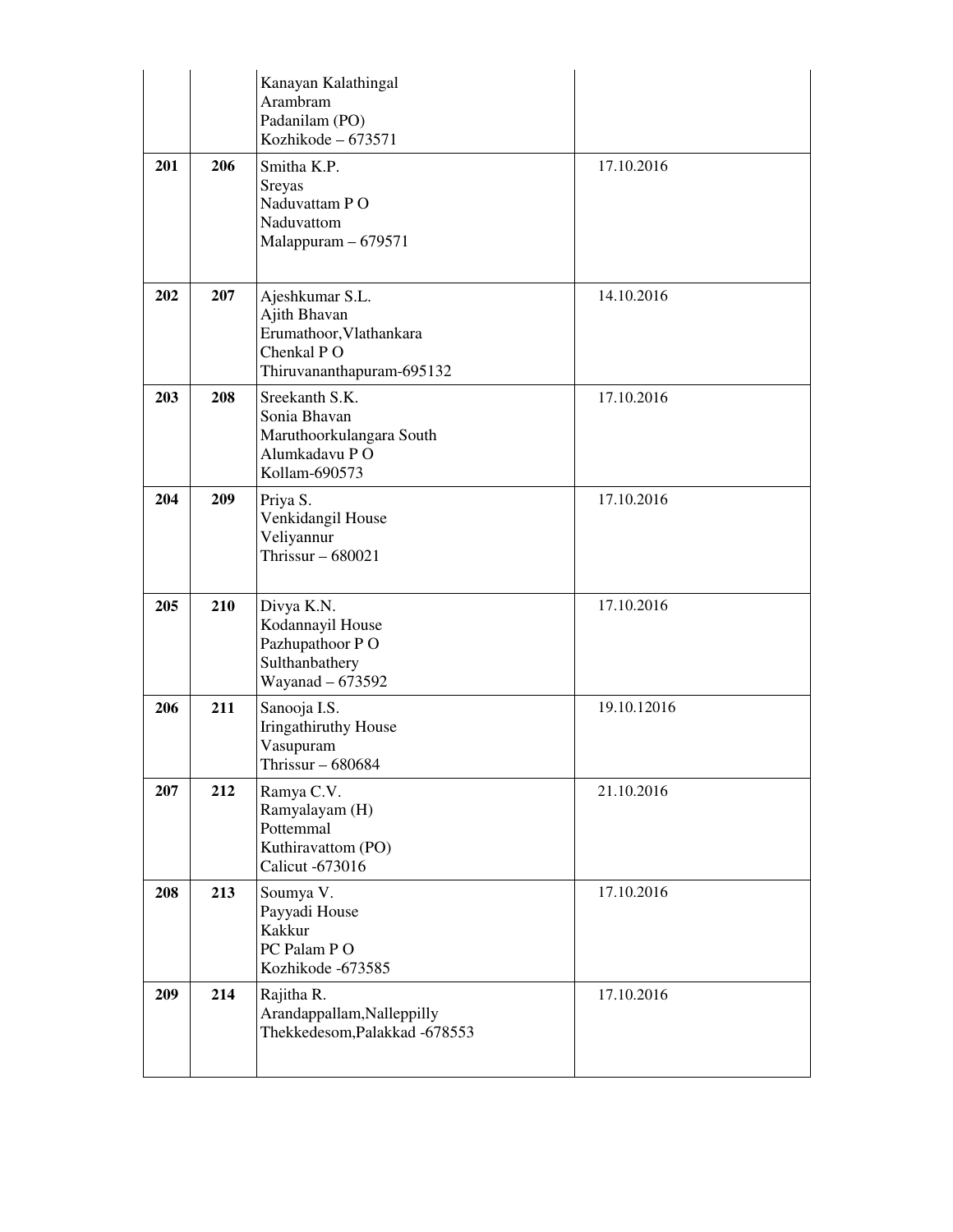|     |     | Kanayan Kalathingal<br>Arambram<br>Padanilam (PO)<br>Kozhikode - 673571                               |             |
|-----|-----|-------------------------------------------------------------------------------------------------------|-------------|
| 201 | 206 | Smitha K.P.<br>Sreyas<br>Naduvattam PO<br>Naduvattom<br>Malappuram - 679571                           | 17.10.2016  |
| 202 | 207 | Ajeshkumar S.L.<br>Ajith Bhavan<br>Erumathoor, Vlathankara<br>Chenkal PO<br>Thiruvananthapuram-695132 | 14.10.2016  |
| 203 | 208 | Sreekanth S.K.<br>Sonia Bhavan<br>Maruthoorkulangara South<br>Alumkadavu PO<br>Kollam-690573          | 17.10.2016  |
| 204 | 209 | Priya S.<br>Venkidangil House<br>Veliyannur<br>Thrissur $-680021$                                     | 17.10.2016  |
| 205 | 210 | Divya K.N.<br>Kodannayil House<br>Pazhupathoor PO<br>Sulthanbathery<br>Wayanad - 673592               | 17.10.2016  |
| 206 | 211 | Sanooja I.S.<br><b>Iringathiruthy House</b><br>Vasupuram<br>Thrissur - 680684                         | 19.10.12016 |
| 207 | 212 | Ramya C.V.<br>Ramyalayam (H)<br>Pottemmal<br>Kuthiravattom (PO)<br>Calicut -673016                    | 21.10.2016  |
| 208 | 213 | Soumya V.<br>Payyadi House<br>Kakkur<br>PC Palam PO<br>Kozhikode - 673585                             | 17.10.2016  |
| 209 | 214 | Rajitha R.<br>Arandappallam, Nalleppilly<br>Thekkedesom, Palakkad - 678553                            | 17.10.2016  |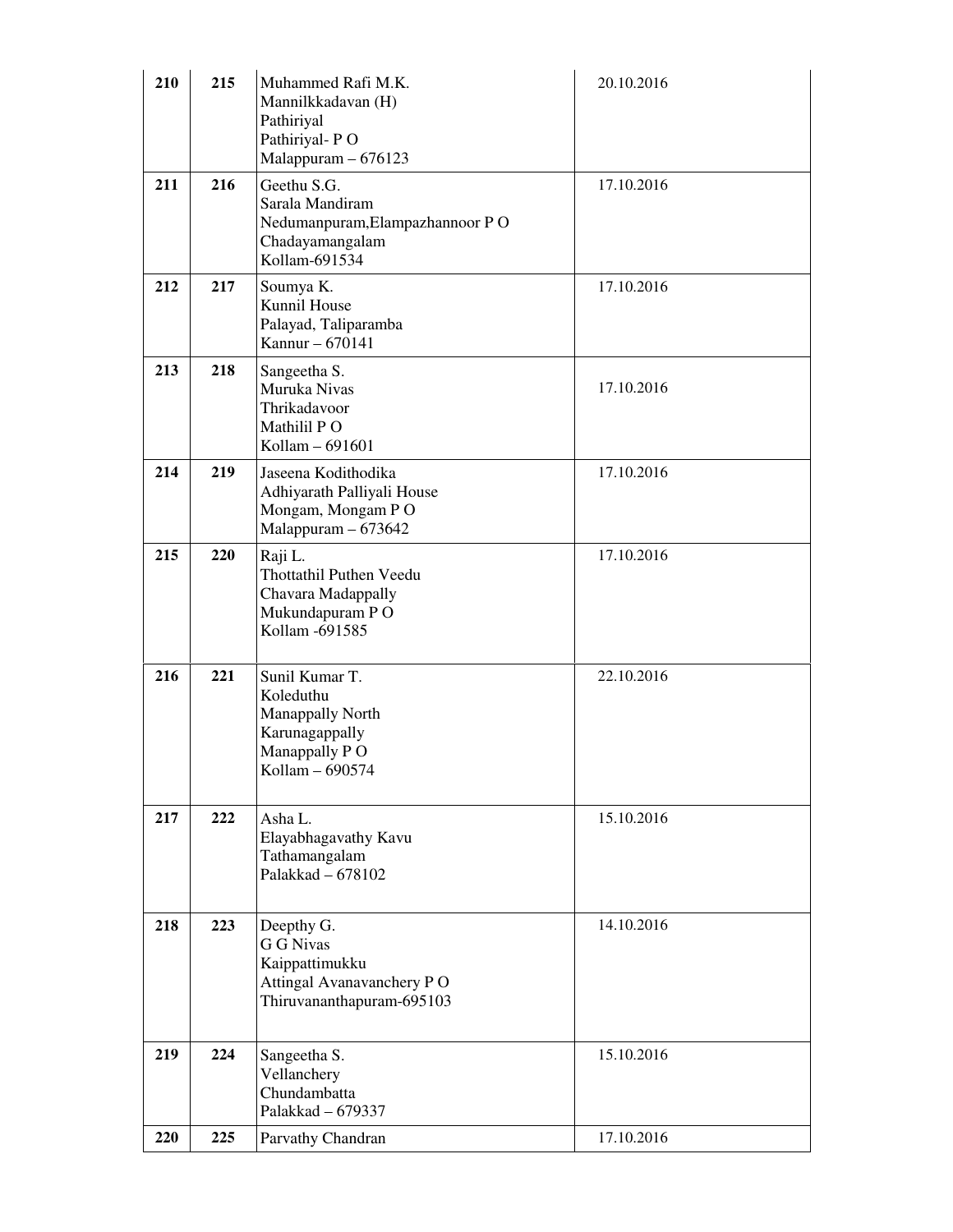| 210 | 215 | Muhammed Rafi M.K.<br>Mannilkkadavan (H)<br>Pathiriyal<br>Pathiriyal-PO<br>Malappuram - 676123             | 20.10.2016 |
|-----|-----|------------------------------------------------------------------------------------------------------------|------------|
| 211 | 216 | Geethu S.G.<br>Sarala Mandiram<br>Nedumanpuram, Elampazhannoor PO<br>Chadayamangalam<br>Kollam-691534      | 17.10.2016 |
| 212 | 217 | Soumya K.<br>Kunnil House<br>Palayad, Taliparamba<br>Kannur - 670141                                       | 17.10.2016 |
| 213 | 218 | Sangeetha S.<br>Muruka Nivas<br>Thrikadavoor<br>Mathilil PO<br>Kollam - 691601                             | 17.10.2016 |
| 214 | 219 | Jaseena Kodithodika<br>Adhiyarath Palliyali House<br>Mongam, Mongam PO<br>Malappuram - 673642              | 17.10.2016 |
| 215 | 220 | Raji L.<br><b>Thottathil Puthen Veedu</b><br>Chavara Madappally<br>Mukundapuram PO<br>Kollam -691585       | 17.10.2016 |
| 216 | 221 | Sunil Kumar T.<br>Koleduthu<br>Manappally North<br>Karunagappally<br>Manappally PO<br>Kollam - 690574      | 22.10.2016 |
| 217 | 222 | Asha L.<br>Elayabhagavathy Kavu<br>Tathamangalam<br>Palakkad - 678102                                      | 15.10.2016 |
| 218 | 223 | Deepthy G.<br><b>G G Nivas</b><br>Kaippattimukku<br>Attingal Avanavanchery PO<br>Thiruvananthapuram-695103 | 14.10.2016 |
| 219 | 224 | Sangeetha S.<br>Vellanchery<br>Chundambatta<br>Palakkad - 679337                                           | 15.10.2016 |
| 220 | 225 | Parvathy Chandran                                                                                          | 17.10.2016 |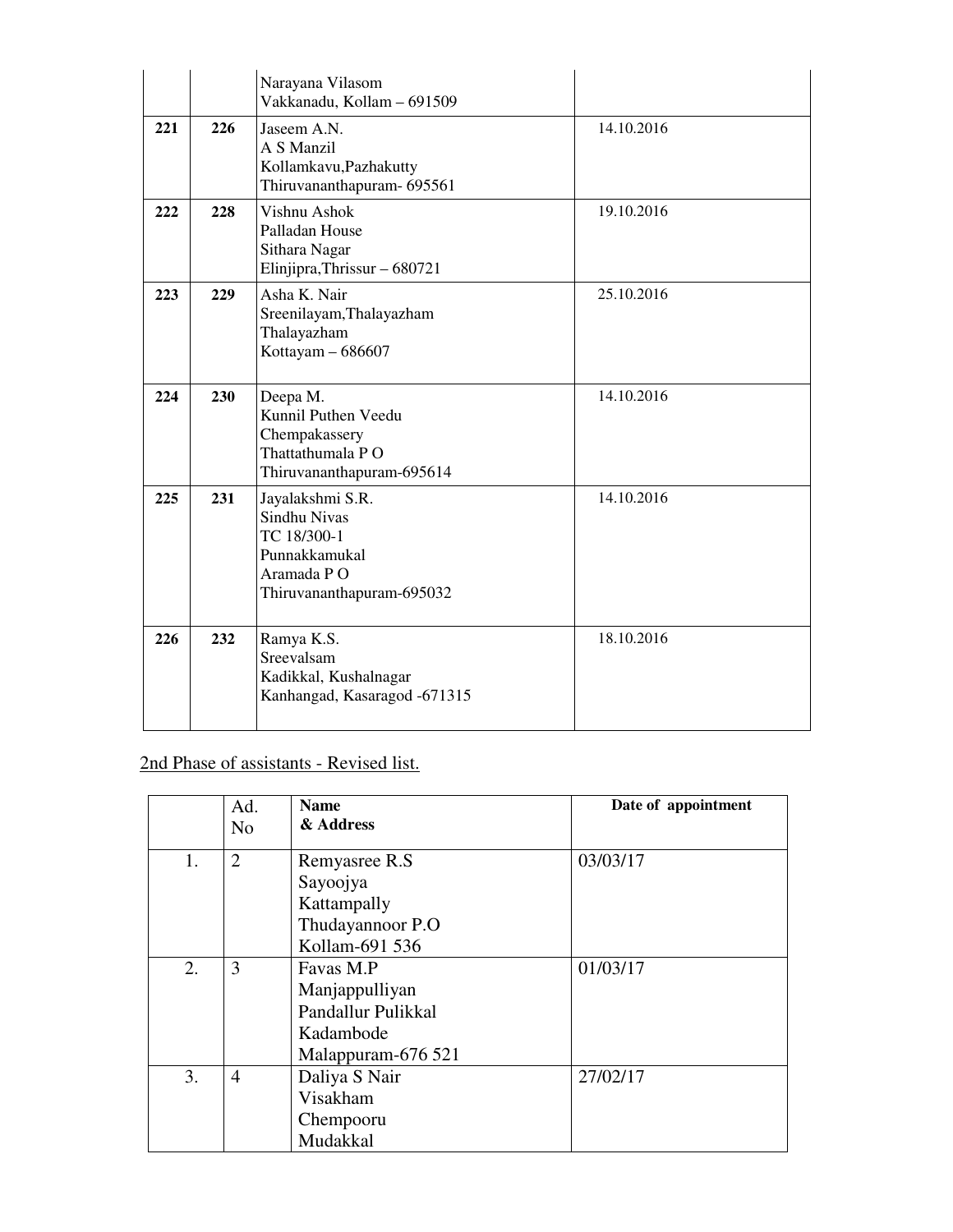|     |     | Narayana Vilasom<br>Vakkanadu, Kollam - 691509                                                              |            |
|-----|-----|-------------------------------------------------------------------------------------------------------------|------------|
| 221 | 226 | Jaseem A.N.<br>A S Manzil<br>Kollamkavu, Pazhakutty<br>Thiruvananthapuram- 695561                           | 14.10.2016 |
| 222 | 228 | Vishnu Ashok<br>Palladan House<br>Sithara Nagar<br>Elinjipra, Thrissur - 680721                             | 19.10.2016 |
| 223 | 229 | Asha K. Nair<br>Sreenilayam, Thalayazham<br>Thalayazham<br>Kottayam $-686607$                               | 25.10.2016 |
| 224 | 230 | Deepa M.<br>Kunnil Puthen Veedu<br>Chempakassery<br>Thattathumala PO<br>Thiruvananthapuram-695614           | 14.10.2016 |
| 225 | 231 | Jayalakshmi S.R.<br>Sindhu Nivas<br>TC 18/300-1<br>Punnakkamukal<br>Aramada PO<br>Thiruvananthapuram-695032 | 14.10.2016 |
| 226 | 232 | Ramya K.S.<br>Sreevalsam<br>Kadikkal, Kushalnagar<br>Kanhangad, Kasaragod -671315                           | 18.10.2016 |

2nd Phase of assistants - Revised list.

|    | Ad.<br>N <sub>o</sub> | <b>Name</b><br>& Address | Date of appointment |
|----|-----------------------|--------------------------|---------------------|
| 1. | $\overline{2}$        | Remyasree R.S            | 03/03/17            |
|    |                       | Sayoojya                 |                     |
|    |                       | Kattampally              |                     |
|    |                       | Thudayannoor P.O         |                     |
|    |                       | Kollam-691 536           |                     |
| 2. | 3                     | Favas M.P                | 01/03/17            |
|    |                       | Manjappulliyan           |                     |
|    |                       | Pandallur Pulikkal       |                     |
|    |                       | Kadambode                |                     |
|    |                       | Malappuram-676 521       |                     |
| 3. | $\overline{4}$        | Daliya S Nair            | 27/02/17            |
|    |                       | Visakham                 |                     |
|    |                       | Chempooru                |                     |
|    |                       | Mudakkal                 |                     |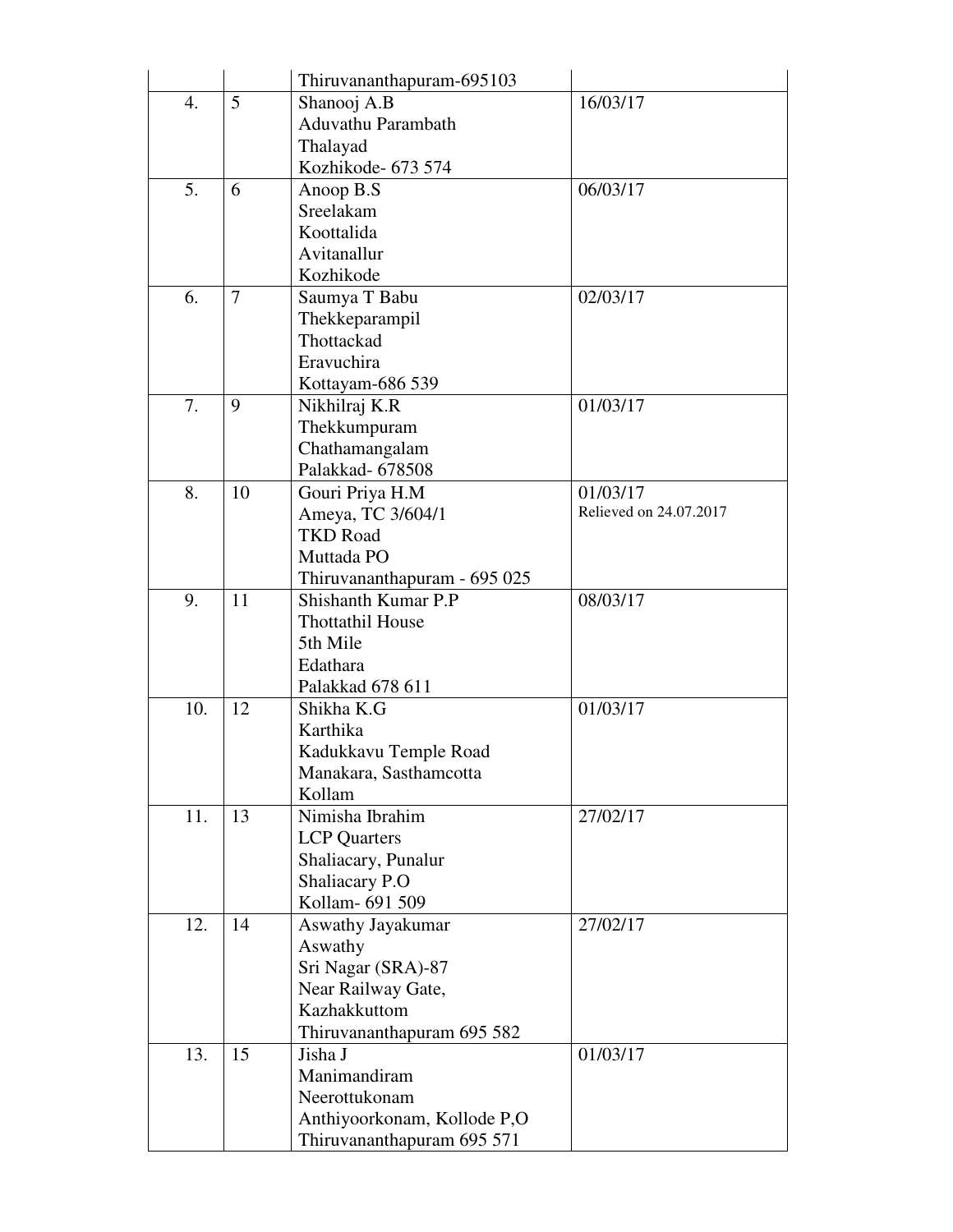|     |    | Thiruvananthapuram-695103           |                        |
|-----|----|-------------------------------------|------------------------|
| 4.  | 5  | Shanooj A.B                         | 16/03/17               |
|     |    | Aduvathu Parambath                  |                        |
|     |    | Thalayad                            |                        |
|     |    | Kozhikode- 673 574                  |                        |
| 5.  | 6  | Anoop B.S                           | 06/03/17               |
|     |    | Sreelakam                           |                        |
|     |    | Koottalida                          |                        |
|     |    | Avitanallur                         |                        |
|     |    | Kozhikode                           |                        |
| 6.  | 7  | Saumya T Babu                       | 02/03/17               |
|     |    | Thekkeparampil                      |                        |
|     |    | Thottackad                          |                        |
|     |    | Eravuchira                          |                        |
|     |    | Kottayam-686 539                    |                        |
| 7.  | 9  | Nikhilraj K.R                       | 01/03/17               |
|     |    | Thekkumpuram                        |                        |
|     |    | Chathamangalam                      |                        |
|     |    | Palakkad- 678508                    |                        |
| 8.  | 10 | Gouri Priya H.M                     | 01/03/17               |
|     |    | Ameya, TC 3/604/1                   | Relieved on 24.07.2017 |
|     |    | <b>TKD Road</b>                     |                        |
|     |    | Muttada PO                          |                        |
|     |    | Thiruvananthapuram - 695 025        |                        |
| 9.  | 11 | Shishanth Kumar P.P                 | 08/03/17               |
|     |    | <b>Thottathil House</b><br>5th Mile |                        |
|     |    | Edathara                            |                        |
|     |    | Palakkad 678 611                    |                        |
| 10. | 12 | Shikha K.G                          | 01/03/17               |
|     |    | Karthika                            |                        |
|     |    | Kadukkavu Temple Road               |                        |
|     |    | Manakara, Sasthamcotta              |                        |
|     |    | Kollam                              |                        |
| 11. | 13 | Nimisha Ibrahim                     | 27/02/17               |
|     |    | <b>LCP</b> Quarters                 |                        |
|     |    | Shaliacary, Punalur                 |                        |
|     |    | Shaliacary P.O                      |                        |
|     |    | Kollam- 691 509                     |                        |
| 12. | 14 | Aswathy Jayakumar                   | 27/02/17               |
|     |    | Aswathy                             |                        |
|     |    | Sri Nagar (SRA)-87                  |                        |
|     |    | Near Railway Gate,                  |                        |
|     |    | Kazhakkuttom                        |                        |
|     |    | Thiruvananthapuram 695 582          |                        |
| 13. | 15 | Jisha J                             | 01/03/17               |
|     |    | Manimandiram                        |                        |
|     |    | Neerottukonam                       |                        |
|     |    | Anthiyoorkonam, Kollode P,O         |                        |
|     |    | Thiruvananthapuram 695 571          |                        |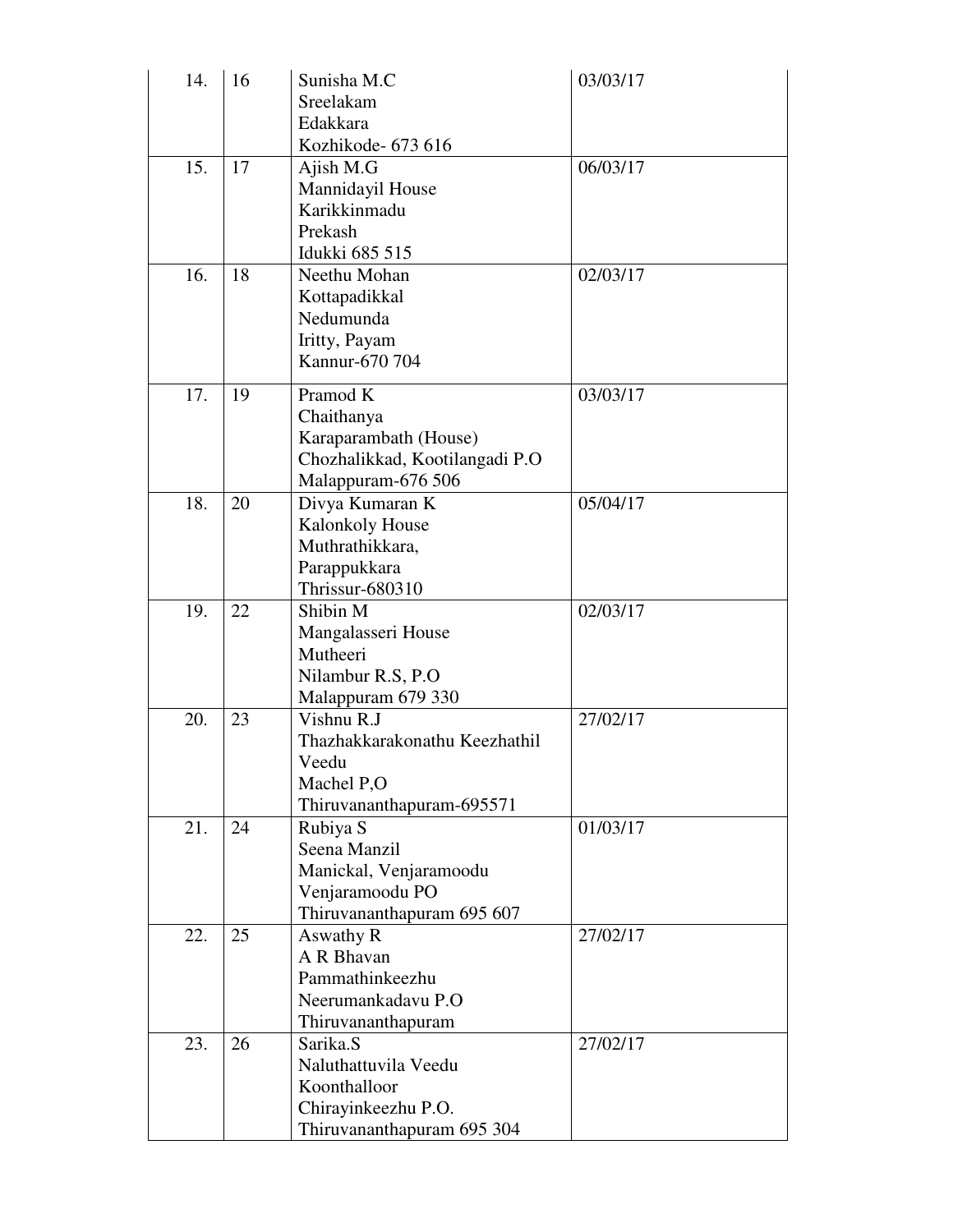| 14. | 16 | Sunisha M.C<br>Sreelakam<br>Edakkara<br>Kozhikode- 673 616                                              | 03/03/17 |
|-----|----|---------------------------------------------------------------------------------------------------------|----------|
| 15. | 17 | Ajish M.G<br>Mannidayil House<br>Karikkinmadu<br>Prekash<br>Idukki 685 515                              | 06/03/17 |
| 16. | 18 | Neethu Mohan<br>Kottapadikkal<br>Nedumunda<br>Iritty, Payam<br>Kannur-670 704                           | 02/03/17 |
| 17. | 19 | Pramod K<br>Chaithanya<br>Karaparambath (House)<br>Chozhalikkad, Kootilangadi P.O<br>Malappuram-676 506 | 03/03/17 |
| 18. | 20 | Divya Kumaran K<br><b>Kalonkoly House</b><br>Muthrathikkara,<br>Parappukkara<br>Thrissur-680310         | 05/04/17 |
| 19. | 22 | Shibin M<br>Mangalasseri House<br>Mutheeri<br>Nilambur R.S, P.O<br>Malappuram 679 330                   | 02/03/17 |
| 20. | 23 | Vishnu R.J<br>Thazhakkarakonathu Keezhathil<br>Veedu<br>Machel P,O<br>Thiruvananthapuram-695571         | 27/02/17 |
| 21. | 24 | Rubiya S<br>Seena Manzil<br>Manickal, Venjaramoodu<br>Venjaramoodu PO<br>Thiruvananthapuram 695 607     | 01/03/17 |
| 22. | 25 | Aswathy R<br>A R Bhavan<br>Pammathinkeezhu<br>Neerumankadavu P.O<br>Thiruvananthapuram                  | 27/02/17 |
| 23. | 26 | Sarika.S<br>Naluthattuvila Veedu<br>Koonthalloor<br>Chirayinkeezhu P.O.<br>Thiruvananthapuram 695 304   | 27/02/17 |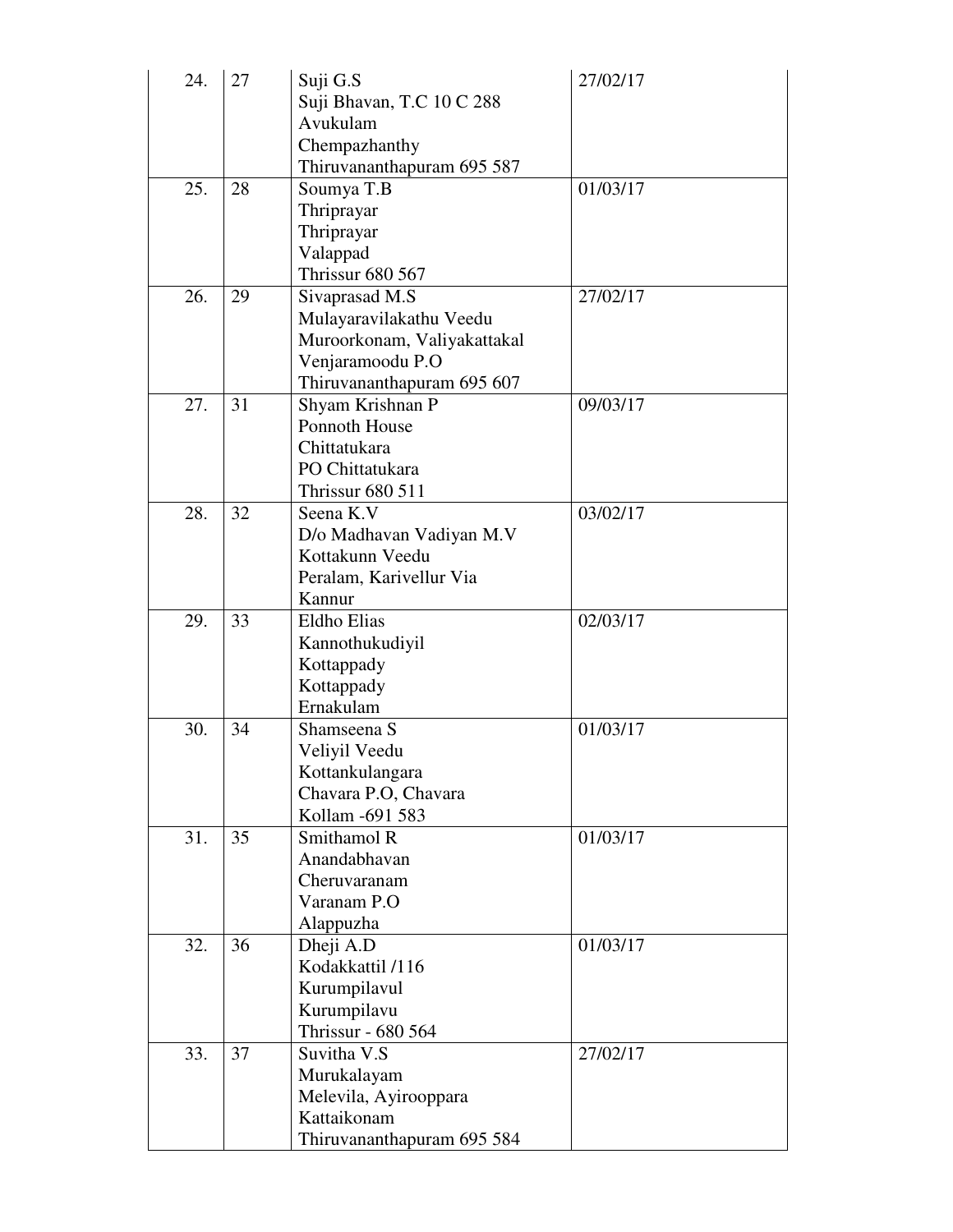| 24. | 27 | Suji G.S<br>Suji Bhavan, T.C 10 C 288<br>Avukulam<br>Chempazhanthy | 27/02/17 |
|-----|----|--------------------------------------------------------------------|----------|
|     |    | Thiruvananthapuram 695 587                                         |          |
| 25. | 28 | Soumya T.B                                                         | 01/03/17 |
|     |    | Thriprayar                                                         |          |
|     |    | Thriprayar                                                         |          |
|     |    | Valappad                                                           |          |
|     |    | <b>Thrissur 680 567</b>                                            |          |
| 26. | 29 | Sivaprasad M.S                                                     | 27/02/17 |
|     |    | Mulayaravilakathu Veedu                                            |          |
|     |    | Muroorkonam, Valiyakattakal                                        |          |
|     |    | Venjaramoodu P.O                                                   |          |
|     |    | Thiruvananthapuram 695 607                                         |          |
| 27. | 31 | Shyam Krishnan P                                                   | 09/03/17 |
|     |    | Ponnoth House                                                      |          |
|     |    | Chittatukara                                                       |          |
|     |    | PO Chittatukara                                                    |          |
|     |    | <b>Thrissur 680 511</b>                                            |          |
| 28. | 32 | Seena K.V                                                          | 03/02/17 |
|     |    | D/o Madhavan Vadiyan M.V                                           |          |
|     |    | Kottakunn Veedu                                                    |          |
|     |    | Peralam, Karivellur Via                                            |          |
|     |    | Kannur                                                             |          |
| 29. | 33 | Eldho Elias                                                        | 02/03/17 |
|     |    | Kannothukudiyil                                                    |          |
|     |    | Kottappady                                                         |          |
|     |    | Kottappady                                                         |          |
|     |    | Ernakulam                                                          |          |
| 30. | 34 | Shamseena S                                                        | 01/03/17 |
|     |    | Veliyil Veedu<br>Kottankulangara                                   |          |
|     |    | Chavara P.O, Chavara                                               |          |
|     |    | Kollam - 691 583                                                   |          |
| 31. | 35 | Smithamol R                                                        | 01/03/17 |
|     |    | Anandabhavan                                                       |          |
|     |    | Cheruvaranam                                                       |          |
|     |    | Varanam P.O                                                        |          |
|     |    | Alappuzha                                                          |          |
| 32. | 36 | Dheji A.D                                                          | 01/03/17 |
|     |    | Kodakkattil /116                                                   |          |
|     |    | Kurumpilavul                                                       |          |
|     |    | Kurumpilavu                                                        |          |
|     |    | Thrissur - 680 564                                                 |          |
| 33. | 37 | Suvitha V.S                                                        | 27/02/17 |
|     |    | Murukalayam                                                        |          |
|     |    | Melevila, Ayirooppara                                              |          |
|     |    | Kattaikonam                                                        |          |
|     |    | Thiruvananthapuram 695 584                                         |          |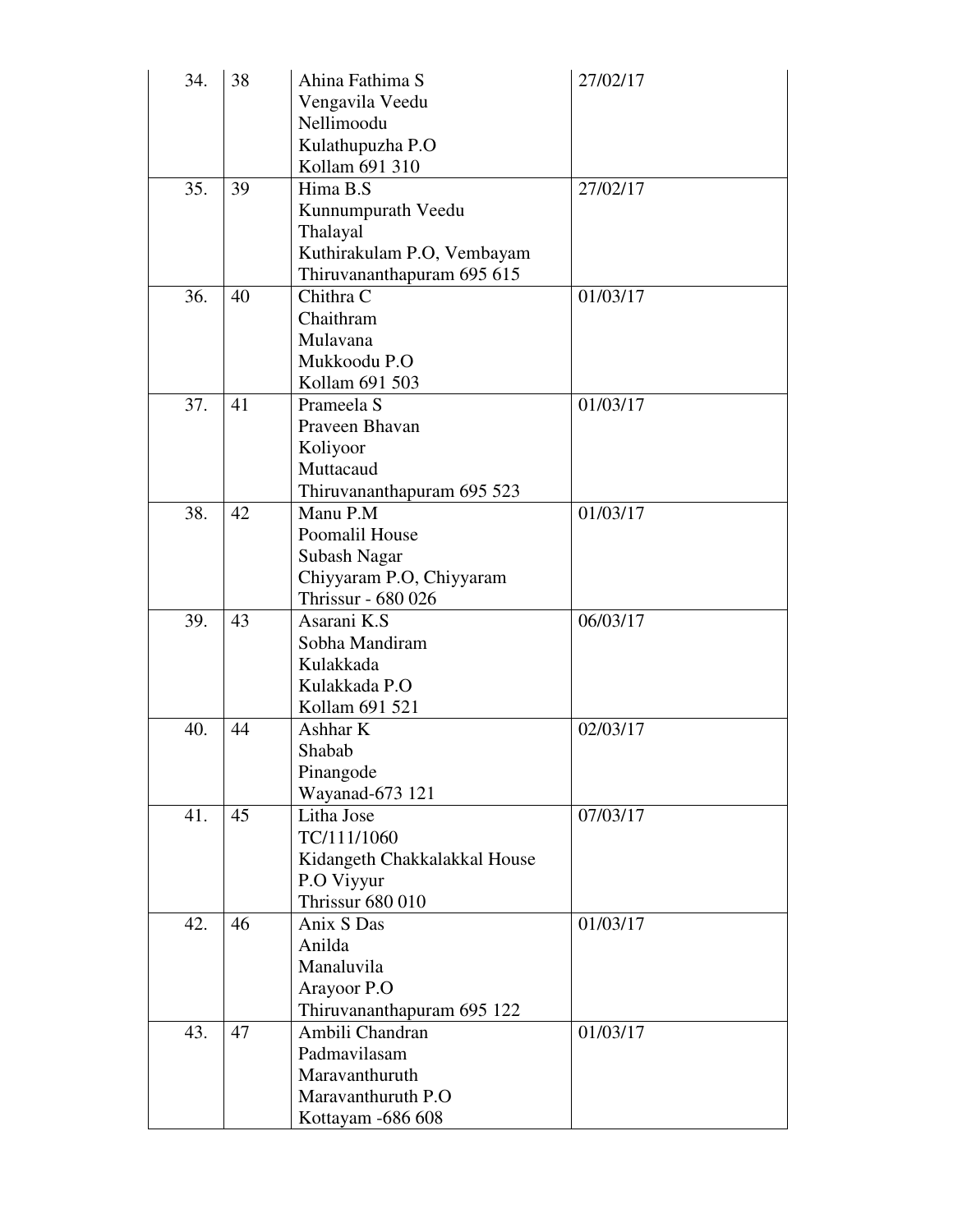| 34. | 38 | Ahina Fathima S<br>Vengavila Veedu<br>Nellimoodu<br>Kulathupuzha P.O<br>Kollam 691 310                 | 27/02/17 |
|-----|----|--------------------------------------------------------------------------------------------------------|----------|
| 35. | 39 | Hima B.S<br>Kunnumpurath Veedu<br>Thalayal<br>Kuthirakulam P.O, Vembayam<br>Thiruvananthapuram 695 615 | 27/02/17 |
| 36. | 40 | Chithra C<br>Chaithram<br>Mulavana<br>Mukkoodu P.O<br>Kollam 691 503                                   | 01/03/17 |
| 37. | 41 | Prameela S<br>Praveen Bhavan<br>Koliyoor<br>Muttacaud<br>Thiruvananthapuram 695 523                    | 01/03/17 |
| 38. | 42 | Manu P.M<br>Poomalil House<br>Subash Nagar<br>Chiyyaram P.O, Chiyyaram<br>Thrissur - 680 026           | 01/03/17 |
| 39. | 43 | Asarani K.S<br>Sobha Mandiram<br>Kulakkada<br>Kulakkada P.O<br>Kollam 691 521                          | 06/03/17 |
| 40. | 44 | Ashhar K<br>Shabab<br>Pinangode<br>Wayanad-673 121                                                     | 02/03/17 |
| 41. | 45 | Litha Jose<br>TC/111/1060<br>Kidangeth Chakkalakkal House<br>P.O Viyyur<br><b>Thrissur 680 010</b>     | 07/03/17 |
| 42. | 46 | Anix S Das<br>Anilda<br>Manaluvila<br>Arayoor P.O<br>Thiruvananthapuram 695 122                        | 01/03/17 |
| 43. | 47 | Ambili Chandran<br>Padmavilasam<br>Maravanthuruth<br>Maravanthuruth P.O<br>Kottayam -686 608           | 01/03/17 |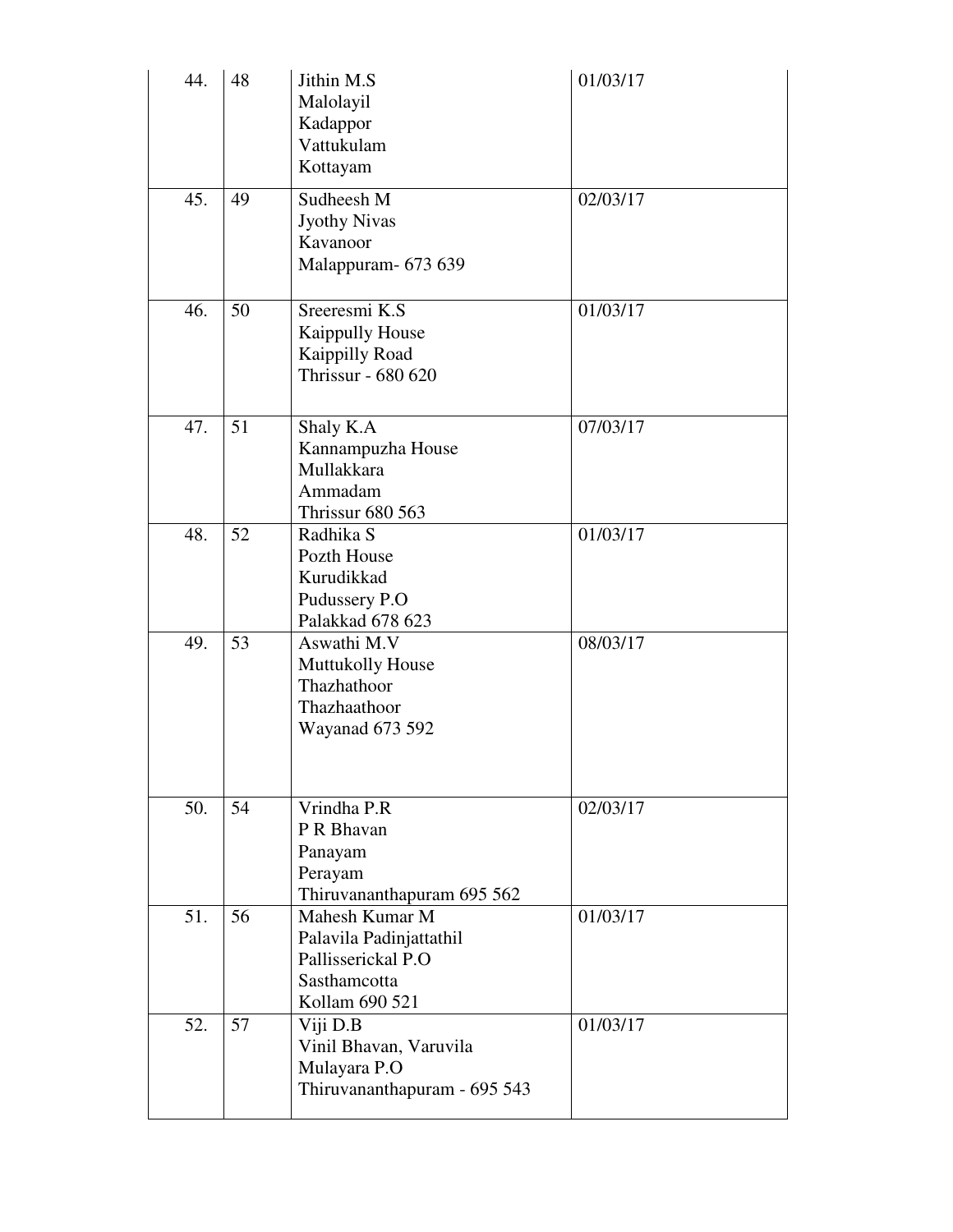| 44. | 48 | Jithin M.S<br>Malolayil<br>Kadappor<br>Vattukulam<br>Kottayam                                            | 01/03/17 |
|-----|----|----------------------------------------------------------------------------------------------------------|----------|
| 45. | 49 | Sudheesh M<br><b>Jyothy Nivas</b><br>Kavanoor<br>Malappuram- 673 639                                     | 02/03/17 |
| 46. | 50 | Sreeresmi $K.\overline{S}$<br>Kaippully House<br>Kaippilly Road<br>Thrissur - 680 620                    | 01/03/17 |
| 47. | 51 | Shaly K.A<br>Kannampuzha House<br>Mullakkara<br>Ammadam<br><b>Thrissur 680 563</b>                       | 07/03/17 |
| 48. | 52 | Radhika S<br>Pozth House<br>Kurudikkad<br>Pudussery P.O<br>Palakkad 678 623                              | 01/03/17 |
| 49. | 53 | Aswathi M.V<br><b>Muttukolly House</b><br>Thazhathoor<br>Thazhaathoor<br>Wayanad 673 592                 | 08/03/17 |
| 50. | 54 | Vrindha P.R<br>P R Bhavan<br>Panayam<br>Perayam<br>Thiruvananthapuram 695 562                            | 02/03/17 |
| 51. | 56 | Mahesh Kumar M<br>Palavila Padinjattathil<br>Pallisserickal P.O<br><b>Sasthamcotta</b><br>Kollam 690 521 | 01/03/17 |
| 52. | 57 | Viji D.B<br>Vinil Bhavan, Varuvila<br>Mulayara P.O<br>Thiruvananthapuram - 695 543                       | 01/03/17 |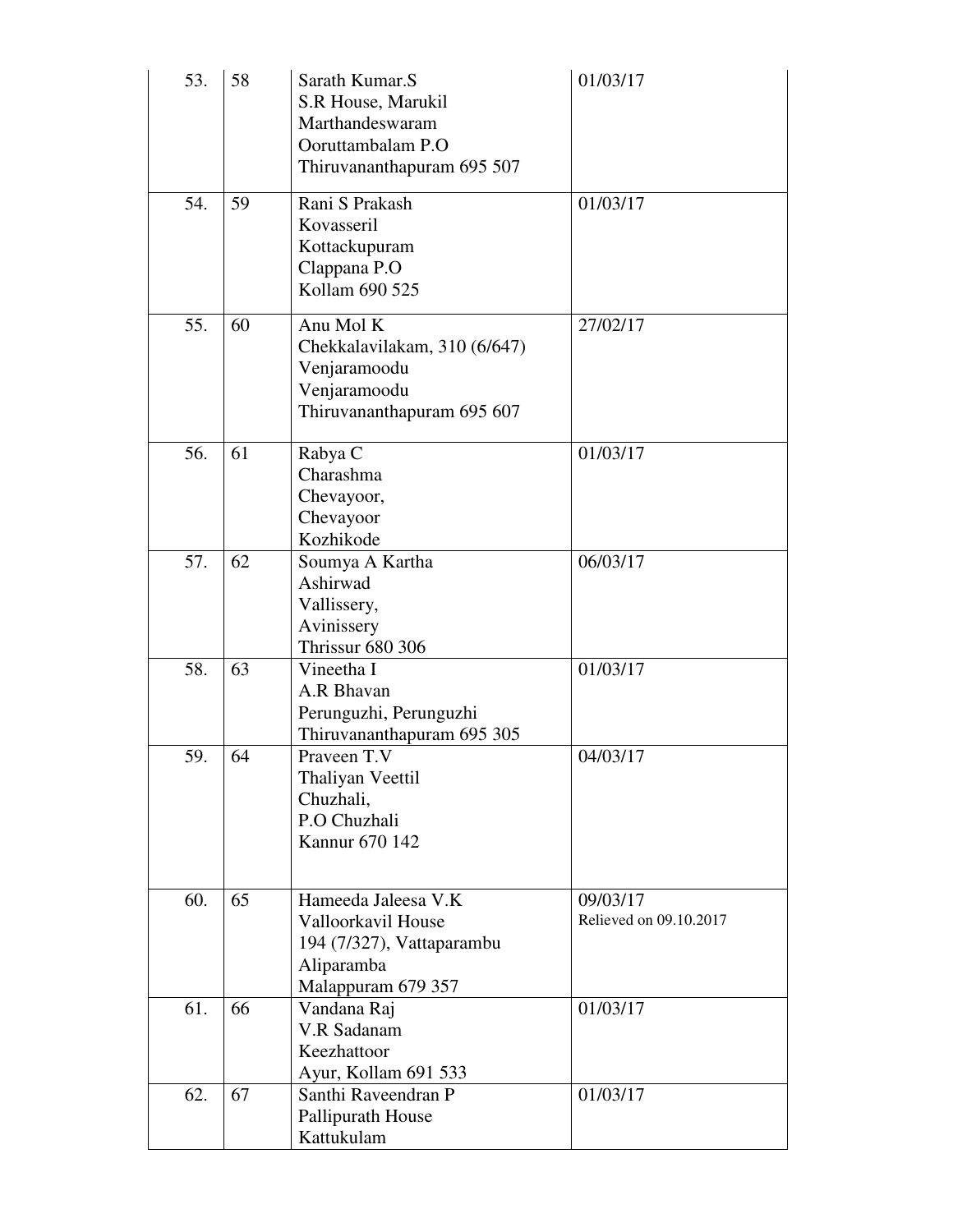| 53.               | 58 | Sarath Kumar.S<br>S.R House, Marukil<br>Marthandeswaram<br>Ooruttambalam P.O<br>Thiruvananthapuram 695 507 | 01/03/17                           |
|-------------------|----|------------------------------------------------------------------------------------------------------------|------------------------------------|
| 54.               | 59 | Rani S Prakash<br>Kovasseril<br>Kottackupuram<br>Clappana P.O<br>Kollam 690 525                            | 01/03/17                           |
| 55.               | 60 | Anu Mol K<br>Chekkalavilakam, 310 (6/647)<br>Venjaramoodu<br>Venjaramoodu<br>Thiruvananthapuram 695 607    | 27/02/17                           |
| 56.               | 61 | Rabya C<br>Charashma<br>Chevayoor,<br>Chevayoor<br>Kozhikode                                               | 01/03/17                           |
| $\overline{57}$ . | 62 | Soumya A Kartha<br>Ashirwad<br>Vallissery,<br>Avinissery<br><b>Thrissur 680 306</b>                        | 06/03/17                           |
| 58.               | 63 | Vineetha I<br>A.R Bhavan<br>Perunguzhi, Perunguzhi<br>Thiruvananthapuram 695 305                           | 01/03/17                           |
| 59.               | 64 | Praveen T.V<br>Thaliyan Veettil<br>Chuzhali,<br>P.O Chuzhali<br>Kannur 670 142                             | 04/03/17                           |
| 60.               | 65 | Hameeda Jaleesa V.K<br>Valloorkavil House<br>194 (7/327), Vattaparambu<br>Aliparamba<br>Malappuram 679 357 | 09/03/17<br>Relieved on 09.10.2017 |
| 61.               | 66 | Vandana Raj<br>V.R Sadanam<br>Keezhattoor<br>Ayur, Kollam 691 533                                          | 01/03/17                           |
| 62.               | 67 | Santhi Raveendran P<br>Pallipurath House<br>Kattukulam                                                     | 01/03/17                           |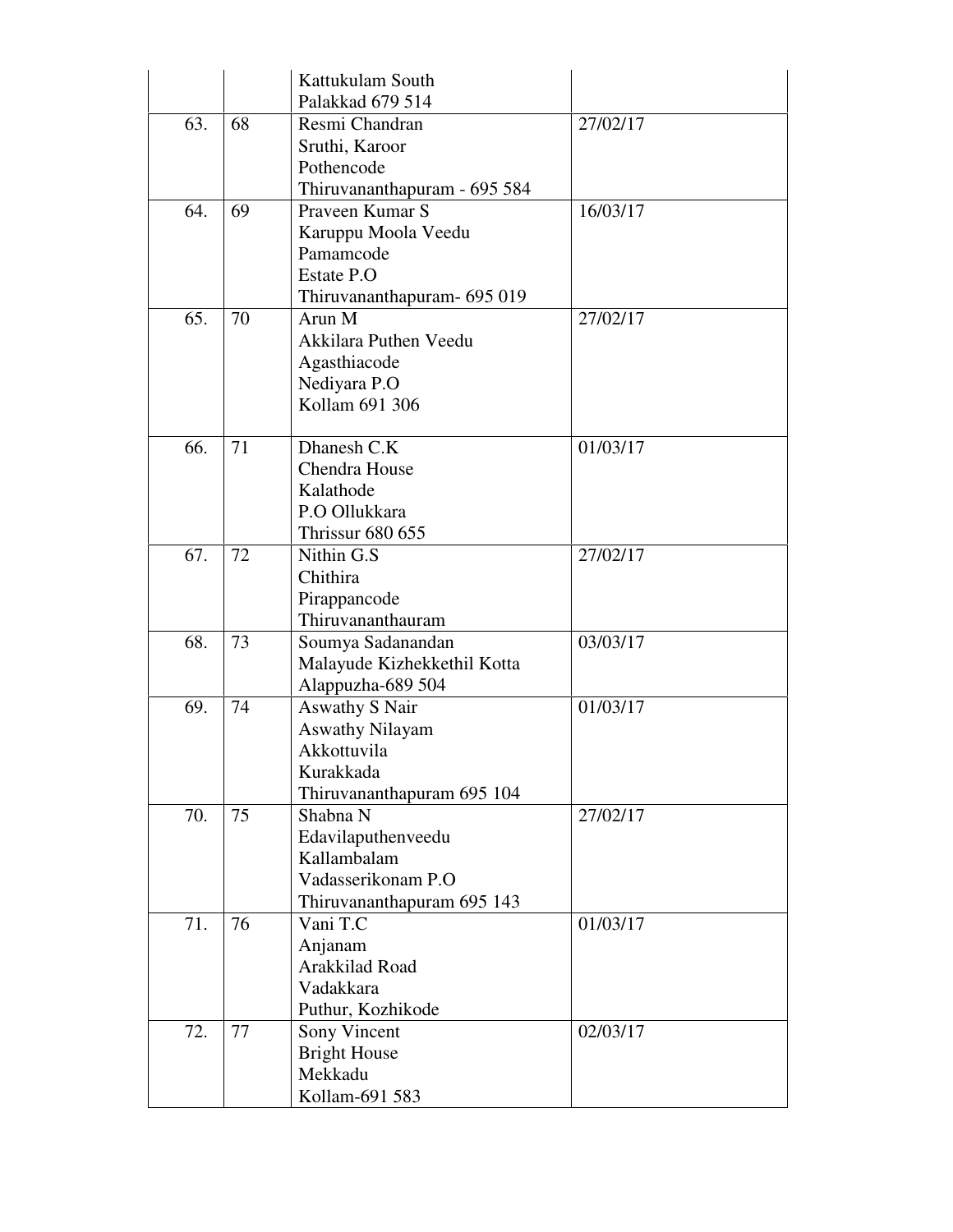|     |    | Kattukulam South                        |          |
|-----|----|-----------------------------------------|----------|
|     |    | Palakkad 679 514                        |          |
| 63. | 68 | Resmi Chandran                          | 27/02/17 |
|     |    | Sruthi, Karoor                          |          |
|     |    | Pothencode                              |          |
|     |    | Thiruvananthapuram - 695 584            |          |
| 64. | 69 | Praveen Kumar S                         | 16/03/17 |
|     |    | Karuppu Moola Veedu                     |          |
|     |    | Pamamcode                               |          |
|     |    | Estate P.O                              |          |
|     |    | Thiruvananthapuram- 695 019             |          |
| 65. | 70 | Arun M                                  | 27/02/17 |
|     |    | Akkilara Puthen Veedu                   |          |
|     |    | Agasthiacode                            |          |
|     |    | Nediyara P.O                            |          |
|     |    | Kollam 691 306                          |          |
|     |    |                                         |          |
| 66. | 71 | Dhanesh C.K                             | 01/03/17 |
|     |    | Chendra House                           |          |
|     |    | Kalathode                               |          |
|     |    | P.O Ollukkara                           |          |
|     |    | <b>Thrissur 680 655</b>                 |          |
| 67. | 72 | Nithin G.S                              | 27/02/17 |
|     |    | Chithira                                |          |
|     |    | Pirappancode                            |          |
|     |    | Thiruvananthauram                       |          |
| 68. | 73 | Soumya Sadanandan                       | 03/03/17 |
|     |    | Malayude Kizhekkethil Kotta             |          |
|     |    | Alappuzha-689 504                       |          |
| 69. | 74 | <b>Aswathy S Nair</b>                   | 01/03/17 |
|     |    | <b>Aswathy Nilayam</b><br>Akkottuvila   |          |
|     |    |                                         |          |
|     |    | Kurakkada<br>Thiruvananthapuram 695 104 |          |
| 70. | 75 | Shabna N                                | 27/02/17 |
|     |    | Edavilaputhenveedu                      |          |
|     |    | Kallambalam                             |          |
|     |    | Vadasserikonam P.O                      |          |
|     |    | Thiruvananthapuram 695 143              |          |
| 71. | 76 | Vani T.C                                | 01/03/17 |
|     |    | Anjanam                                 |          |
|     |    | Arakkilad Road                          |          |
|     |    | Vadakkara                               |          |
|     |    | Puthur, Kozhikode                       |          |
| 72. | 77 | Sony Vincent                            | 02/03/17 |
|     |    | <b>Bright House</b>                     |          |
|     |    | Mekkadu                                 |          |
|     |    | Kollam-691 583                          |          |
|     |    |                                         |          |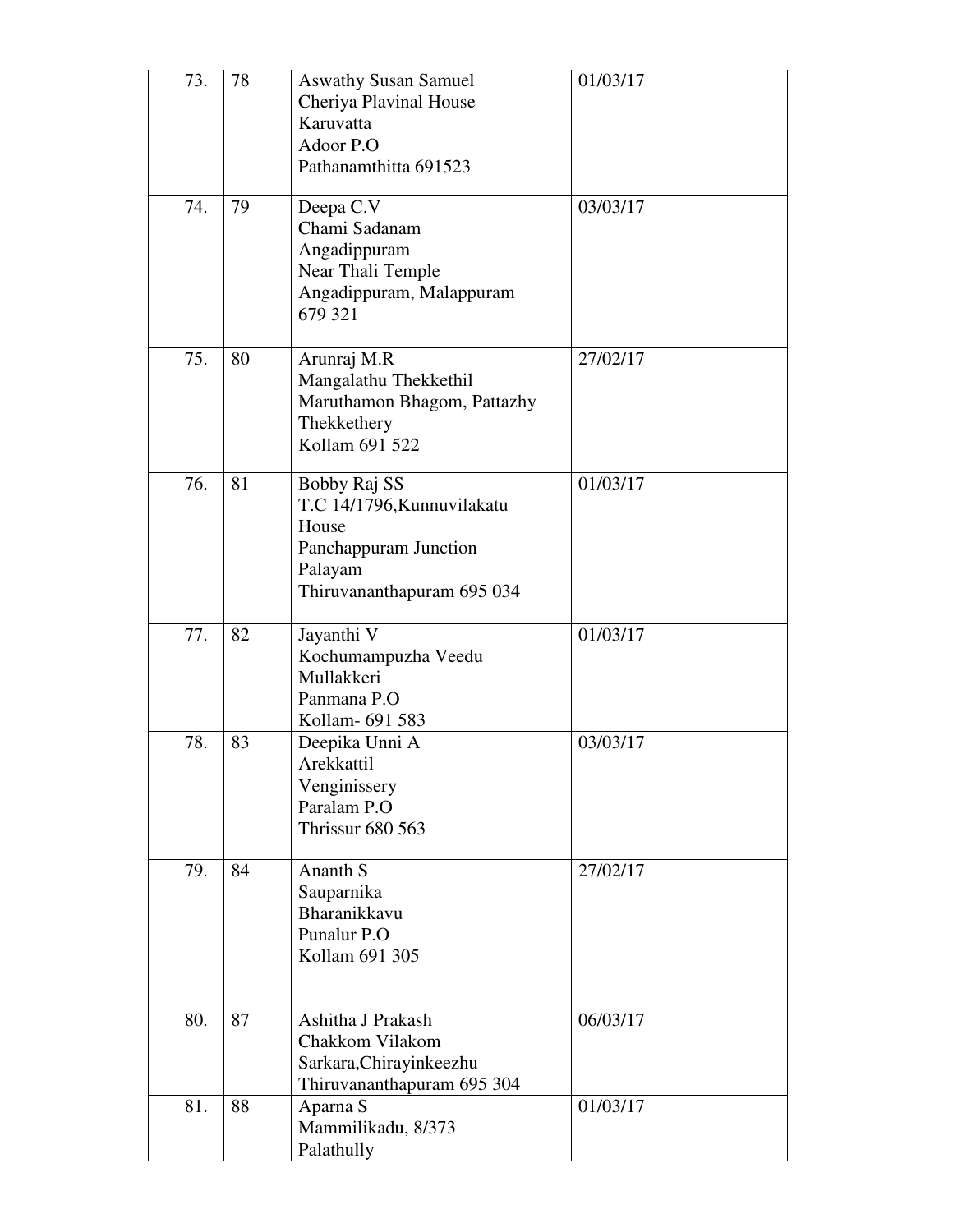| 73. | 78 | <b>Aswathy Susan Samuel</b><br>Cheriya Plavinal House<br>Karuvatta<br>Adoor P.O<br>Pathanamthitta 691523              | 01/03/17 |
|-----|----|-----------------------------------------------------------------------------------------------------------------------|----------|
| 74. | 79 | Deepa C.V<br>Chami Sadanam<br>Angadippuram<br>Near Thali Temple<br>Angadippuram, Malappuram<br>679 321                | 03/03/17 |
| 75. | 80 | Arunraj M.R<br>Mangalathu Thekkethil<br>Maruthamon Bhagom, Pattazhy<br>Thekkethery<br>Kollam 691 522                  | 27/02/17 |
| 76. | 81 | Bobby Raj SS<br>T.C 14/1796, Kunnuvilakatu<br>House<br>Panchappuram Junction<br>Palayam<br>Thiruvananthapuram 695 034 | 01/03/17 |
| 77. | 82 | Jayanthi V<br>Kochumampuzha Veedu<br>Mullakkeri<br>Panmana P.O<br>Kollam- 691 583                                     | 01/03/17 |
| 78. | 83 | Deepika Unni A<br>Arekkattil<br>Venginissery<br>Paralam P.O<br><b>Thrissur 680 563</b>                                | 03/03/17 |
| 79. | 84 | Ananth S<br>Sauparnika<br>Bharanikkavu<br>Punalur P.O<br>Kollam 691 305                                               | 27/02/17 |
| 80. | 87 | Ashitha J Prakash<br>Chakkom Vilakom<br>Sarkara, Chirayinkeezhu<br>Thiruvananthapuram 695 304                         | 06/03/17 |
| 81. | 88 | Aparna S<br>Mammilikadu, 8/373<br>Palathully                                                                          | 01/03/17 |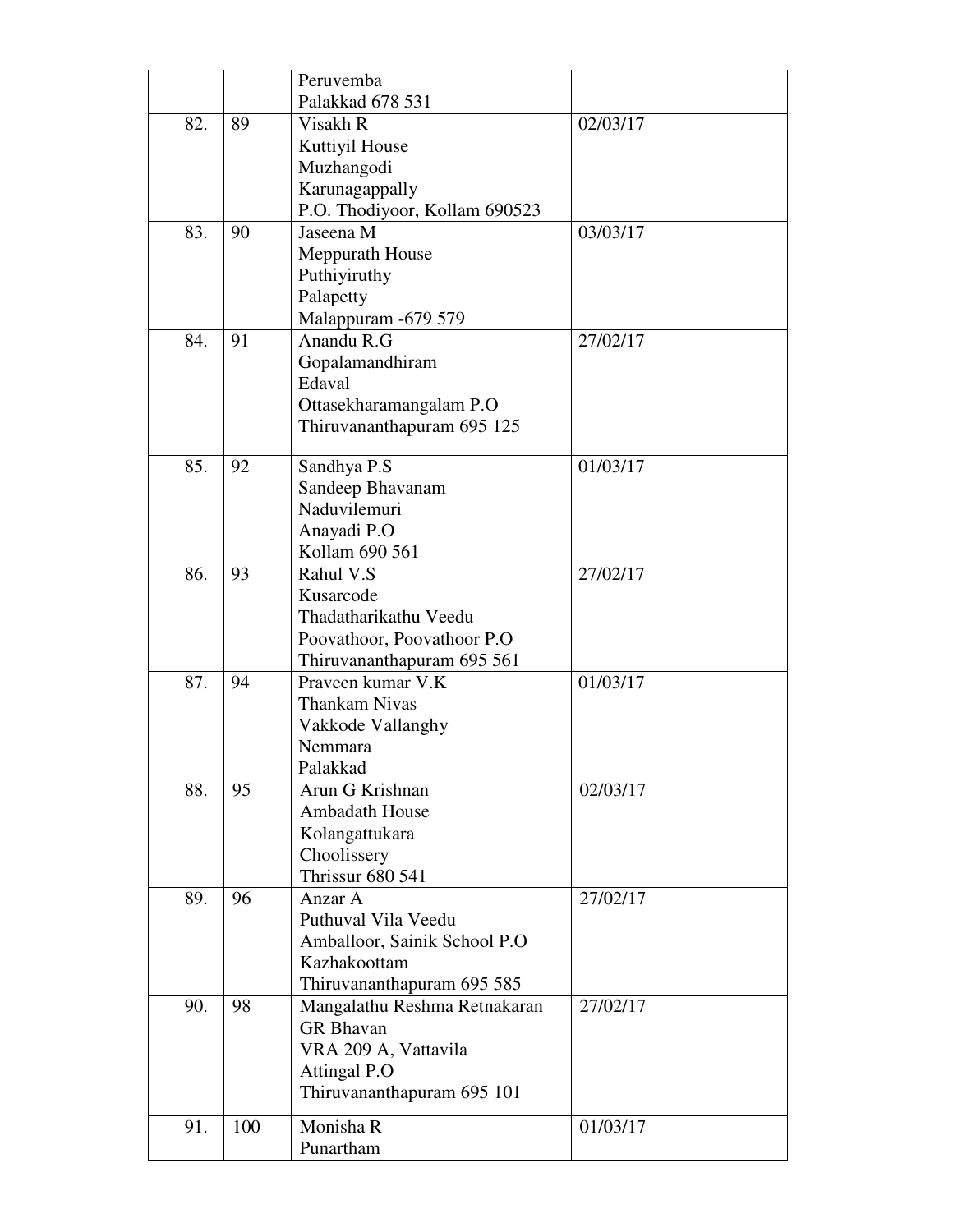|     |     | Peruvemba                     |          |
|-----|-----|-------------------------------|----------|
|     |     | Palakkad 678 531              |          |
| 82. | 89  | Visakh R                      | 02/03/17 |
|     |     | Kuttiyil House                |          |
|     |     | Muzhangodi                    |          |
|     |     | Karunagappally                |          |
|     |     | P.O. Thodiyoor, Kollam 690523 |          |
| 83. | 90  | Jaseena M                     | 03/03/17 |
|     |     | Meppurath House               |          |
|     |     | Puthiyiruthy                  |          |
|     |     | Palapetty                     |          |
|     |     | Malappuram -679 579           |          |
| 84. | 91  | Anandu R.G                    | 27/02/17 |
|     |     | Gopalamandhiram               |          |
|     |     | Edaval                        |          |
|     |     | Ottasekharamangalam P.O       |          |
|     |     | Thiruvananthapuram 695 125    |          |
| 85. | 92  | Sandhya P.S                   | 01/03/17 |
|     |     | Sandeep Bhavanam              |          |
|     |     | Naduvilemuri                  |          |
|     |     | Anayadi P.O                   |          |
|     |     | Kollam 690 561                |          |
| 86. | 93  | Rahul V.S                     | 27/02/17 |
|     |     | Kusarcode                     |          |
|     |     | Thadatharikathu Veedu         |          |
|     |     | Poovathoor, Poovathoor P.O.   |          |
|     |     | Thiruvananthapuram 695 561    |          |
| 87. | 94  | Praveen kumar V.K             | 01/03/17 |
|     |     | <b>Thankam Nivas</b>          |          |
|     |     | Vakkode Vallanghy             |          |
|     |     | Nemmara                       |          |
|     |     | Palakkad                      |          |
| 88. | 95  | Arun G Krishnan               | 02/03/17 |
|     |     | <b>Ambadath House</b>         |          |
|     |     | Kolangattukara                |          |
|     |     | Choolissery                   |          |
|     |     | <b>Thrissur 680 541</b>       |          |
| 89. | 96  | Anzar A                       | 27/02/17 |
|     |     | Puthuval Vila Veedu           |          |
|     |     | Amballoor, Sainik School P.O. |          |
|     |     | Kazhakoottam                  |          |
|     |     | Thiruvananthapuram 695 585    |          |
| 90. | 98  | Mangalathu Reshma Retnakaran  | 27/02/17 |
|     |     | <b>GR</b> Bhavan              |          |
|     |     | VRA 209 A, Vattavila          |          |
|     |     | <b>Attingal P.O</b>           |          |
|     |     | Thiruvananthapuram 695 101    |          |
| 91. | 100 | Monisha R                     | 01/03/17 |
|     |     | Punartham                     |          |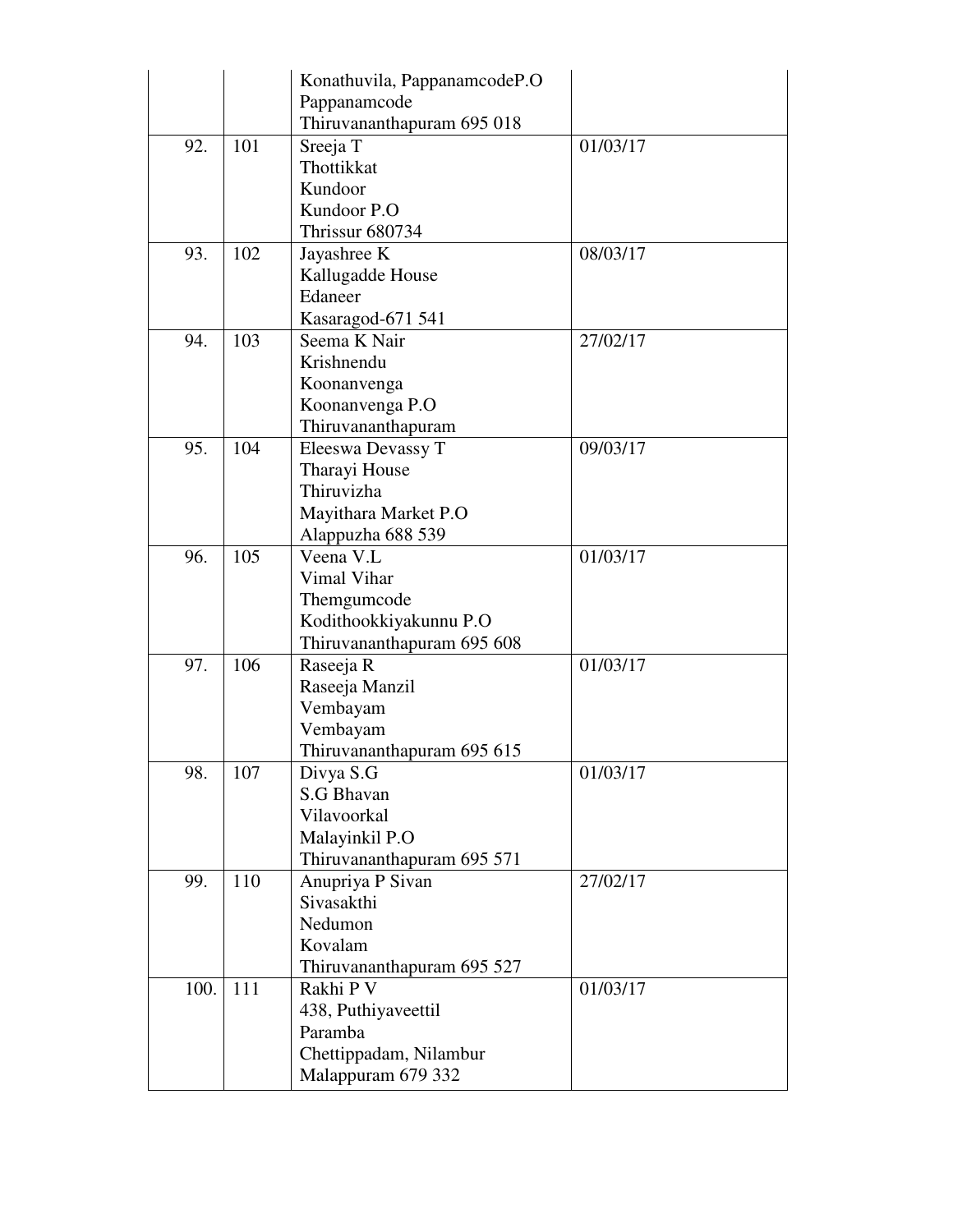|      |     | Konathuvila, PappanamcodeP.O |          |
|------|-----|------------------------------|----------|
|      |     | Pappanamcode                 |          |
|      |     | Thiruvananthapuram 695 018   |          |
| 92.  | 101 | Sreeja T                     | 01/03/17 |
|      |     | Thottikkat                   |          |
|      |     | Kundoor                      |          |
|      |     | Kundoor P.O                  |          |
|      |     | Thrissur 680734              |          |
| 93.  | 102 | Jayashree K                  | 08/03/17 |
|      |     | Kallugadde House             |          |
|      |     | Edaneer                      |          |
|      |     | Kasaragod-671 541            |          |
| 94.  | 103 | Seema K Nair                 | 27/02/17 |
|      |     | Krishnendu                   |          |
|      |     | Koonanvenga                  |          |
|      |     | Koonanvenga P.O              |          |
|      |     | Thiruvananthapuram           |          |
| 95.  | 104 | Eleeswa Devassy T            | 09/03/17 |
|      |     | Tharayi House                |          |
|      |     | Thiruvizha                   |          |
|      |     | Mayithara Market P.O         |          |
|      |     | Alappuzha 688 539            |          |
| 96.  | 105 | Veena V.L                    | 01/03/17 |
|      |     | Vimal Vihar                  |          |
|      |     | Themgumcode                  |          |
|      |     | Kodithookkiyakunnu P.O       |          |
|      |     | Thiruvananthapuram 695 608   |          |
| 97.  | 106 | Raseeja R                    | 01/03/17 |
|      |     | Raseeja Manzil               |          |
|      |     | Vembayam                     |          |
|      |     | Vembayam                     |          |
|      |     | Thiruvananthapuram 695 615   |          |
| 98.  | 107 | Divya S.G                    | 01/03/17 |
|      |     | S.G Bhavan                   |          |
|      |     | Vilavoorkal                  |          |
|      |     | Malayinkil P.O               |          |
|      |     | Thiruvananthapuram 695 571   |          |
| 99.  | 110 | Anupriya P Sivan             | 27/02/17 |
|      |     | Sivasakthi                   |          |
|      |     | Nedumon                      |          |
|      |     | Kovalam                      |          |
|      |     | Thiruvananthapuram 695 527   |          |
| 100. | 111 | Rakhi P V                    | 01/03/17 |
|      |     | 438, Puthiyaveettil          |          |
|      |     | Paramba                      |          |
|      |     | Chettippadam, Nilambur       |          |
|      |     | Malappuram 679 332           |          |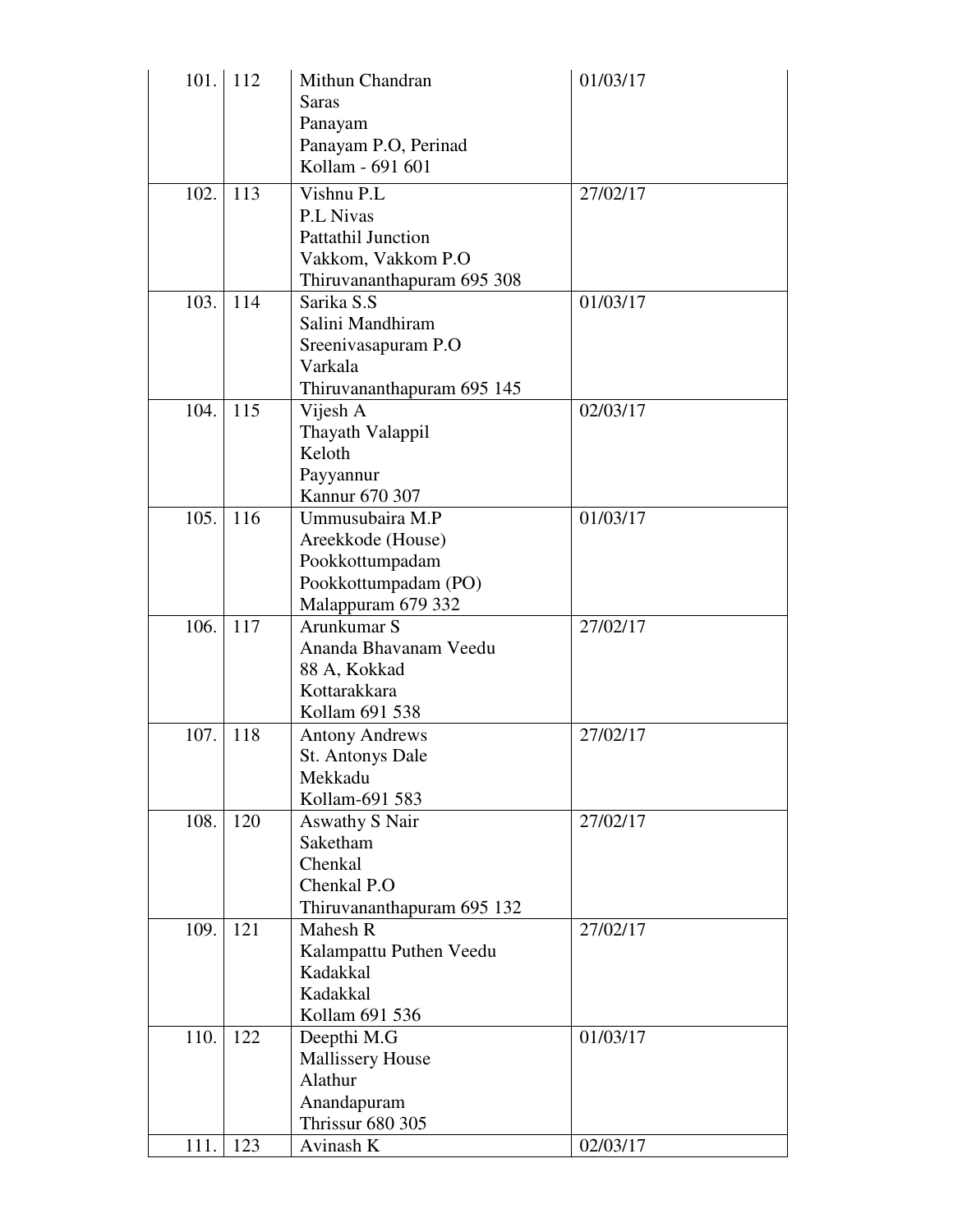|      | $101.$   112 | Mithun Chandran<br>Saras            | 01/03/17 |
|------|--------------|-------------------------------------|----------|
|      |              | Panayam                             |          |
|      |              | Panayam P.O, Perinad                |          |
|      |              | Kollam - 691 601                    |          |
| 102. | 113          | Vishnu P.L                          | 27/02/17 |
|      |              | P.L Nivas                           |          |
|      |              | <b>Pattathil Junction</b>           |          |
|      |              | Vakkom, Vakkom P.O                  |          |
|      |              | Thiruvananthapuram 695 308          |          |
| 103. | 114          | Sarika S.S                          | 01/03/17 |
|      |              | Salini Mandhiram                    |          |
|      |              | Sreenivasapuram P.O                 |          |
|      |              | Varkala                             |          |
|      |              | Thiruvananthapuram 695 145          |          |
| 104. | 115          | Vijesh A                            | 02/03/17 |
|      |              | Thayath Valappil                    |          |
|      |              | Keloth                              |          |
|      |              | Payyannur                           |          |
| 105. | 116          | Kannur 670 307<br>Ummusubaira M.P   | 01/03/17 |
|      |              | Areekkode (House)                   |          |
|      |              | Pookkottumpadam                     |          |
|      |              | Pookkottumpadam (PO)                |          |
|      |              | Malappuram 679 332                  |          |
| 106. | 117          | Arunkumar S                         | 27/02/17 |
|      |              | Ananda Bhavanam Veedu               |          |
|      |              | 88 A, Kokkad                        |          |
|      |              | Kottarakkara                        |          |
|      |              | Kollam 691 538                      |          |
| 107. | 118          | <b>Antony Andrews</b>               | 27/02/17 |
|      |              | <b>St. Antonys Dale</b>             |          |
|      |              | Mekkadu                             |          |
|      |              | Kollam-691 583                      |          |
| 108. | 120          | <b>Aswathy S Nair</b>               | 27/02/17 |
|      |              | Saketham                            |          |
|      |              | Chenkal                             |          |
|      |              | Chenkal P.O                         |          |
|      |              | Thiruvananthapuram 695 132          |          |
| 109. | 121          | Mahesh R                            | 27/02/17 |
|      |              | Kalampattu Puthen Veedu<br>Kadakkal |          |
|      |              | Kadakkal                            |          |
|      |              | Kollam 691 536                      |          |
| 110. | 122          | Deepthi M.G                         | 01/03/17 |
|      |              | <b>Mallissery House</b>             |          |
|      |              | Alathur                             |          |
|      |              | Anandapuram                         |          |
|      |              | <b>Thrissur 680 305</b>             |          |
| 111. | 123          | Avinash K                           | 02/03/17 |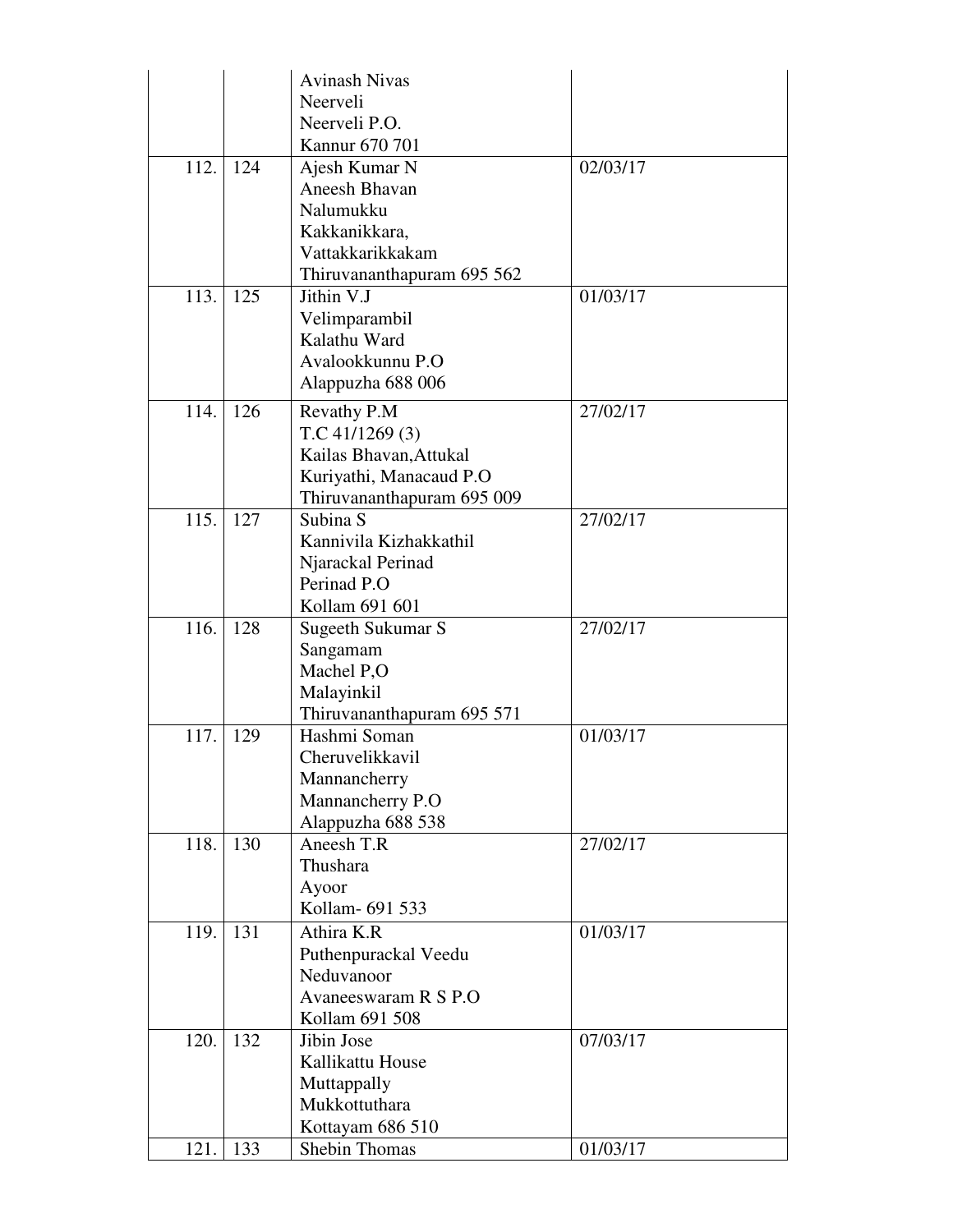|      |     | <b>Avinash Nivas</b>                       |          |
|------|-----|--------------------------------------------|----------|
|      |     | Neerveli                                   |          |
|      |     | Neerveli P.O.                              |          |
|      |     | Kannur 670 701                             |          |
| 112. | 124 | Ajesh Kumar N                              | 02/03/17 |
|      |     | Aneesh Bhavan                              |          |
|      |     | Nalumukku                                  |          |
|      |     | Kakkanikkara,                              |          |
|      |     | Vattakkarikkakam                           |          |
|      |     | Thiruvananthapuram 695 562                 |          |
| 113. | 125 | Jithin V.J                                 | 01/03/17 |
|      |     | Velimparambil                              |          |
|      |     | Kalathu Ward                               |          |
|      |     | Avalookkunnu P.O                           |          |
|      |     | Alappuzha 688 006                          |          |
| 114. | 126 | Revathy P.M                                | 27/02/17 |
|      |     | T.C.41/1269(3)                             |          |
|      |     | Kailas Bhavan, Attukal                     |          |
|      |     | Kuriyathi, Manacaud P.O                    |          |
|      |     | Thiruvananthapuram 695 009                 |          |
| 115. | 127 | Subina <sub>S</sub>                        | 27/02/17 |
|      |     | Kannivila Kizhakkathil                     |          |
|      |     | Njarackal Perinad                          |          |
|      |     | Perinad P.O                                |          |
|      |     | Kollam 691 601                             |          |
| 116. | 128 | Sugeeth Sukumar S                          | 27/02/17 |
|      |     | Sangamam                                   |          |
|      |     | Machel P,O                                 |          |
|      |     | Malayinkil                                 |          |
| 117. | 129 | Thiruvananthapuram 695 571<br>Hashmi Soman | 01/03/17 |
|      |     | Cheruvelikkavil                            |          |
|      |     | Mannancherry                               |          |
|      |     | Mannancherry P.O                           |          |
|      |     | Alappuzha 688 538                          |          |
| 118. | 130 | Aneesh T.R                                 | 27/02/17 |
|      |     | Thushara                                   |          |
|      |     | Ayoor                                      |          |
|      |     | Kollam- 691 533                            |          |
| 119. | 131 | Athira K.R                                 | 01/03/17 |
|      |     | Puthenpurackal Veedu                       |          |
|      |     | Neduvanoor                                 |          |
|      |     | Avaneeswaram R S P.O                       |          |
|      |     | Kollam 691 508                             |          |
| 120. | 132 | Jibin Jose                                 | 07/03/17 |
|      |     | Kallikattu House                           |          |
|      |     | Muttappally                                |          |
|      |     | Mukkottuthara                              |          |
|      |     | Kottayam 686 510                           |          |
| 121. | 133 | Shebin Thomas                              | 01/03/17 |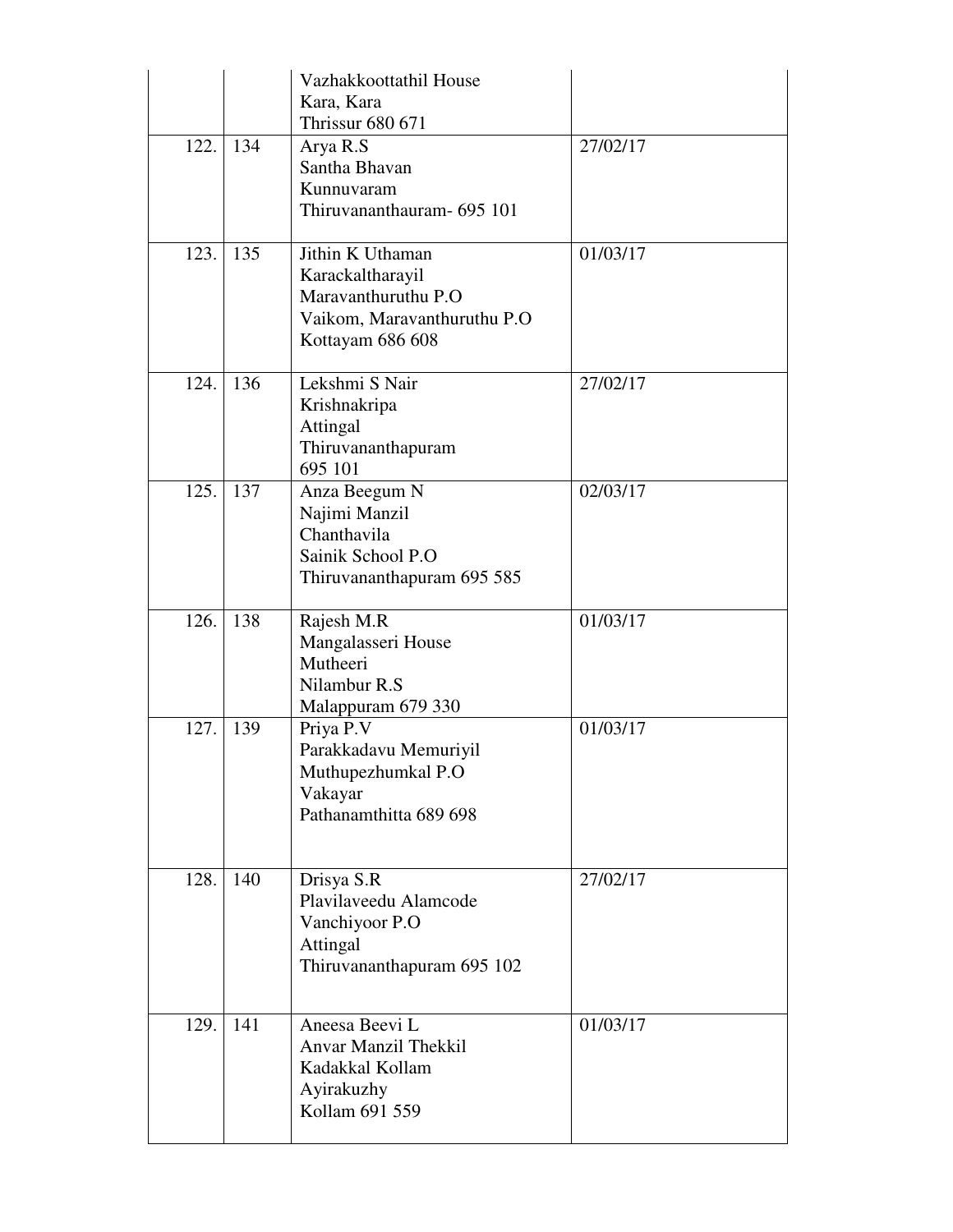|      |     | Vazhakkoottathil House<br>Kara, Kara<br><b>Thrissur 680 671</b>                                                 |          |
|------|-----|-----------------------------------------------------------------------------------------------------------------|----------|
| 122. | 134 | Arya R.S<br>Santha Bhavan<br>Kunnuvaram<br>Thiruvananthauram- 695 101                                           | 27/02/17 |
| 123. | 135 | Jithin K Uthaman<br>Karackaltharayil<br>Maravanthuruthu P.O<br>Vaikom, Maravanthuruthu P.O.<br>Kottayam 686 608 | 01/03/17 |
| 124. | 136 | Lekshmi S Nair<br>Krishnakripa<br>Attingal<br>Thiruvananthapuram<br>695 101                                     | 27/02/17 |
| 125. | 137 | Anza Beegum N<br>Najimi Manzil<br>Chanthavila<br>Sainik School P.O<br>Thiruvananthapuram 695 585                | 02/03/17 |
| 126. | 138 | Rajesh M.R<br>Mangalasseri House<br>Mutheeri<br>Nilambur R.S<br>Malappuram 679 330                              | 01/03/17 |
| 127. | 139 | Priya P.V<br>Parakkadavu Memuriyil<br>Muthupezhumkal P.O<br>Vakayar<br>Pathanamthitta 689 698                   | 01/03/17 |
| 128. | 140 | Drisya S.R<br>Plavilaveedu Alamcode<br>Vanchiyoor P.O<br>Attingal<br>Thiruvananthapuram 695 102                 | 27/02/17 |
| 129. | 141 | Aneesa Beevi L<br><b>Anvar Manzil Thekkil</b><br>Kadakkal Kollam<br>Ayirakuzhy<br>Kollam 691 559                | 01/03/17 |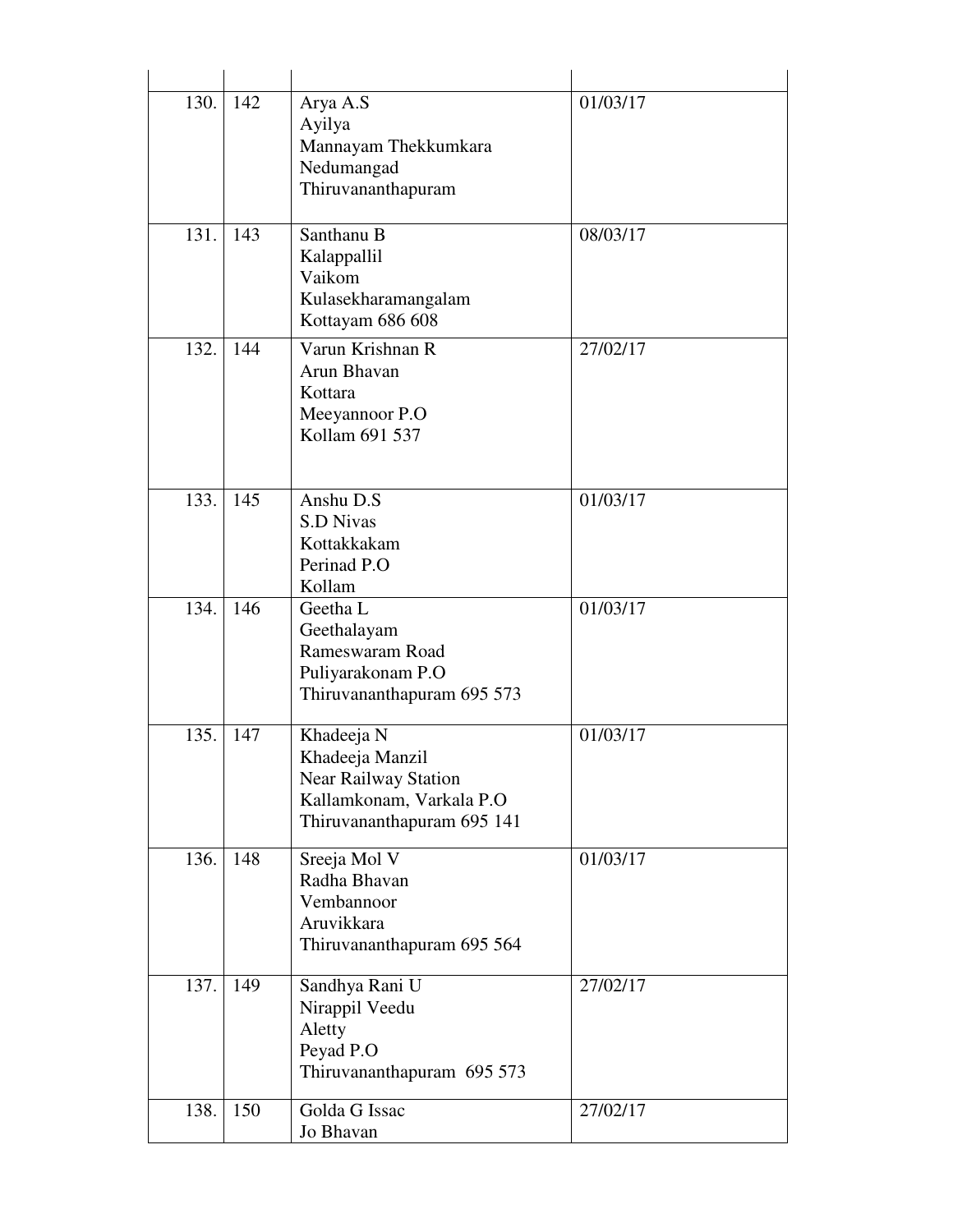| 130. | 142 | Arya A.S<br>Ayilya<br>Mannayam Thekkumkara<br>Nedumangad<br>Thiruvananthapuram                                         | 01/03/17 |
|------|-----|------------------------------------------------------------------------------------------------------------------------|----------|
| 131. | 143 | Santhanu B<br>Kalappallil<br>Vaikom<br>Kulasekharamangalam<br>Kottayam 686 608                                         | 08/03/17 |
| 132. | 144 | Varun Krishnan R<br>Arun Bhavan<br>Kottara<br>Meeyannoor P.O<br>Kollam 691 537                                         | 27/02/17 |
| 133. | 145 | Anshu D.S<br><b>S.D Nivas</b><br>Kottakkakam<br>Perinad P.O.<br>Kollam                                                 | 01/03/17 |
| 134. | 146 | Geetha L<br>Geethalayam<br>Rameswaram Road<br>Puliyarakonam P.O<br>Thiruvananthapuram 695 573                          | 01/03/17 |
| 135. | 147 | Khadeeja N<br>Khadeeja Manzil<br><b>Near Railway Station</b><br>Kallamkonam, Varkala P.O<br>Thiruvananthapuram 695 141 | 01/03/17 |
| 136. | 148 | Sreeja Mol V<br>Radha Bhavan<br>Vembannoor<br>Aruvikkara<br>Thiruvananthapuram 695 564                                 | 01/03/17 |
| 137. | 149 | Sandhya Rani U<br>Nirappil Veedu<br>Aletty<br>Peyad P.O<br>Thiruvananthapuram 695 573                                  | 27/02/17 |
| 138. | 150 | Golda G Issac<br>Jo Bhavan                                                                                             | 27/02/17 |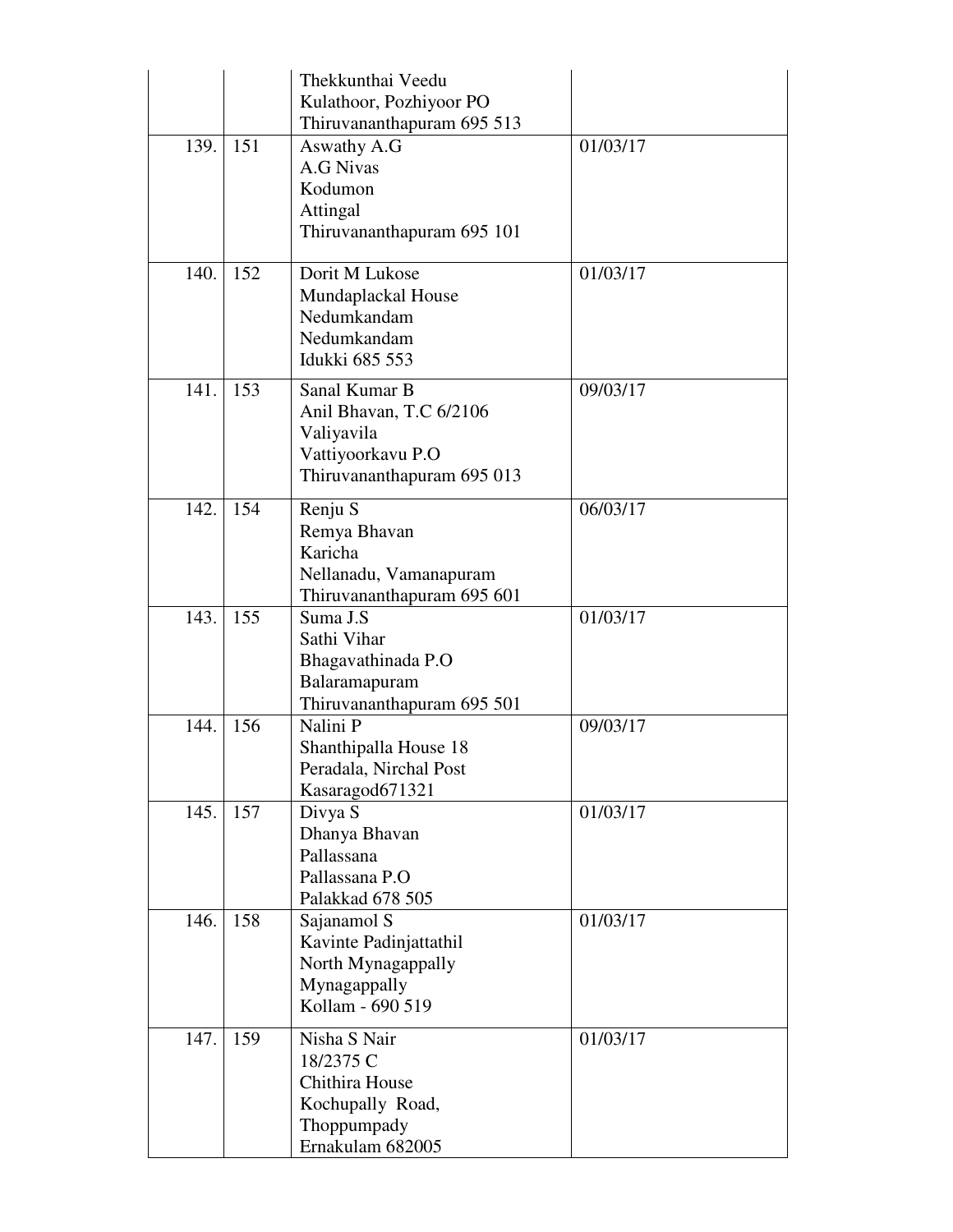|      |     | Thekkunthai Veedu<br>Kulathoor, Pozhiyoor PO<br>Thiruvananthapuram 695 513                                |          |
|------|-----|-----------------------------------------------------------------------------------------------------------|----------|
| 139. | 151 | Aswathy A.G<br><b>A.G Nivas</b><br>Kodumon<br>Attingal<br>Thiruvananthapuram 695 101                      | 01/03/17 |
| 140. | 152 | Dorit M Lukose<br>Mundaplackal House<br>Nedumkandam<br>Nedumkandam<br>Idukki 685 553                      | 01/03/17 |
| 141. | 153 | Sanal Kumar B<br>Anil Bhavan, T.C 6/2106<br>Valiyavila<br>Vattiyoorkavu P.O<br>Thiruvananthapuram 695 013 | 09/03/17 |
| 142. | 154 | Renju S<br>Remya Bhavan<br>Karicha<br>Nellanadu, Vamanapuram<br>Thiruvananthapuram 695 601                | 06/03/17 |
| 143. | 155 | Suma J.S<br>Sathi Vihar<br>Bhagavathinada P.O<br>Balaramapuram<br>Thiruvananthapuram 695 501              | 01/03/17 |
| 144. | 156 | Nalini P<br>Shanthipalla House 18<br>Peradala, Nirchal Post<br>Kasaragod671321                            | 09/03/17 |
| 145. | 157 | Divya S<br>Dhanya Bhavan<br>Pallassana<br>Pallassana P.O<br>Palakkad 678 505                              | 01/03/17 |
| 146. | 158 | Sajanamol S<br>Kavinte Padinjattathil<br>North Mynagappally<br>Mynagappally<br>Kollam - 690 519           | 01/03/17 |
| 147. | 159 | Nisha S Nair<br>18/2375 C<br>Chithira House<br>Kochupally Road,<br>Thoppumpady<br>Ernakulam 682005        | 01/03/17 |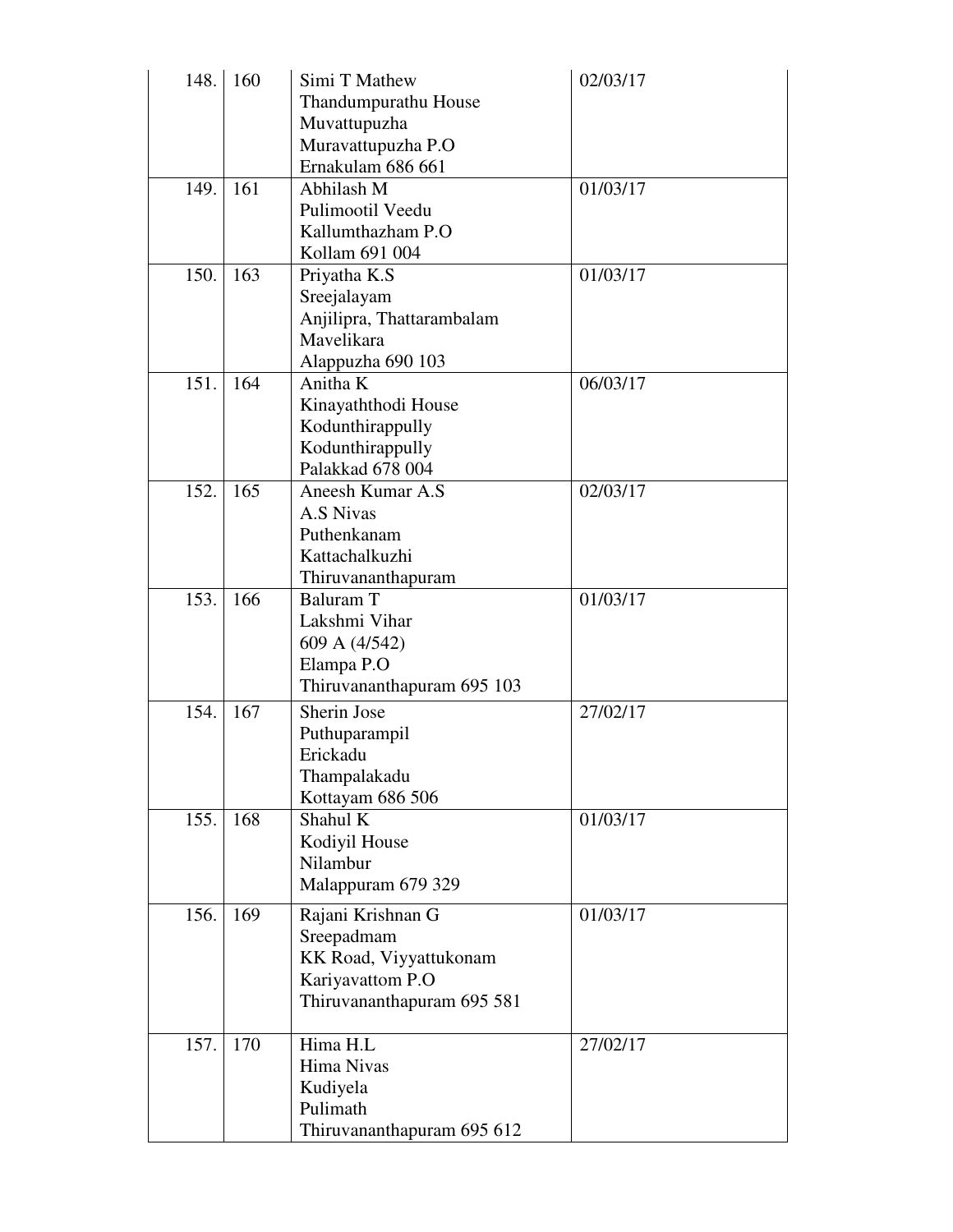| 148. | 160 | Simi T Mathew<br>Thandumpurathu House<br>Muvattupuzha<br>Muravattupuzha P.O<br>Ernakulam 686 661            | 02/03/17 |
|------|-----|-------------------------------------------------------------------------------------------------------------|----------|
| 149. | 161 | Abhilash M<br>Pulimootil Veedu<br>Kallumthazham P.O<br>Kollam 691 004                                       | 01/03/17 |
| 150. | 163 | Priyatha K.S<br>Sreejalayam<br>Anjilipra, Thattarambalam<br>Mavelikara<br>Alappuzha 690 103                 | 01/03/17 |
| 151. | 164 | Anitha K<br>Kinayaththodi House<br>Kodunthirappully<br>Kodunthirappully<br>Palakkad 678 004                 | 06/03/17 |
| 152. | 165 | Aneesh Kumar A.S<br>A.S Nivas<br>Puthenkanam<br>Kattachalkuzhi<br>Thiruvananthapuram                        | 02/03/17 |
| 153. | 166 | <b>Baluram T</b><br>Lakshmi Vihar<br>609 A (4/542)<br>Elampa P.O<br>Thiruvananthapuram 695 103              | 01/03/17 |
| 154. | 167 | Sherin Jose<br>Puthuparampil<br>Erickadu<br>Thampalakadu<br>Kottayam 686 506                                | 27/02/17 |
| 155. | 168 | Shahul K<br>Kodiyil House<br>Nilambur<br>Malappuram 679 329                                                 | 01/03/17 |
| 156. | 169 | Rajani Krishnan G<br>Sreepadmam<br>KK Road, Viyyattukonam<br>Kariyavattom P.O<br>Thiruvananthapuram 695 581 | 01/03/17 |
| 157. | 170 | Hima H.L<br><b>Hima Nivas</b><br>Kudiyela<br>Pulimath<br>Thiruvananthapuram 695 612                         | 27/02/17 |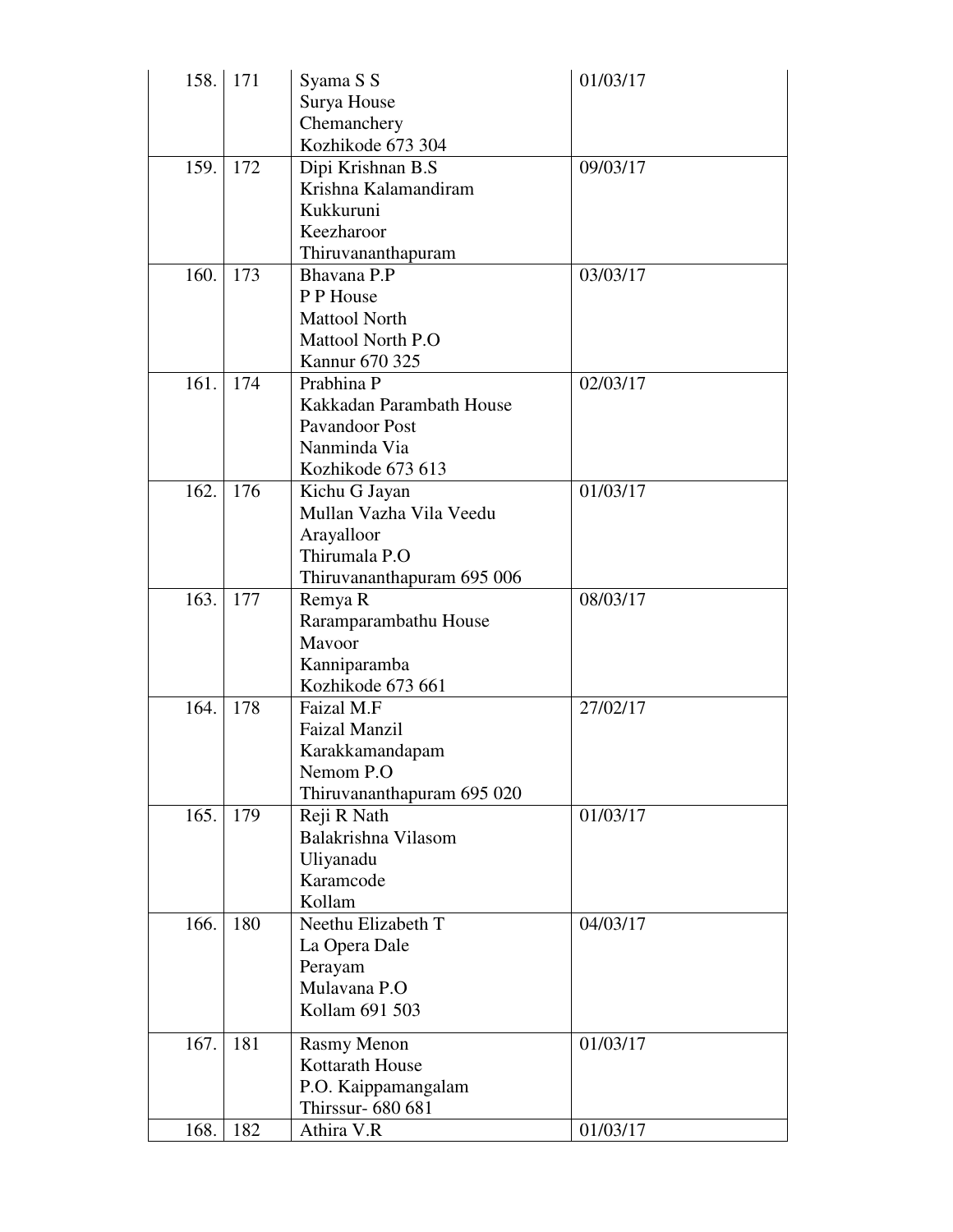| 158.1 | 171 | Syama S S<br>Surya House<br>Chemanchery<br>Kozhikode 673 304                                          | 01/03/17 |
|-------|-----|-------------------------------------------------------------------------------------------------------|----------|
| 159.  | 172 | Dipi Krishnan B.S<br>Krishna Kalamandiram<br>Kukkuruni<br>Keezharoor<br>Thiruvananthapuram            | 09/03/17 |
| 160.  | 173 | Bhavana P.P<br>P P House<br><b>Mattool North</b><br><b>Mattool North P.O</b><br>Kannur 670 325        | 03/03/17 |
| 161.  | 174 | Prabhina P<br>Kakkadan Parambath House<br>Pavandoor Post<br>Nanminda Via<br>Kozhikode 673 613         | 02/03/17 |
| 162.  | 176 | Kichu G Jayan<br>Mullan Vazha Vila Veedu<br>Arayalloor<br>Thirumala P.O<br>Thiruvananthapuram 695 006 | 01/03/17 |
| 163.  | 177 | Remya R<br>Raramparambathu House<br>Mavoor<br>Kanniparamba<br>Kozhikode 673 661                       | 08/03/17 |
| 164.  | 178 | Faizal M.F<br><b>Faizal Manzil</b><br>Karakkamandapam<br>Nemom P.O<br>Thiruvananthapuram 695 020      | 27/02/17 |
| 165.  | 179 | Reji R Nath<br>Balakrishna Vilasom<br>Uliyanadu<br>Karamcode<br>Kollam                                | 01/03/17 |
| 166.  | 180 | Neethu Elizabeth T<br>La Opera Dale<br>Perayam<br>Mulavana P.O<br>Kollam 691 503                      | 04/03/17 |
| 167.  | 181 | <b>Rasmy Menon</b><br>Kottarath House<br>P.O. Kaippamangalam<br>Thirssur- 680 681                     | 01/03/17 |
| 168.  | 182 | Athira V.R                                                                                            | 01/03/17 |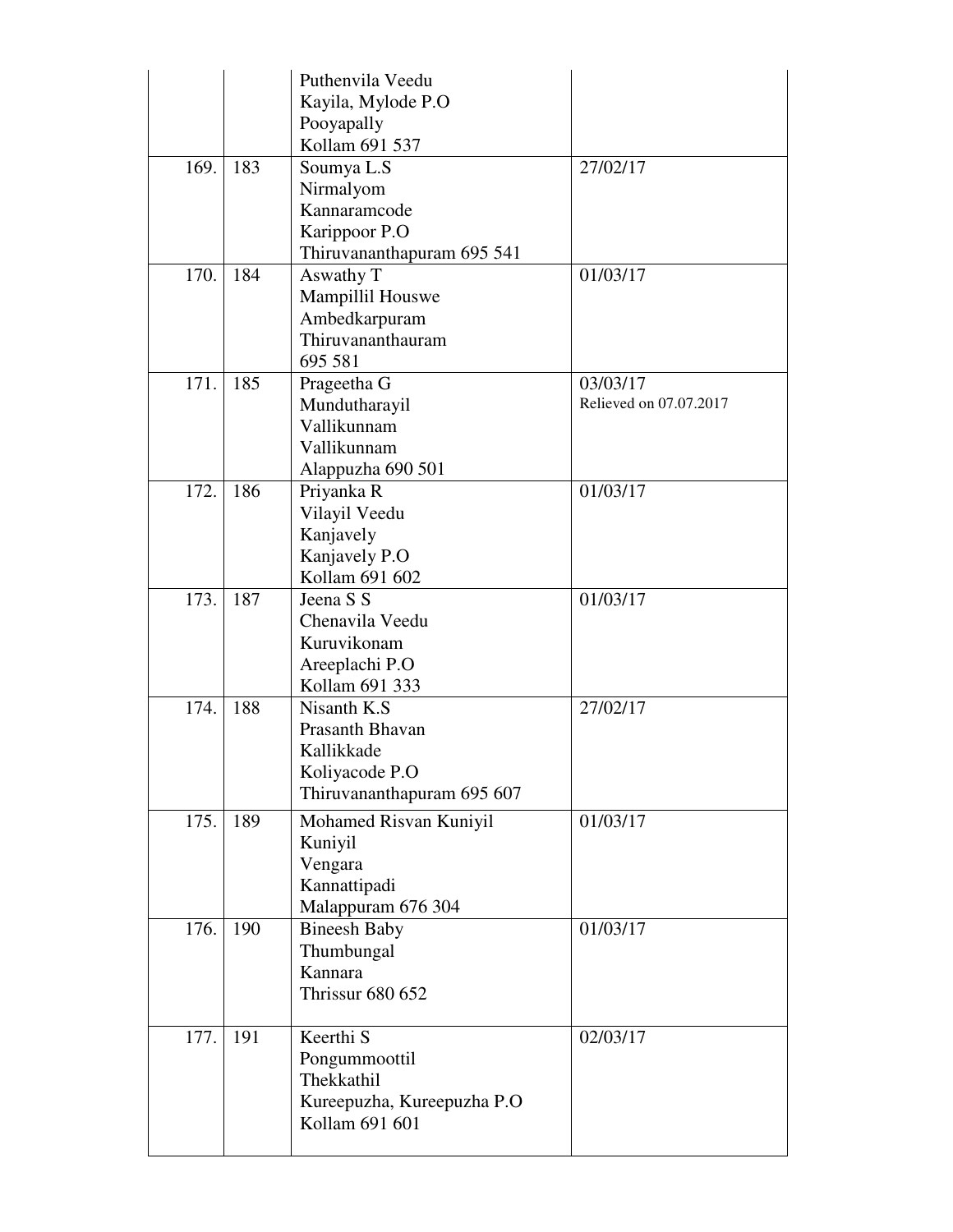|      |     | Puthenvila Veedu                   |                        |
|------|-----|------------------------------------|------------------------|
|      |     | Kayila, Mylode P.O                 |                        |
|      |     | Pooyapally                         |                        |
|      |     | Kollam 691 537                     |                        |
| 169. | 183 | Soumya L.S                         | 27/02/17               |
|      |     | Nirmalyom                          |                        |
|      |     | Kannaramcode                       |                        |
|      |     | Karippoor P.O                      |                        |
|      |     | Thiruvananthapuram 695 541         |                        |
| 170. | 184 | Aswathy T                          | 01/03/17               |
|      |     | Mampillil Houswe                   |                        |
|      |     | Ambedkarpuram                      |                        |
|      |     | Thiruvananthauram                  |                        |
|      |     | 695 581                            |                        |
| 171. | 185 | Prageetha G                        | 03/03/17               |
|      |     | Mundutharayil                      | Relieved on 07.07.2017 |
|      |     | Vallikunnam                        |                        |
|      |     | Vallikunnam                        |                        |
|      |     | Alappuzha 690 501                  |                        |
| 172. | 186 | Priyanka R                         | 01/03/17               |
|      |     | Vilayil Veedu                      |                        |
|      |     | Kanjavely                          |                        |
|      |     | Kanjavely P.O                      |                        |
|      |     | Kollam 691 602                     |                        |
| 173. | 187 | Jeena S S                          | 01/03/17               |
|      |     | Chenavila Veedu                    |                        |
|      |     | Kuruvikonam                        |                        |
|      |     | Areeplachi P.O                     |                        |
| 174. | 188 | Kollam 691 333<br>Nisanth K.S.     | 27/02/17               |
|      |     | Prasanth Bhavan                    |                        |
|      |     | Kallikkade                         |                        |
|      |     | Koliyacode P.O                     |                        |
|      |     | Thiruvananthapuram 695 607         |                        |
|      |     |                                    |                        |
| 175. | 189 | Mohamed Risvan Kuniyil             | 01/03/17               |
|      |     | Kuniyil                            |                        |
|      |     | Vengara                            |                        |
|      |     | Kannattipadi<br>Malappuram 676 304 |                        |
| 176. | 190 | <b>Bineesh Baby</b>                | 01/03/17               |
|      |     | Thumbungal                         |                        |
|      |     | Kannara                            |                        |
|      |     | <b>Thrissur 680 652</b>            |                        |
|      |     |                                    |                        |
| 177. | 191 | Keerthi S                          | 02/03/17               |
|      |     | Pongummoottil                      |                        |
|      |     | Thekkathil                         |                        |
|      |     | Kureepuzha, Kureepuzha P.O         |                        |
|      |     | Kollam 691 601                     |                        |
|      |     |                                    |                        |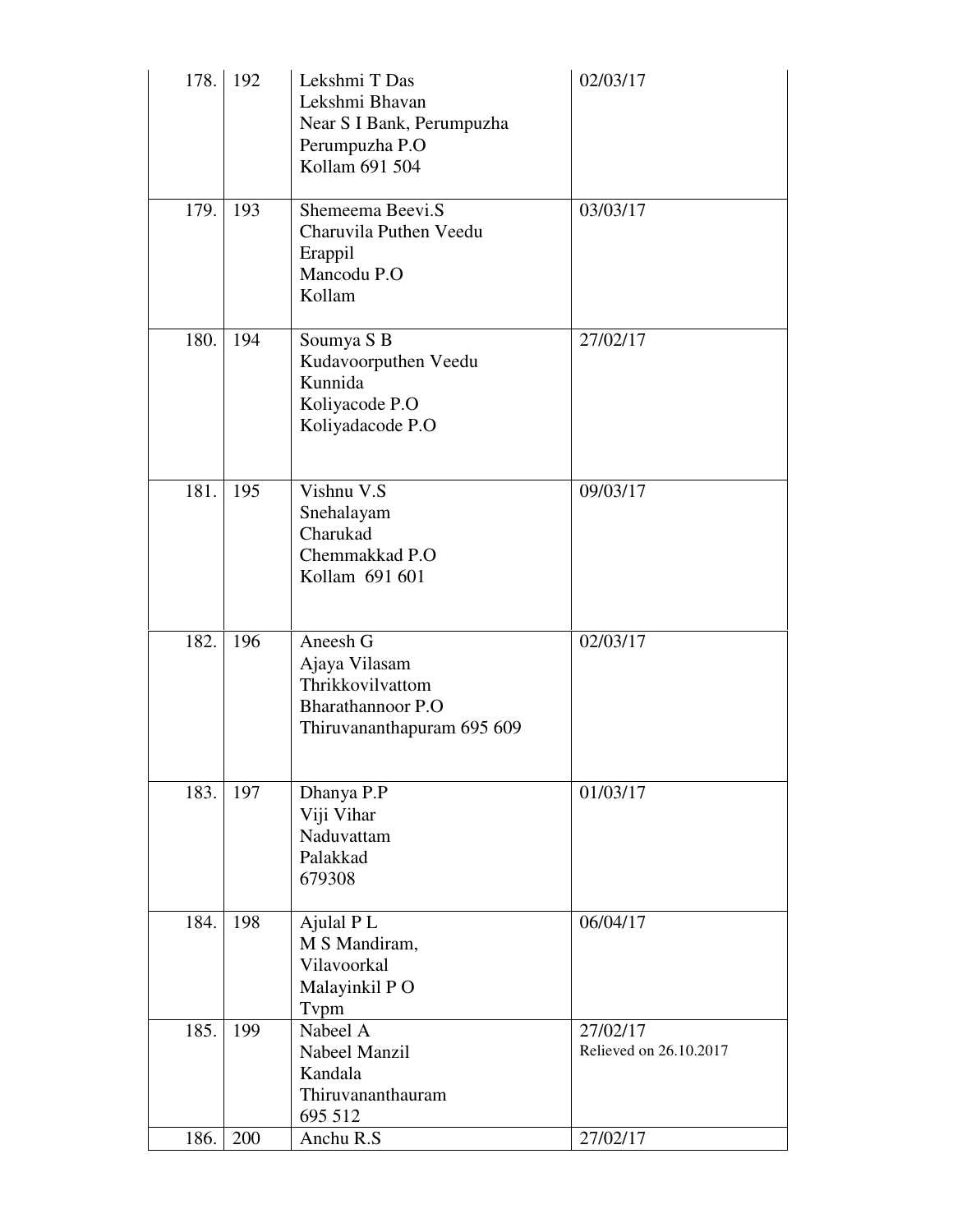|      | 178. 192 | Lekshmi T Das<br>Lekshmi Bhavan<br>Near S I Bank, Perumpuzha<br>Perumpuzha P.O<br>Kollam 691 504        | 02/03/17                           |
|------|----------|---------------------------------------------------------------------------------------------------------|------------------------------------|
| 179. | 193      | Shemeema Beevi.S<br>Charuvila Puthen Veedu<br>Erappil<br>Mancodu P.O<br>Kollam                          | 03/03/17                           |
| 180. | 194      | Soumya S B<br>Kudavoorputhen Veedu<br>Kunnida<br>Koliyacode P.O<br>Koliyadacode P.O                     | 27/02/17                           |
| 181. | 195      | Vishnu V.S<br>Snehalayam<br>Charukad<br>Chemmakkad P.O<br>Kollam 691 601                                | 09/03/17                           |
| 182. | 196      | Aneesh G<br>Ajaya Vilasam<br>Thrikkovilvattom<br><b>Bharathannoor P.O</b><br>Thiruvananthapuram 695 609 | 02/03/17                           |
| 183. | 197      | Dhanya P.P<br>Viji Vihar<br>Naduvattam<br>Palakkad<br>679308                                            | 01/03/17                           |
| 184. | 198      | Ajulal PL<br>M S Mandiram,<br>Vilavoorkal<br>Malayinkil PO<br>Tvpm                                      | 06/04/17                           |
| 185. | 199      | Nabeel A<br>Nabeel Manzil<br>Kandala<br>Thiruvananthauram<br>695 512                                    | 27/02/17<br>Relieved on 26.10.2017 |
| 186. | 200      | Anchu R.S                                                                                               | 27/02/17                           |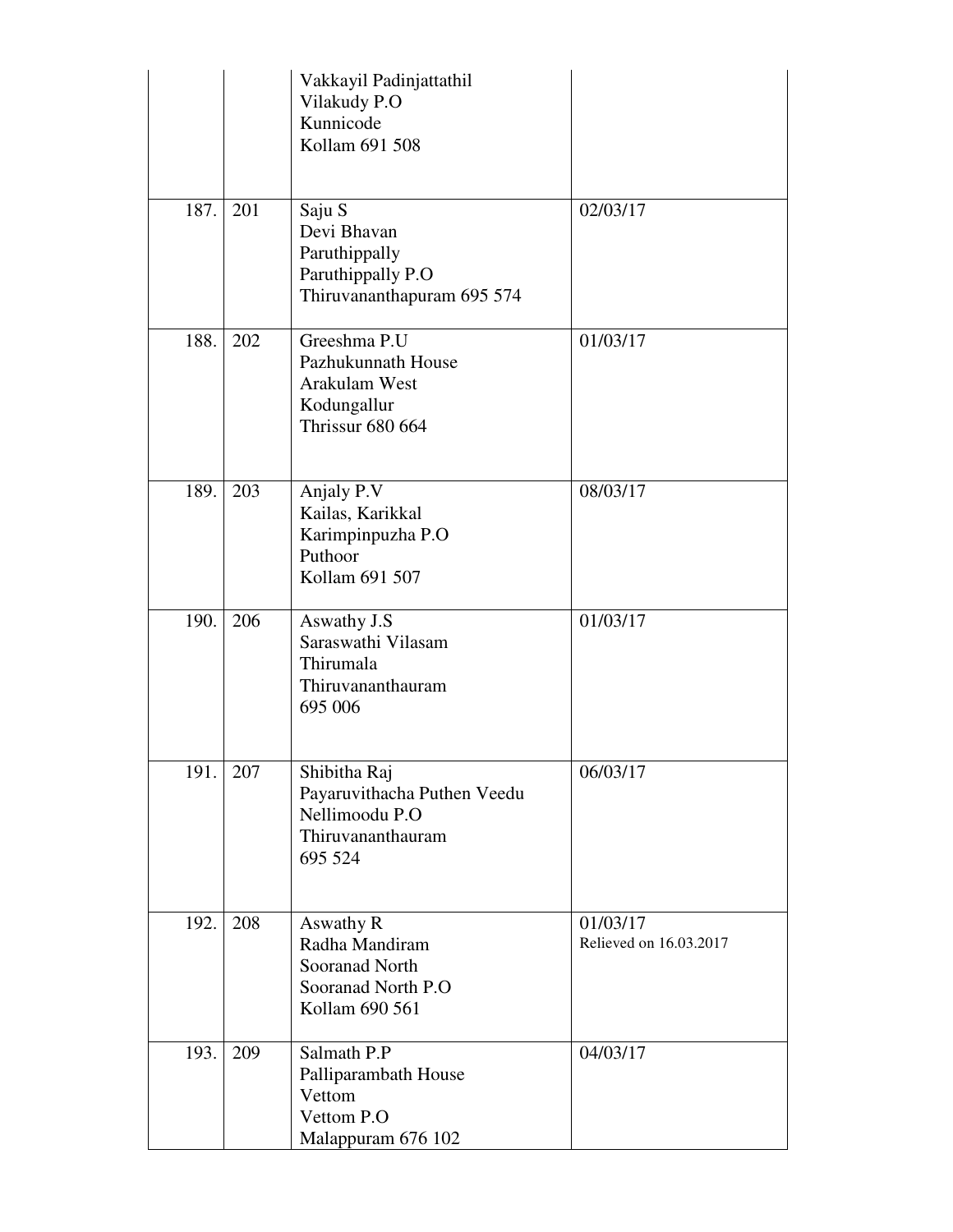|      |     | Vakkayil Padinjattathil<br>Vilakudy P.O<br>Kunnicode<br>Kollam 691 508                               |                                    |
|------|-----|------------------------------------------------------------------------------------------------------|------------------------------------|
| 187. | 201 | Saju <sub>S</sub><br>Devi Bhavan<br>Paruthippally<br>Paruthippally P.O<br>Thiruvananthapuram 695 574 | 02/03/17                           |
| 188. | 202 | Greeshma P.U<br>Pazhukunnath House<br><b>Arakulam West</b><br>Kodungallur<br><b>Thrissur 680 664</b> | 01/03/17                           |
| 189. | 203 | Anjaly P.V<br>Kailas, Karikkal<br>Karimpinpuzha P.O<br>Puthoor<br>Kollam 691 507                     | 08/03/17                           |
| 190. | 206 | Aswathy J.S<br>Saraswathi Vilasam<br>Thirumala<br>Thiruvananthauram<br>695 006                       | 01/03/17                           |
| 191. | 207 | Shibitha Raj<br>Payaruvithacha Puthen Veedu<br>Nellimoodu P.O<br>Thiruvananthauram<br>695 524        | 06/03/17                           |
| 192. | 208 | Aswathy R<br>Radha Mandiram<br>Sooranad North<br>Sooranad North P.O<br>Kollam 690 561                | 01/03/17<br>Relieved on 16.03.2017 |
| 193. | 209 | Salmath P.P<br>Palliparambath House<br>Vettom<br>Vettom P.O<br>Malappuram 676 102                    | 04/03/17                           |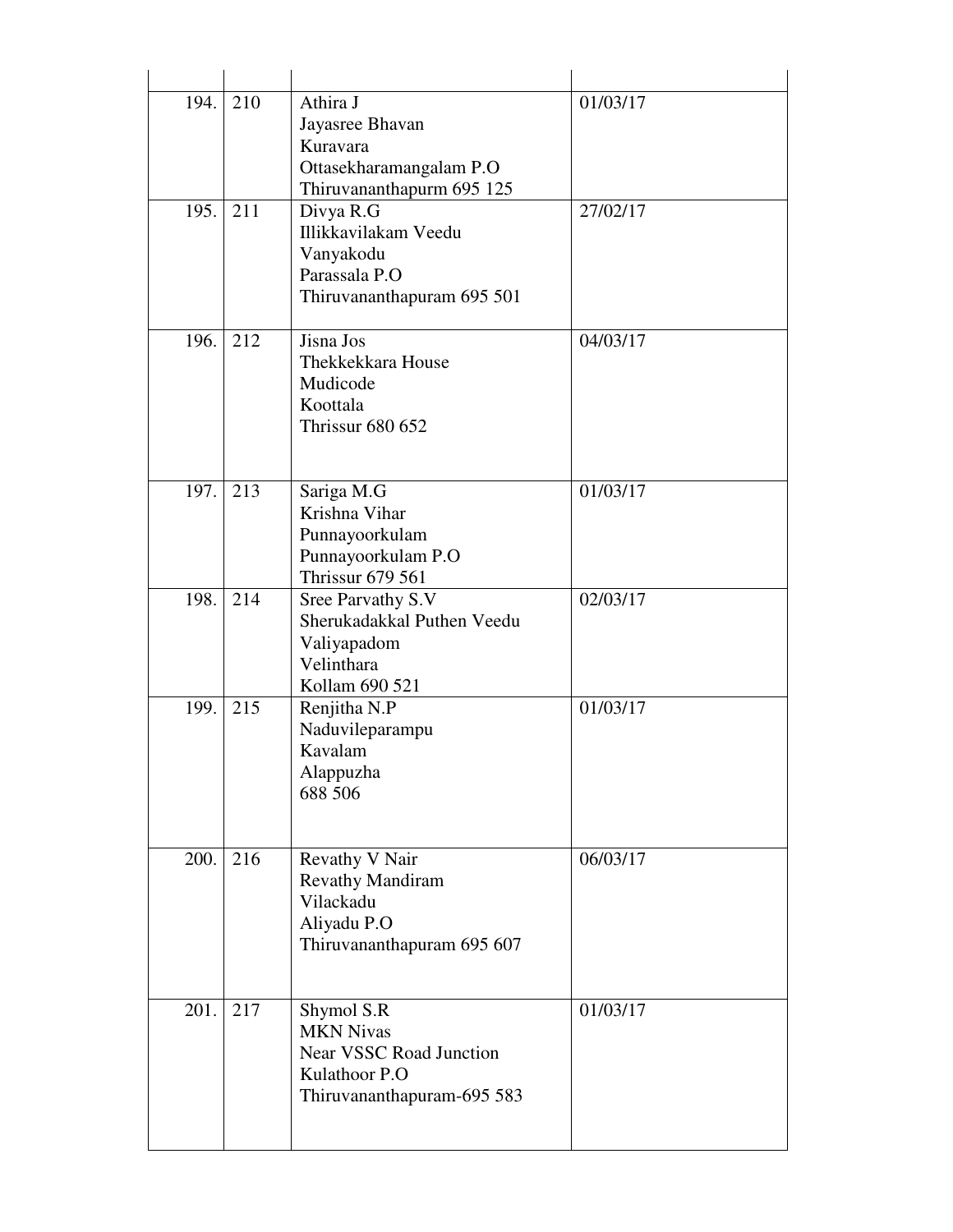| 194. | 210 | Athira J<br>Jayasree Bhavan<br>Kuravara<br>Ottasekharamangalam P.O<br>Thiruvananthapurm 695 125                 | 01/03/17 |
|------|-----|-----------------------------------------------------------------------------------------------------------------|----------|
| 195. | 211 | Divya R.G<br>Illikkavilakam Veedu<br>Vanyakodu<br>Parassala P.O<br>Thiruvananthapuram 695 501                   | 27/02/17 |
| 196. | 212 | Jisna Jos<br>Thekkekkara House<br>Mudicode<br>Koottala<br><b>Thrissur 680 652</b>                               | 04/03/17 |
| 197. | 213 | Sariga M.G<br>Krishna Vihar<br>Punnayoorkulam<br>Punnayoorkulam P.O<br><b>Thrissur 679 561</b>                  | 01/03/17 |
| 198. | 214 | Sree Parvathy S.V<br>Sherukadakkal Puthen Veedu<br>Valiyapadom<br>Velinthara<br>Kollam 690 521                  | 02/03/17 |
| 199. | 215 | Renjitha N.P<br>Naduvileparampu<br>Kavalam<br>Alappuzha<br>688 506                                              | 01/03/17 |
| 200. | 216 | Revathy V Nair<br><b>Revathy Mandiram</b><br>Vilackadu<br>Aliyadu P.O<br>Thiruvananthapuram 695 607             | 06/03/17 |
| 201. | 217 | Shymol S.R<br><b>MKN Nivas</b><br><b>Near VSSC Road Junction</b><br>Kulathoor P.O<br>Thiruvananthapuram-695 583 | 01/03/17 |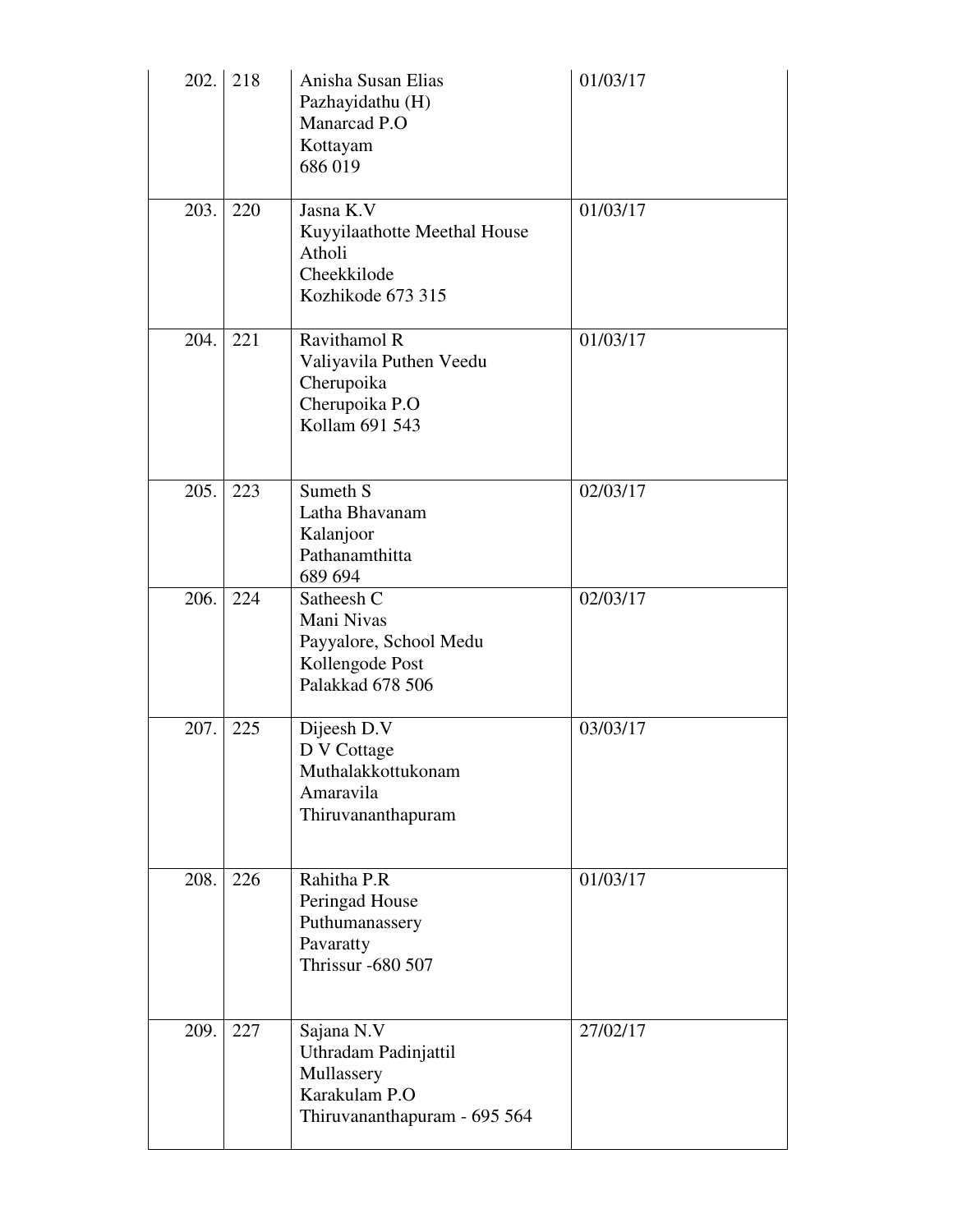| $202.$ 218 |     | Anisha Susan Elias<br>Pazhayidathu (H)<br>Manarcad P.O<br>Kottayam<br>686019                      | 01/03/17 |
|------------|-----|---------------------------------------------------------------------------------------------------|----------|
| 203.       | 220 | Jasna K.V<br>Kuyyilaathotte Meethal House<br>Atholi<br>Cheekkilode<br>Kozhikode 673 315           | 01/03/17 |
| 204.       | 221 | Ravithamol R<br>Valiyavila Puthen Veedu<br>Cherupoika<br>Cherupoika P.O<br>Kollam 691 543         | 01/03/17 |
| 205.       | 223 | Sumeth S<br>Latha Bhavanam<br>Kalanjoor<br>Pathanamthitta<br>689 694                              | 02/03/17 |
| 206.       | 224 | Satheesh C<br>Mani Nivas<br>Payyalore, School Medu<br>Kollengode Post<br>Palakkad 678 506         | 02/03/17 |
| 207.       | 225 | Dijeesh D.V<br>D V Cottage<br>Muthalakkottukonam<br>Amaravila<br>Thiruvananthapuram               | 03/03/17 |
| 208.       | 226 | Rahitha P.R<br>Peringad House<br>Puthumanassery<br>Pavaratty<br>Thrissur -680 507                 | 01/03/17 |
| 209.       | 227 | Sajana N.V<br>Uthradam Padinjattil<br>Mullassery<br>Karakulam P.O<br>Thiruvananthapuram - 695 564 | 27/02/17 |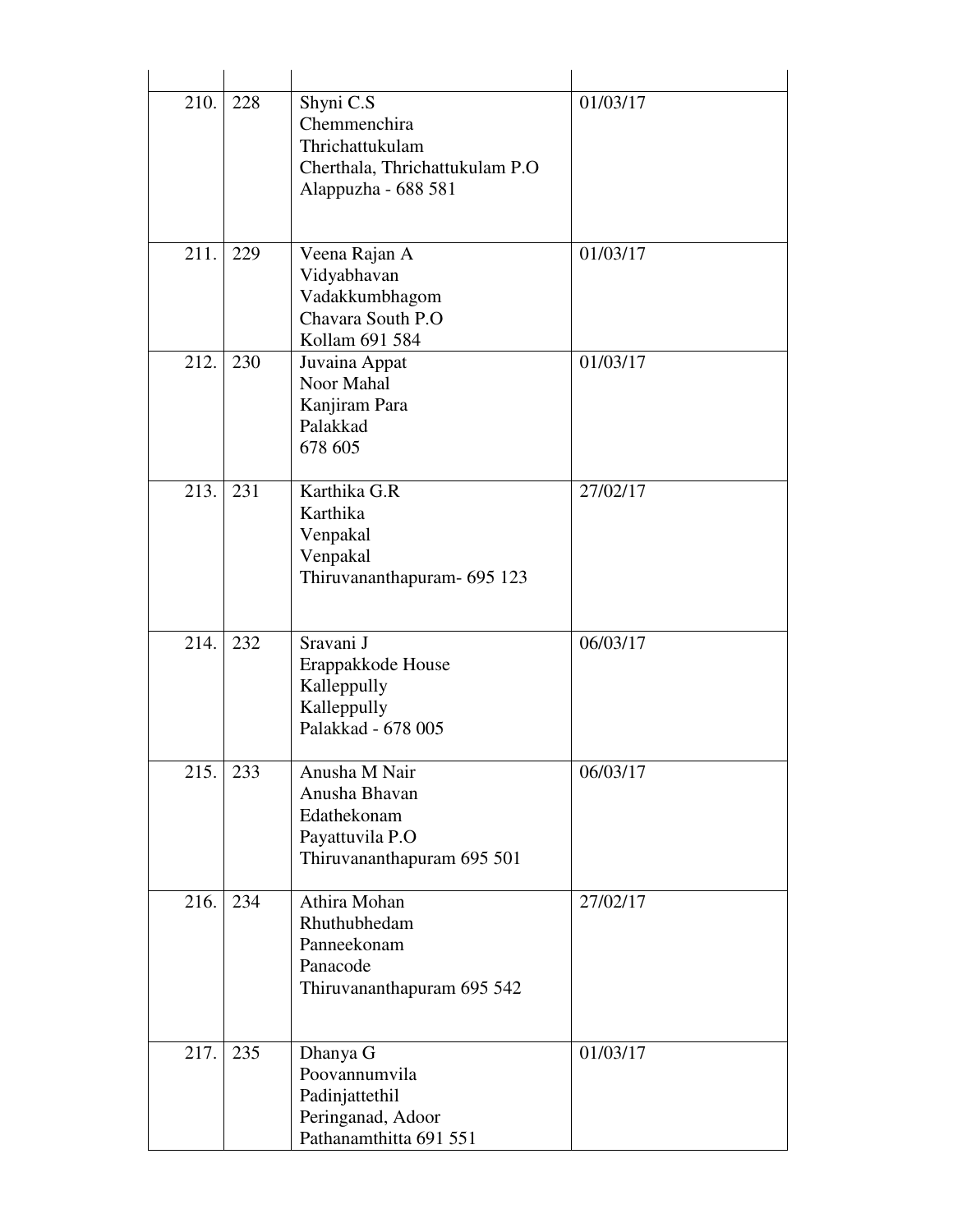|      | $210.$   228 | Shyni C.S<br>Chemmenchira<br>Thrichattukulam<br>Cherthala, Thrichattukulam P.O<br>Alappuzha - 688 581 | 01/03/17 |
|------|--------------|-------------------------------------------------------------------------------------------------------|----------|
| 211. | 229          | Veena Rajan A<br>Vidyabhavan<br>Vadakkumbhagom<br>Chavara South P.O.<br>Kollam 691 584                | 01/03/17 |
| 212. | 230          | Juvaina Appat<br>Noor Mahal<br>Kanjiram Para<br>Palakkad<br>678 605                                   | 01/03/17 |
| 213. | 231          | Karthika G.R<br>Karthika<br>Venpakal<br>Venpakal<br>Thiruvananthapuram- 695 123                       | 27/02/17 |
| 214. | 232          | Sravani J<br>Erappakkode House<br>Kalleppully<br>Kalleppully<br>Palakkad - 678 005                    | 06/03/17 |
| 215. | 233          | Anusha M Nair<br>Anusha Bhavan<br>Edathekonam<br>Payattuvila P.O<br>Thiruvananthapuram 695 501        | 06/03/17 |
| 216. | 234          | Athira Mohan<br>Rhuthubhedam<br>Panneekonam<br>Panacode<br>Thiruvananthapuram 695 542                 | 27/02/17 |
| 217. | 235          | Dhanya G<br>Poovannumvila<br>Padinjattethil<br>Peringanad, Adoor<br>Pathanamthitta 691 551            | 01/03/17 |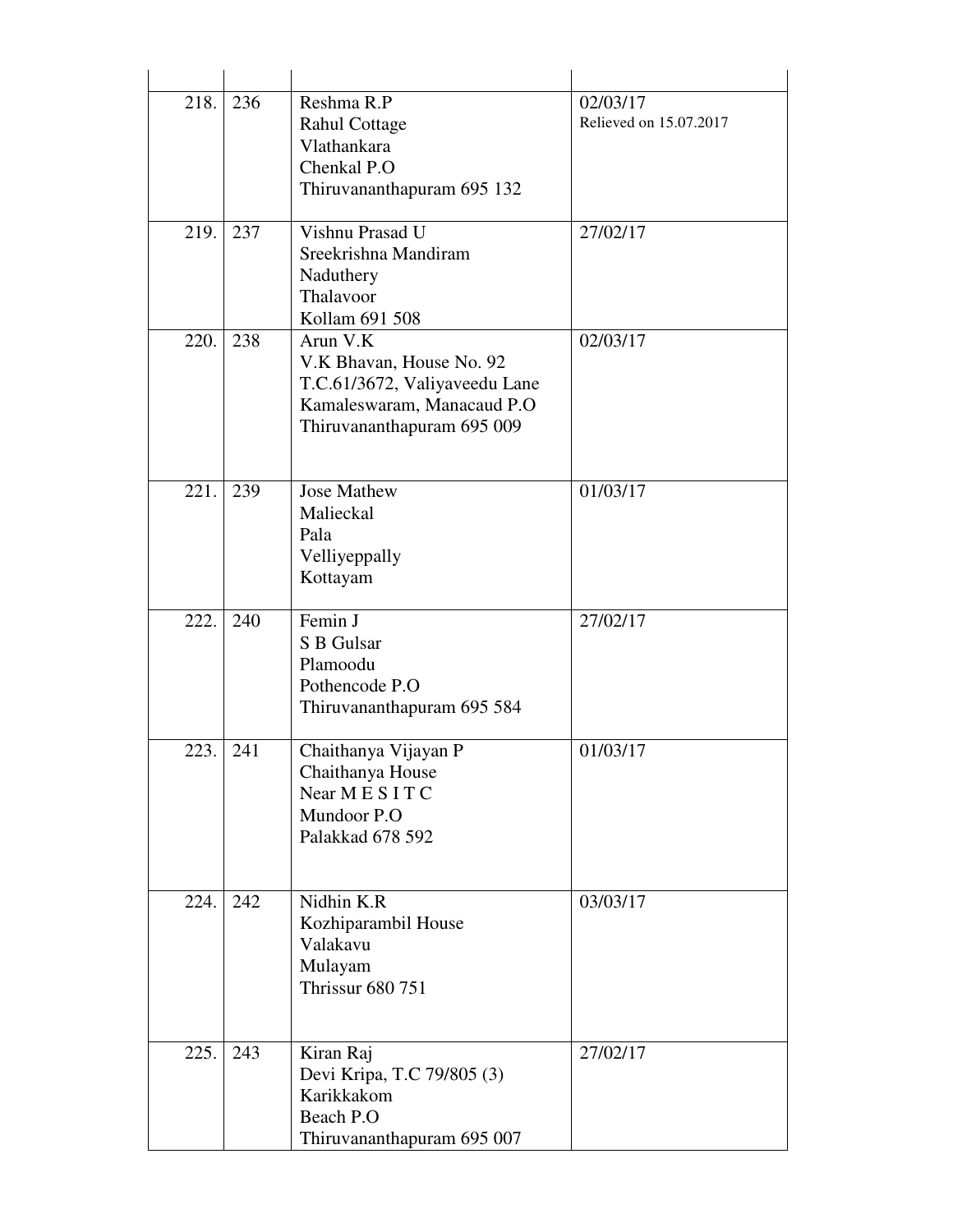| 218. | 236 | Reshma R.P<br><b>Rahul Cottage</b><br>Vlathankara<br>Chenkal P.O<br>Thiruvananthapuram 695 132                                     | 02/03/17<br>Relieved on 15.07.2017 |
|------|-----|------------------------------------------------------------------------------------------------------------------------------------|------------------------------------|
| 219. | 237 | Vishnu Prasad U<br>Sreekrishna Mandiram<br>Naduthery<br>Thalavoor<br>Kollam 691 508                                                | 27/02/17                           |
| 220. | 238 | Arun V.K<br>V.K Bhavan, House No. 92<br>T.C.61/3672, Valiyaveedu Lane<br>Kamaleswaram, Manacaud P.O.<br>Thiruvananthapuram 695 009 | 02/03/17                           |
| 221. | 239 | <b>Jose Mathew</b><br>Malieckal<br>Pala<br>Velliyeppally<br>Kottayam                                                               | 01/03/17                           |
| 222. | 240 | Femin J<br><b>S B Gulsar</b><br>Plamoodu<br>Pothencode P.O.<br>Thiruvananthapuram 695 584                                          | 27/02/17                           |
| 223. | 241 | Chaithanya Vijayan P<br>Chaithanya House<br>Near MESITC<br>Mundoor P.O<br>Palakkad 678 592                                         | 01/03/17                           |
| 224. | 242 | Nidhin K.R<br>Kozhiparambil House<br>Valakavu<br>Mulayam<br><b>Thrissur 680 751</b>                                                | 03/03/17                           |
| 225. | 243 | Kiran Raj<br>Devi Kripa, T.C 79/805 (3)<br>Karikkakom<br>Beach P.O<br>Thiruvananthapuram 695 007                                   | 27/02/17                           |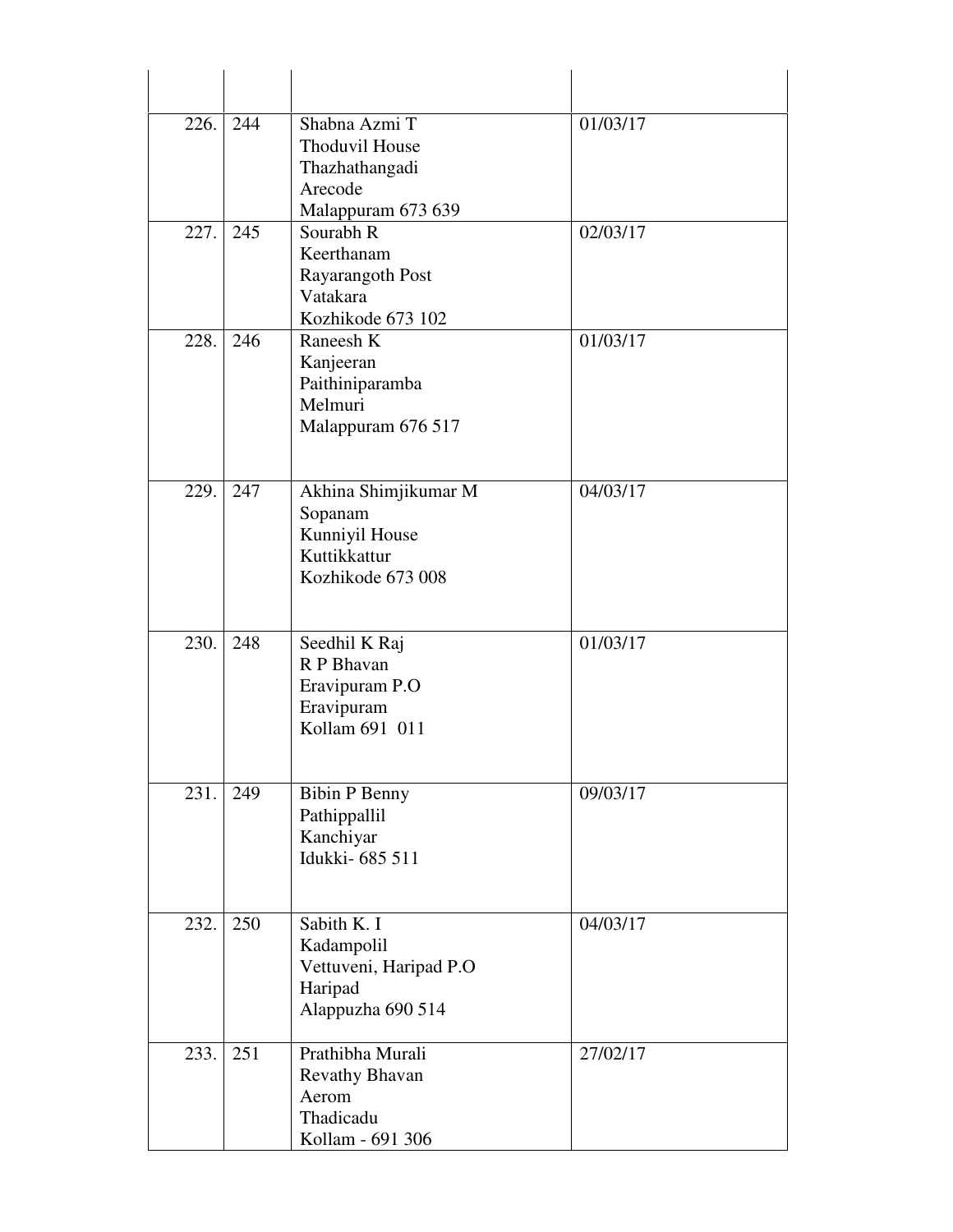| 226. | 244 | Shabna Azmi T<br><b>Thoduvil House</b><br>Thazhathangadi<br>Arecode<br>Malappuram 673 639 | 01/03/17 |
|------|-----|-------------------------------------------------------------------------------------------|----------|
| 227. | 245 | Sourabh R<br>Keerthanam<br>Rayarangoth Post<br>Vatakara<br>Kozhikode 673 102              | 02/03/17 |
| 228. | 246 | Raneesh K<br>Kanjeeran<br>Paithiniparamba<br>Melmuri<br>Malappuram 676 517                | 01/03/17 |
| 229. | 247 | Akhina Shimjikumar M<br>Sopanam<br>Kunniyil House<br>Kuttikkattur<br>Kozhikode 673 008    | 04/03/17 |
| 230. | 248 | Seedhil K Raj<br>R P Bhavan<br>Eravipuram P.O<br>Eravipuram<br>Kollam 691 011             | 01/03/17 |
| 231. | 249 | <b>Bibin P Benny</b><br>Pathippallil<br>Kanchiyar<br>Idukki- 685 511                      | 09/03/17 |
| 232. | 250 | Sabith K. I<br>Kadampolil<br>Vettuveni, Haripad P.O<br>Haripad<br>Alappuzha 690 514       | 04/03/17 |
| 233. | 251 | Prathibha Murali<br><b>Revathy Bhavan</b><br>Aerom<br>Thadicadu<br>Kollam - 691 306       | 27/02/17 |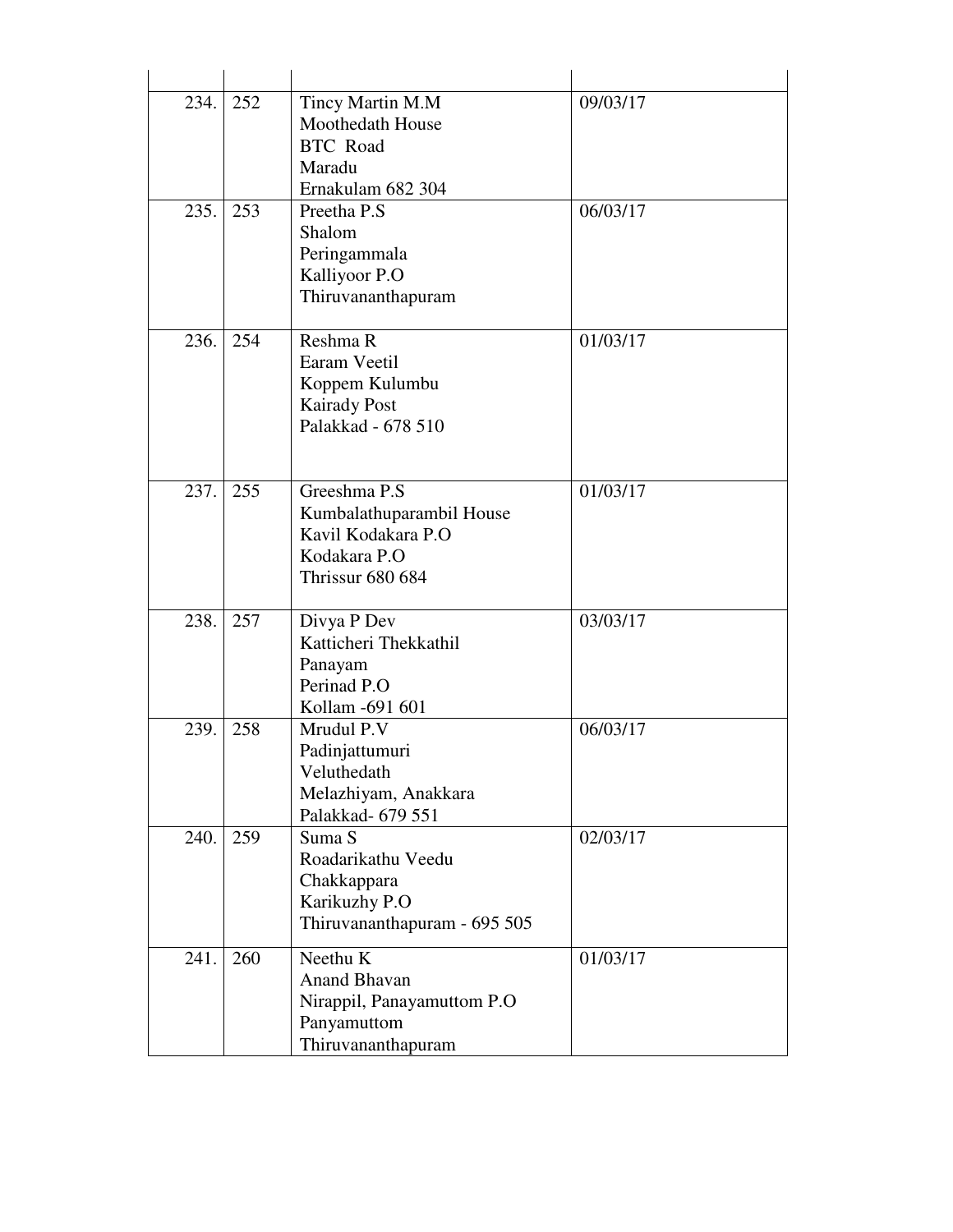| $234.$ 252 |     | Tincy Martin M.M<br><b>Moothedath House</b><br><b>BTC</b> Road<br>Maradu<br>Ernakulam 682 304             | 09/03/17 |
|------------|-----|-----------------------------------------------------------------------------------------------------------|----------|
| 235.       | 253 | Preetha P.S.<br>Shalom<br>Peringammala<br>Kalliyoor P.O<br>Thiruvananthapuram                             | 06/03/17 |
| 236.       | 254 | Reshma R<br>Earam Veetil<br>Koppem Kulumbu<br><b>Kairady Post</b><br>Palakkad - 678 510                   | 01/03/17 |
| 237.       | 255 | Greeshma P.S<br>Kumbalathuparambil House<br>Kavil Kodakara P.O<br>Kodakara P.O<br><b>Thrissur 680 684</b> | 01/03/17 |
| 238.       | 257 | Divya P Dev<br>Katticheri Thekkathil<br>Panayam<br>Perinad P.O<br>Kollam -691 601                         | 03/03/17 |
| 239.       | 258 | Mrudul P.V<br>Padinjattumuri<br>Veluthedath<br>Melazhiyam, Anakkara<br>Palakkad- 679 551                  | 06/03/17 |
| 240.       | 259 | Suma S<br>Roadarikathu Veedu<br>Chakkappara<br>Karikuzhy P.O<br>Thiruvananthapuram - 695 505              | 02/03/17 |
| 241.       | 260 | Neethu K<br><b>Anand Bhavan</b><br>Nirappil, Panayamuttom P.O.<br>Panyamuttom<br>Thiruvananthapuram       | 01/03/17 |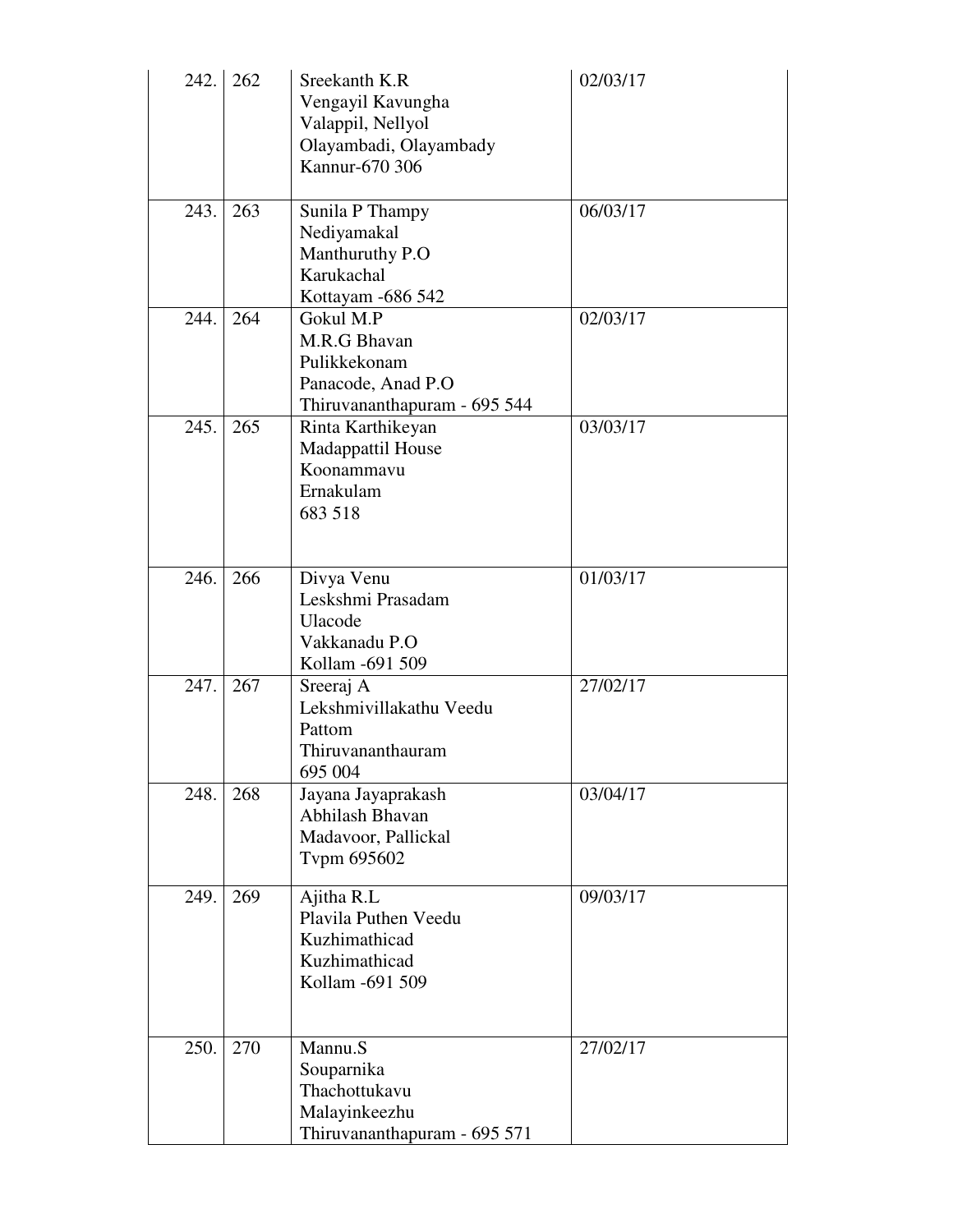| 242. | 262 | Sreekanth K.R<br>Vengayil Kavungha<br>Valappil, Nellyol<br>Olayambadi, Olayambady<br>Kannur-670 306 | 02/03/17 |
|------|-----|-----------------------------------------------------------------------------------------------------|----------|
| 243. | 263 | Sunila P Thampy<br>Nediyamakal<br>Manthuruthy P.O<br>Karukachal<br>Kottayam -686 542                | 06/03/17 |
| 244. | 264 | Gokul M.P<br>M.R.G Bhavan<br>Pulikkekonam<br>Panacode, Anad P.O<br>Thiruvananthapuram - 695 544     | 02/03/17 |
| 245. | 265 | Rinta Karthikeyan<br>Madappattil House<br>Koonammavu<br>Ernakulam<br>683 518                        | 03/03/17 |
| 246. | 266 | Divya Venu<br>Leskshmi Prasadam<br>Ulacode<br>Vakkanadu P.O<br>Kollam -691 509                      | 01/03/17 |
| 247. | 267 | Sreeraj A<br>Lekshmivillakathu Veedu<br>Pattom<br>Thiruvananthauram<br>695 004                      | 27/02/17 |
| 248. | 268 | Jayana Jayaprakash<br>Abhilash Bhavan<br>Madavoor, Pallickal<br>Typm 695602                         | 03/04/17 |
| 249. | 269 | Ajitha R.L<br>Plavila Puthen Veedu<br>Kuzhimathicad<br>Kuzhimathicad<br>Kollam -691 509             | 09/03/17 |
| 250. | 270 | Mannu.S<br>Souparnika<br>Thachottukavu<br>Malayinkeezhu<br>Thiruvananthapuram - 695 571             | 27/02/17 |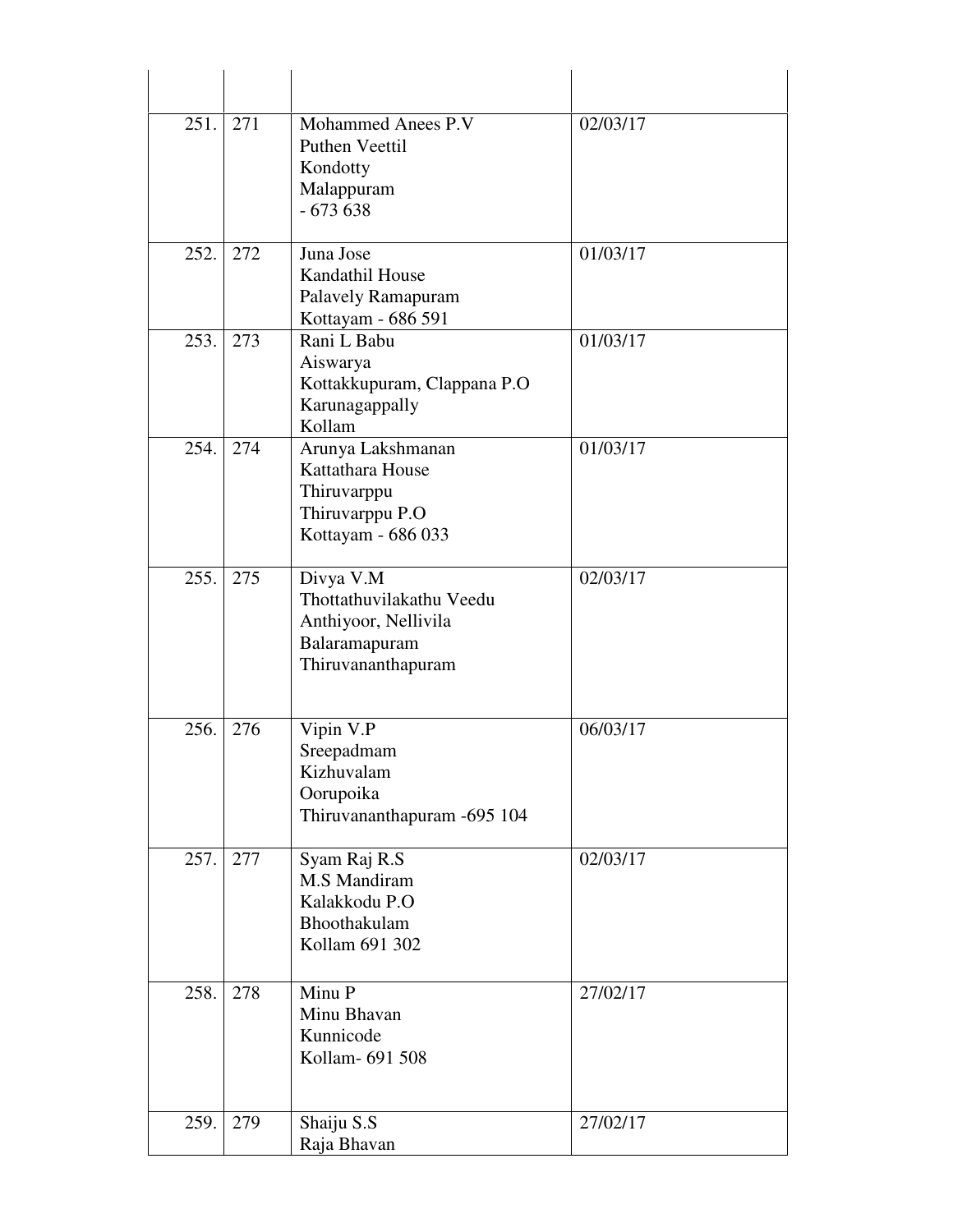| 251. | 271 | Mohammed Anees P.V<br>Puthen Veettil<br>Kondotty<br>Malappuram<br>$-673638$                          | 02/03/17 |
|------|-----|------------------------------------------------------------------------------------------------------|----------|
| 252. | 272 | Juna Jose<br>Kandathil House<br>Palavely Ramapuram<br>Kottayam - 686 591                             | 01/03/17 |
| 253. | 273 | Rani L Babu<br>Aiswarya<br>Kottakkupuram, Clappana P.O<br>Karunagappally<br>Kollam                   | 01/03/17 |
| 254. | 274 | Arunya Lakshmanan<br>Kattathara House<br>Thiruvarppu<br>Thiruvarppu P.O<br>Kottayam - 686 033        | 01/03/17 |
| 255. | 275 | Divya V.M<br>Thottathuvilakathu Veedu<br>Anthiyoor, Nellivila<br>Balaramapuram<br>Thiruvananthapuram | 02/03/17 |
| 256. | 276 | Vipin V.P<br>Sreepadmam<br>Kizhuvalam<br>Oorupoika<br>Thiruvananthapuram -695 104                    | 06/03/17 |
| 257. | 277 | Syam Raj R.S<br>M.S Mandiram<br>Kalakkodu P.O<br>Bhoothakulam<br>Kollam 691 302                      | 02/03/17 |
| 258. | 278 | Minu $\overline{P}$<br>Minu Bhavan<br>Kunnicode<br>Kollam- 691 508                                   | 27/02/17 |
| 259. | 279 | Shaiju S.S<br>Raja Bhavan                                                                            | 27/02/17 |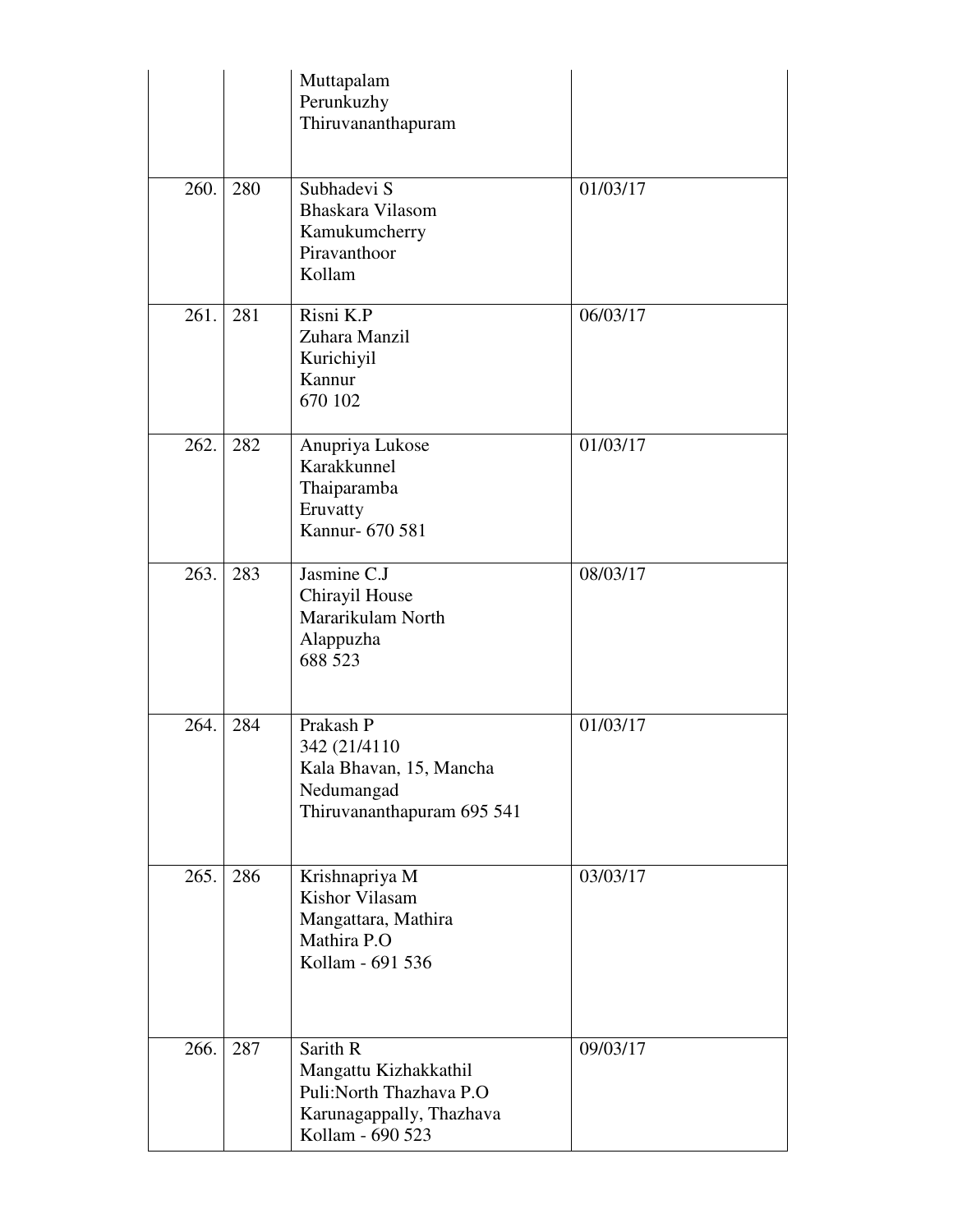|      |     | Muttapalam<br>Perunkuzhy<br>Thiruvananthapuram                                                               |          |
|------|-----|--------------------------------------------------------------------------------------------------------------|----------|
| 260. | 280 | Subhadevi S<br>Bhaskara Vilasom<br>Kamukumcherry<br>Piravanthoor<br>Kollam                                   | 01/03/17 |
| 261. | 281 | Risni K.P<br>Zuhara Manzil<br>Kurichiyil<br>Kannur<br>670 102                                                | 06/03/17 |
| 262. | 282 | Anupriya Lukose<br>Karakkunnel<br>Thaiparamba<br>Eruvatty<br>Kannur- 670 581                                 | 01/03/17 |
| 263. | 283 | Jasmine C.J<br>Chirayil House<br>Mararikulam North<br>Alappuzha<br>688 523                                   | 08/03/17 |
| 264. | 284 | Prakash P<br>342 (21/4110)<br>Kala Bhavan, 15, Mancha<br>Nedumangad<br>Thiruvananthapuram 695 541            | 01/03/17 |
| 265. | 286 | Krishnapriya M<br>Kishor Vilasam<br>Mangattara, Mathira<br>Mathira P.O<br>Kollam - 691 536                   | 03/03/17 |
| 266. | 287 | Sarith R<br>Mangattu Kizhakkathil<br>Puli:North Thazhava P.O<br>Karunagappally, Thazhava<br>Kollam - 690 523 | 09/03/17 |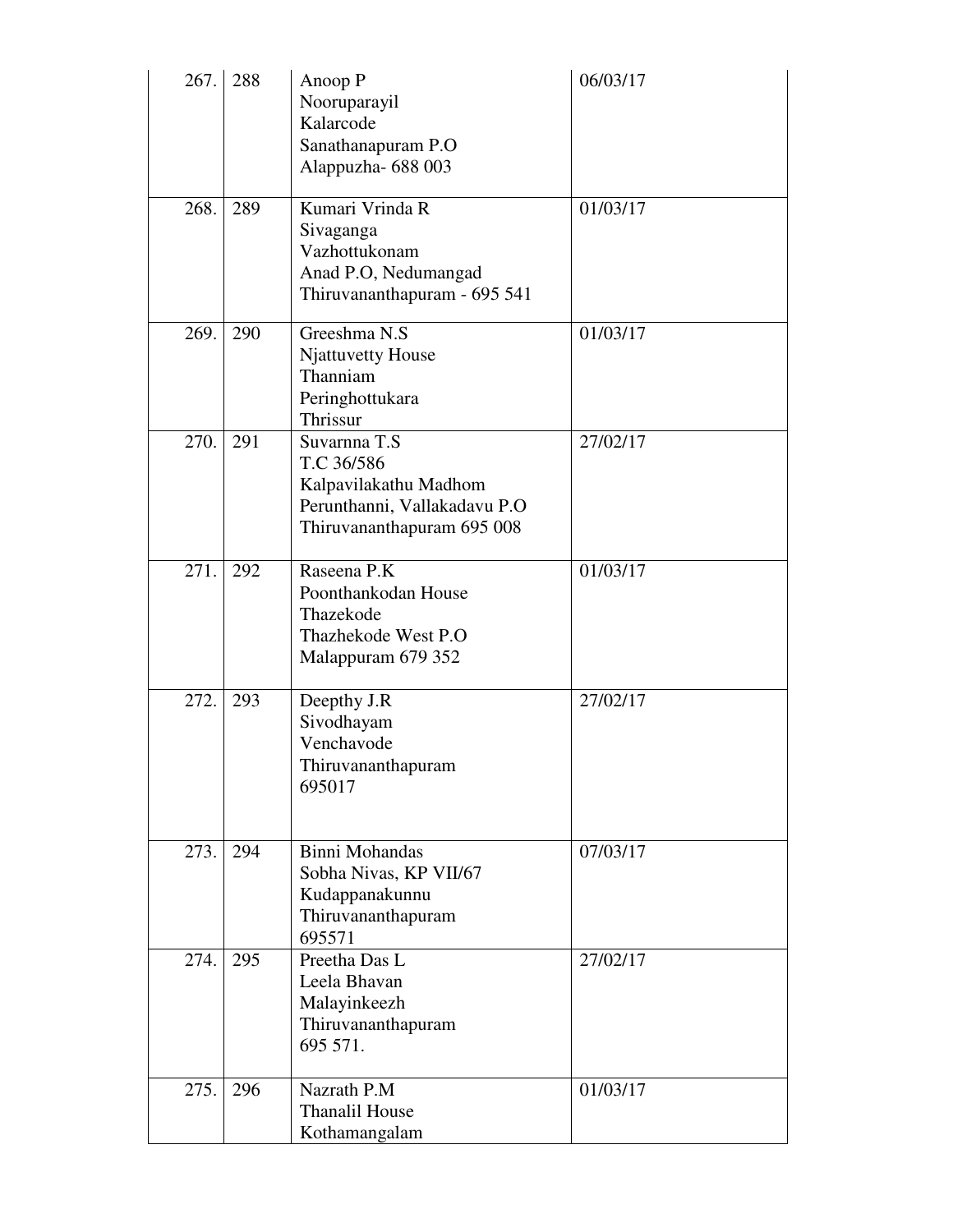| 267. | 288 | Anoop P<br>Nooruparayil<br>Kalarcode<br>Sanathanapuram P.O<br>Alappuzha- 688 003                                  | 06/03/17 |
|------|-----|-------------------------------------------------------------------------------------------------------------------|----------|
| 268. | 289 | Kumari Vrinda R<br>Sivaganga<br>Vazhottukonam<br>Anad P.O, Nedumangad<br>Thiruvananthapuram - 695 541             | 01/03/17 |
| 269. | 290 | Greeshma N.S<br><b>Njattuvetty House</b><br>Thanniam<br>Peringhottukara<br>Thrissur                               | 01/03/17 |
| 270. | 291 | Suvarnna T.S<br>T.C 36/586<br>Kalpavilakathu Madhom<br>Perunthanni, Vallakadavu P.O<br>Thiruvananthapuram 695 008 | 27/02/17 |
| 271. | 292 | Raseena P.K<br>Poonthankodan House<br>Thazekode<br>Thazhekode West P.O<br>Malappuram 679 352                      | 01/03/17 |
| 272. | 293 | Deepthy J.R<br>Sivodhayam<br>Venchavode<br>Thiruvananthapuram<br>695017                                           | 27/02/17 |
| 273. | 294 | Binni Mohandas<br>Sobha Nivas, KP VII/67<br>Kudappanakunnu<br>Thiruvananthapuram<br>695571                        | 07/03/17 |
| 274. | 295 | Preetha Das $\overline{L}$<br>Leela Bhavan<br>Malayinkeezh<br>Thiruvananthapuram<br>695 571.                      | 27/02/17 |
| 275. | 296 | Nazrath P.M<br><b>Thanalil House</b><br>Kothamangalam                                                             | 01/03/17 |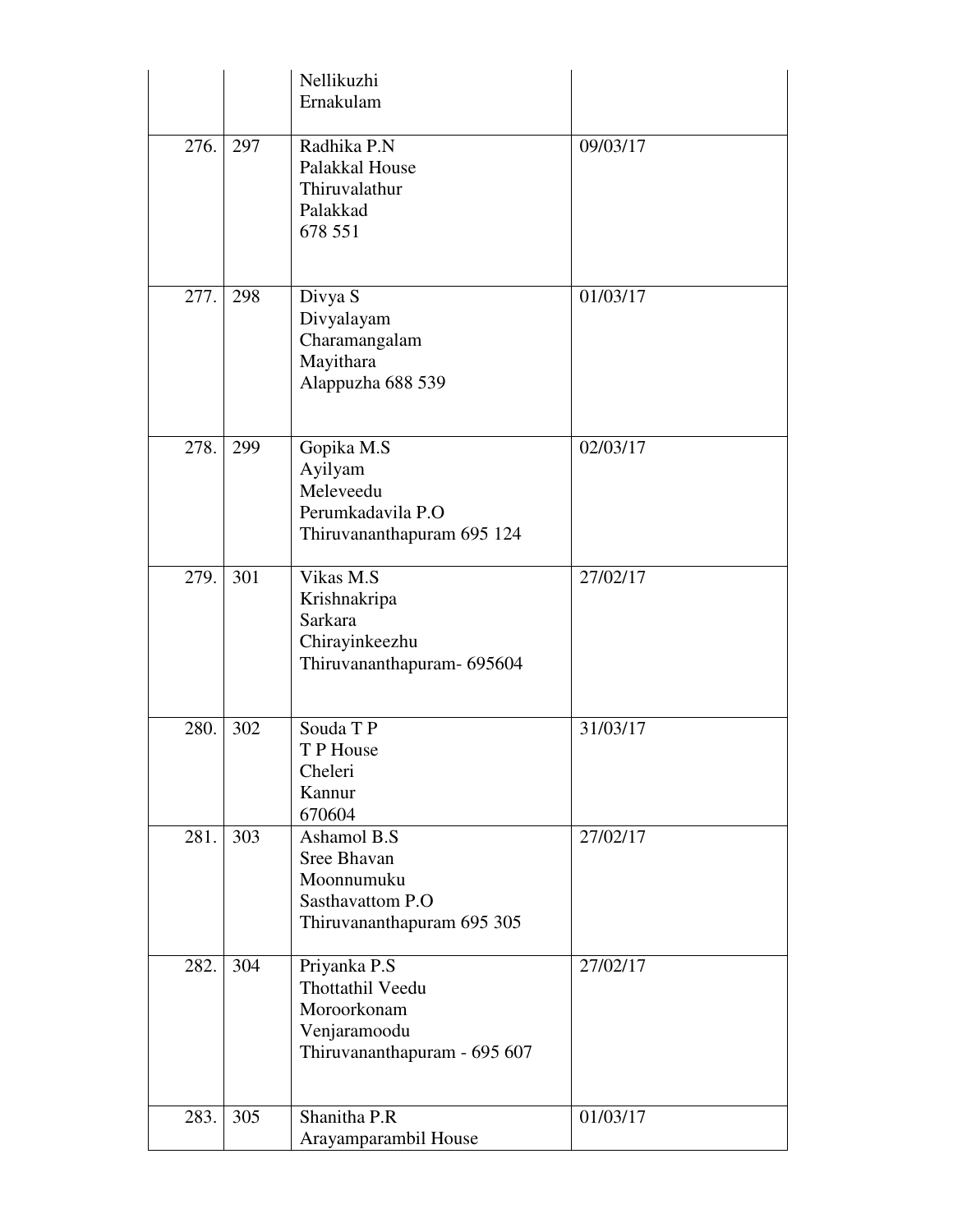|      |     | Nellikuzhi<br>Ernakulam                                                                         |          |
|------|-----|-------------------------------------------------------------------------------------------------|----------|
| 276. | 297 | Radhika P.N<br>Palakkal House<br>Thiruvalathur<br>Palakkad<br>678 551                           | 09/03/17 |
| 277. | 298 | Divya S<br>Divyalayam<br>Charamangalam<br>Mayithara<br>Alappuzha 688 539                        | 01/03/17 |
| 278. | 299 | Gopika M.S<br>Ayilyam<br>Meleveedu<br>Perumkadavila P.O<br>Thiruvananthapuram 695 124           | 02/03/17 |
| 279. | 301 | Vikas M.S<br>Krishnakripa<br><b>Sarkara</b><br>Chirayinkeezhu<br>Thiruvananthapuram- 695604     | 27/02/17 |
| 280. | 302 | Souda T P<br>T P House<br>Cheleri<br>Kannur<br>670604                                           | 31/03/17 |
| 281. | 303 | Ashamol B.S<br>Sree Bhavan<br>Moonnumuku<br>Sasthavattom P.O<br>Thiruvananthapuram 695 305      | 27/02/17 |
| 282. | 304 | Priyanka P.S<br>Thottathil Veedu<br>Moroorkonam<br>Venjaramoodu<br>Thiruvananthapuram - 695 607 | 27/02/17 |
| 283. | 305 | Shanitha P.R<br>Arayamparambil House                                                            | 01/03/17 |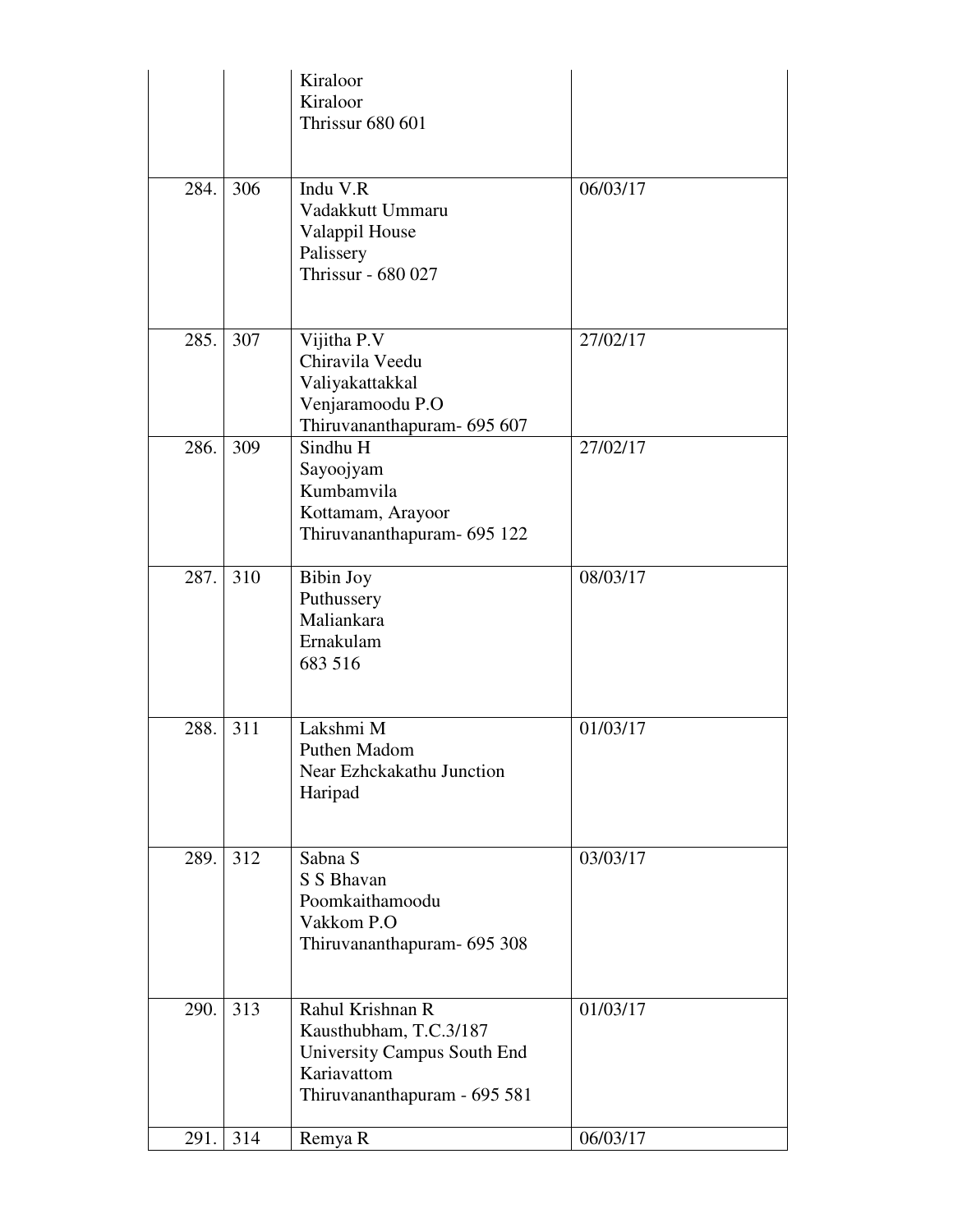|      |     | Kiraloor<br>Kiraloor<br><b>Thrissur 680 601</b>                                                                          |          |
|------|-----|--------------------------------------------------------------------------------------------------------------------------|----------|
| 284. | 306 | Indu V.R<br>Vadakkutt Ummaru<br>Valappil House<br>Palissery<br>Thrissur - 680 027                                        | 06/03/17 |
| 285. | 307 | Vijitha P.V<br>Chiravila Veedu<br>Valiyakattakkal<br>Venjaramoodu P.O<br>Thiruvananthapuram- 695 607                     | 27/02/17 |
| 286. | 309 | Sindhu H<br>Sayoojyam<br>Kumbamvila<br>Kottamam, Arayoor<br>Thiruvananthapuram- 695 122                                  | 27/02/17 |
| 287. | 310 | <b>Bibin Joy</b><br>Puthussery<br>Maliankara<br>Ernakulam<br>683 516                                                     | 08/03/17 |
| 288. | 311 | Lakshmi M<br>Puthen Madom<br>Near Ezhckakathu Junction<br>Haripad                                                        | 01/03/17 |
| 289. | 312 | Sabna S<br>S S Bhavan<br>Poomkaithamoodu<br>Vakkom P.O<br>Thiruvananthapuram- 695 308                                    | 03/03/17 |
| 290. | 313 | Rahul Krishnan R<br>Kausthubham, T.C.3/187<br>University Campus South End<br>Kariavattom<br>Thiruvananthapuram - 695 581 | 01/03/17 |
| 291. | 314 | Remya R                                                                                                                  | 06/03/17 |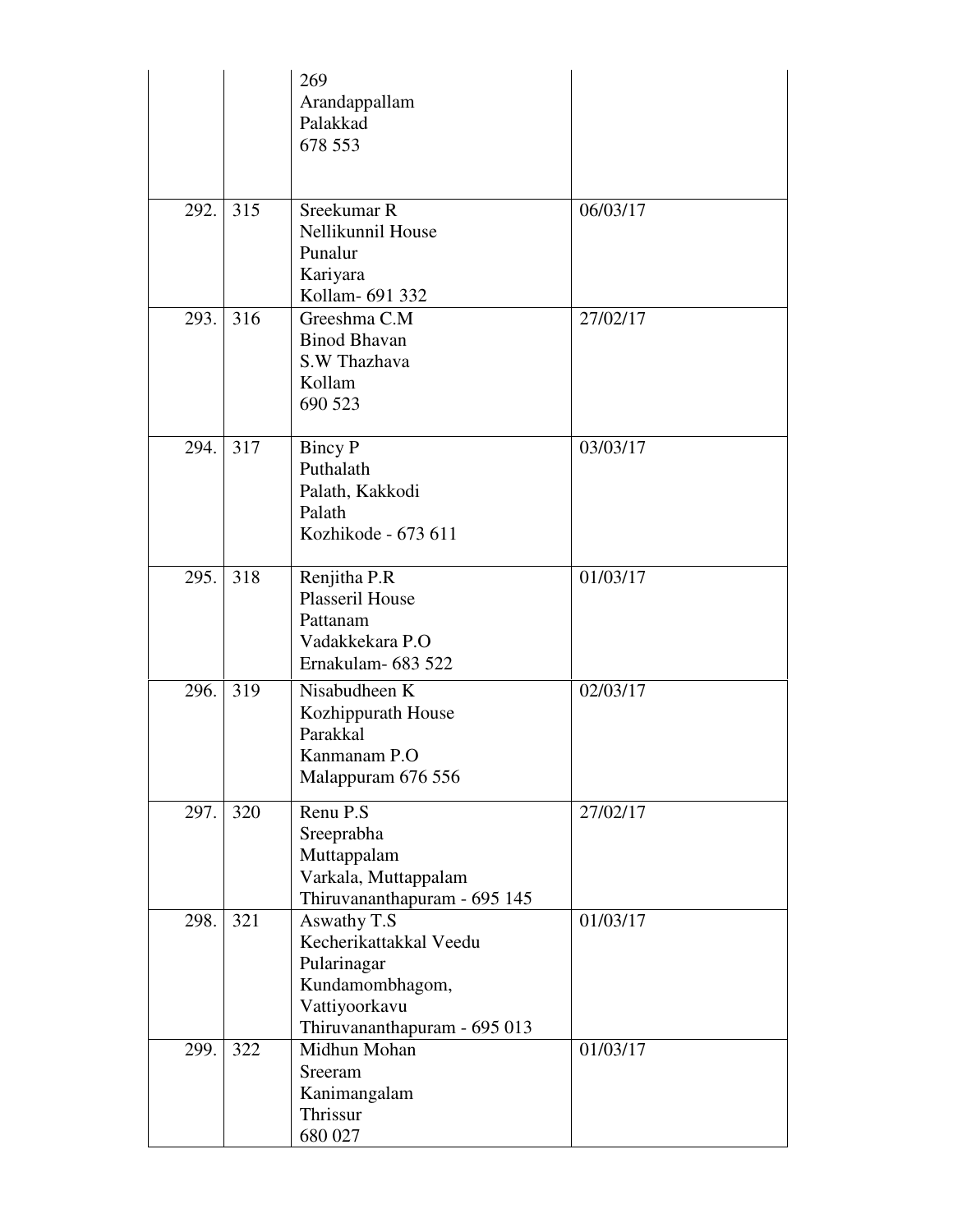|      |     | 269<br>Arandappallam<br>Palakkad<br>678 553                                                                              |          |
|------|-----|--------------------------------------------------------------------------------------------------------------------------|----------|
| 292. | 315 | Sreekumar R<br>Nellikunnil House<br>Punalur<br>Kariyara<br>Kollam- 691 332                                               | 06/03/17 |
| 293. | 316 | Greeshma C.M<br><b>Binod Bhavan</b><br>S.W Thazhava<br>Kollam<br>690 523                                                 | 27/02/17 |
| 294. | 317 | <b>Bincy P</b><br>Puthalath<br>Palath, Kakkodi<br>Palath<br>Kozhikode - 673 611                                          | 03/03/17 |
| 295. | 318 | Renjitha P.R<br><b>Plasseril House</b><br>Pattanam<br>Vadakkekara P.O<br>Ernakulam- 683 522                              | 01/03/17 |
| 296. | 319 | Nisabudheen K<br>Kozhippurath House<br>Parakkal<br>Kanmanam P.O<br>Malappuram 676 556                                    | 02/03/17 |
| 297. | 320 | Renu P.S<br>Sreeprabha<br>Muttappalam<br>Varkala, Muttappalam<br>Thiruvananthapuram - 695 145                            | 27/02/17 |
| 298. | 321 | Aswathy T.S<br>Kecherikattakkal Veedu<br>Pularinagar<br>Kundamombhagom,<br>Vattiyoorkavu<br>Thiruvananthapuram - 695 013 | 01/03/17 |
| 299. | 322 | Midhun Mohan<br>Sreeram<br>Kanimangalam<br>Thrissur<br>680 027                                                           | 01/03/17 |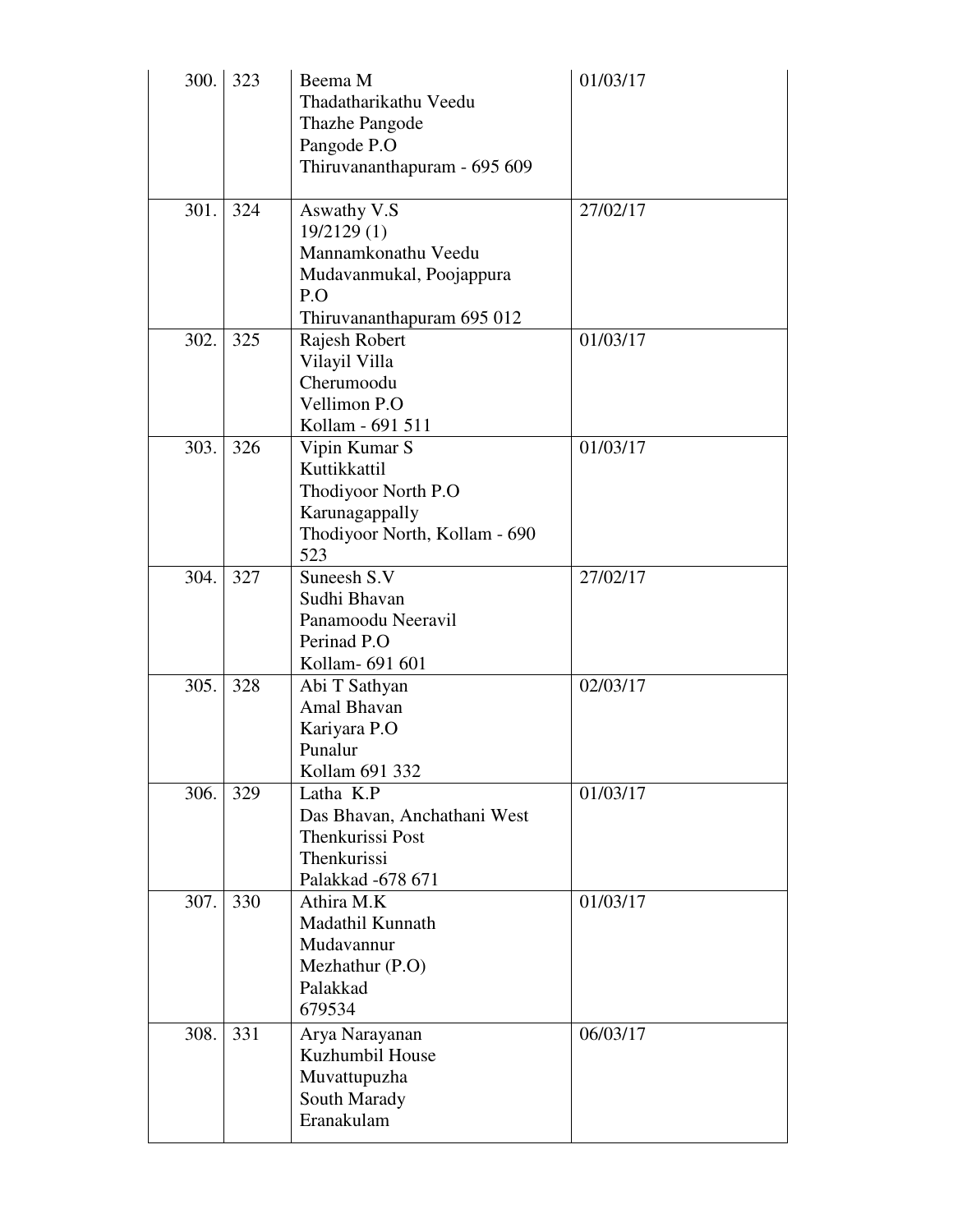| 300. | 323 | Beema M<br>Thadatharikathu Veedu<br>Thazhe Pangode<br>Pangode P.O<br>Thiruvananthapuram - 695 609                  | 01/03/17 |
|------|-----|--------------------------------------------------------------------------------------------------------------------|----------|
| 301. | 324 | Aswathy V.S<br>19/2129 (1)<br>Mannamkonathu Veedu<br>Mudavanmukal, Poojappura<br>P.O<br>Thiruvananthapuram 695 012 | 27/02/17 |
| 302. | 325 | Rajesh Robert<br>Vilayil Villa<br>Cherumoodu<br>Vellimon P.O<br>Kollam - 691 511                                   | 01/03/17 |
| 303. | 326 | Vipin Kumar S<br>Kuttikkattil<br>Thodiyoor North P.O<br>Karunagappally<br>Thodiyoor North, Kollam - 690<br>523     | 01/03/17 |
| 304. | 327 | Suneesh $S.V$<br>Sudhi Bhavan<br>Panamoodu Neeravil<br>Perinad P.O<br>Kollam- 691 601                              | 27/02/17 |
| 305. | 328 | Abi T Sathyan<br>Amal Bhavan<br>Kariyara P.O<br>Punalur<br>Kollam 691 332                                          | 02/03/17 |
| 306. | 329 | Latha K.P<br>Das Bhavan, Anchathani West<br>Thenkurissi Post<br><b>Thenkurissi</b><br>Palakkad -678 671            | 01/03/17 |
| 307. | 330 | Athira M.K<br>Madathil Kunnath<br>Mudavannur<br>Mezhathur (P.O)<br>Palakkad<br>679534                              | 01/03/17 |
| 308. | 331 | Arya Narayanan<br>Kuzhumbil House<br>Muvattupuzha<br>South Marady<br>Eranakulam                                    | 06/03/17 |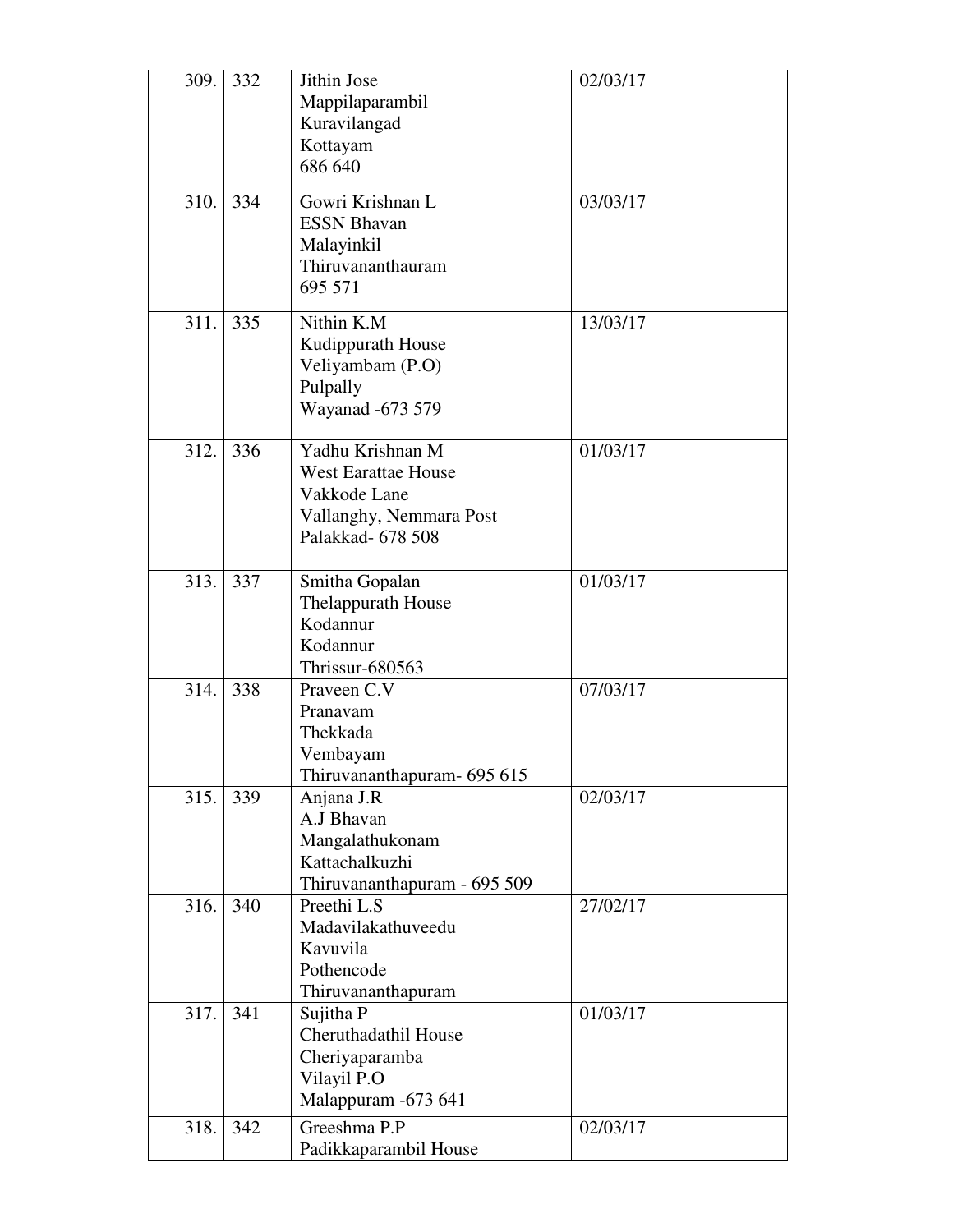| 309. | 332 | Jithin Jose<br>Mappilaparambil<br>Kuravilangad<br>Kottayam<br>686 640                                          | 02/03/17 |
|------|-----|----------------------------------------------------------------------------------------------------------------|----------|
| 310. | 334 | Gowri Krishnan L<br><b>ESSN Bhavan</b><br>Malayinkil<br>Thiruvananthauram<br>695 571                           | 03/03/17 |
| 311. | 335 | Nithin K.M<br>Kudippurath House<br>Veliyambam (P.O)<br>Pulpally<br>Wayanad -673 579                            | 13/03/17 |
| 312. | 336 | Yadhu Krishnan M<br><b>West Earattae House</b><br>Vakkode Lane<br>Vallanghy, Nemmara Post<br>Palakkad- 678 508 | 01/03/17 |
| 313. | 337 | Smitha Gopalan<br>Thelappurath House<br>Kodannur<br>Kodannur<br>Thrissur-680563                                | 01/03/17 |
| 314. | 338 | Praveen C.V<br>Pranavam<br>Thekkada<br>Vembayam<br>Thiruvananthapuram- 695 615                                 | 07/03/17 |
| 315. | 339 | Anjana J.R<br>A.J Bhavan<br>Mangalathukonam<br>Kattachalkuzhi<br>Thiruvananthapuram - 695 509                  | 02/03/17 |
| 316. | 340 | Preethi L.S<br>Madavilakathuveedu<br>Kavuvila<br>Pothencode<br>Thiruvananthapuram                              | 27/02/17 |
| 317. | 341 | Sujitha P<br>Cheruthadathil House<br>Cheriyaparamba<br>Vilayil P.O<br>Malappuram -673 641                      | 01/03/17 |
| 318. | 342 | Greeshma P.P<br>Padikkaparambil House                                                                          | 02/03/17 |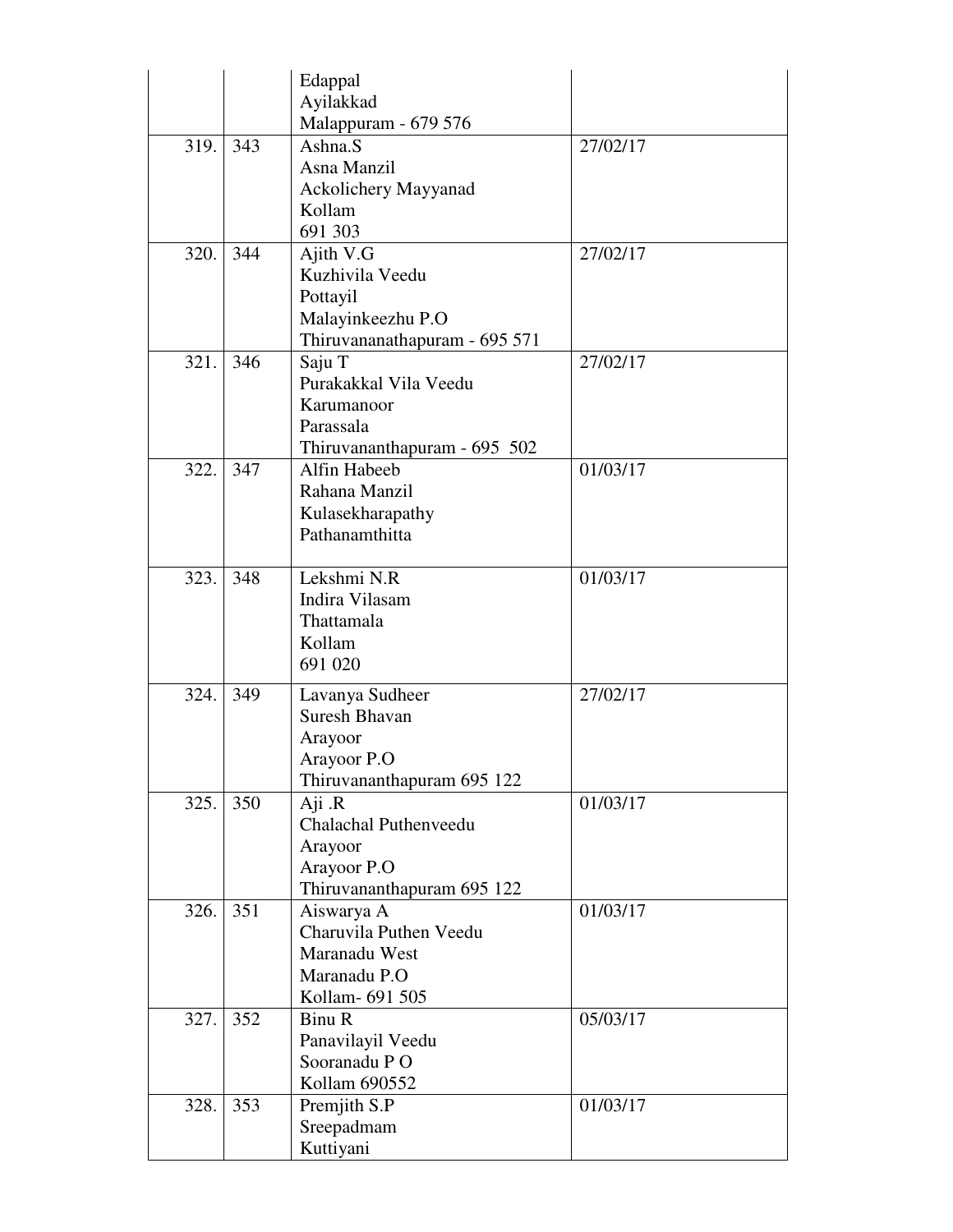|            |     | Edappal<br>Ayilakkad          |          |
|------------|-----|-------------------------------|----------|
|            |     | Malappuram - 679 576          |          |
| 319.   343 |     | Ashna.S                       | 27/02/17 |
|            |     | Asna Manzil                   |          |
|            |     | <b>Ackolichery Mayyanad</b>   |          |
|            |     | Kollam                        |          |
|            |     | 691 303                       |          |
| 320.       | 344 | Ajith V.G                     | 27/02/17 |
|            |     | Kuzhivila Veedu               |          |
|            |     | Pottayil                      |          |
|            |     | Malayinkeezhu P.O             |          |
|            |     | Thiruvananathapuram - 695 571 |          |
| 321.       | 346 | Saju T                        | 27/02/17 |
|            |     | Purakakkal Vila Veedu         |          |
|            |     | Karumanoor                    |          |
|            |     | Parassala                     |          |
|            |     | Thiruvananthapuram - 695 502  |          |
| 322.       | 347 | Alfin Habeeb                  | 01/03/17 |
|            |     | Rahana Manzil                 |          |
|            |     | Kulasekharapathy              |          |
|            |     | Pathanamthitta                |          |
| 323.       | 348 | Lekshmi N.R                   | 01/03/17 |
|            |     | Indira Vilasam                |          |
|            |     | Thattamala                    |          |
|            |     | Kollam                        |          |
|            |     | 691 020                       |          |
| 324.       | 349 | Lavanya Sudheer               | 27/02/17 |
|            |     | <b>Suresh Bhavan</b>          |          |
|            |     | Arayoor                       |          |
|            |     | Arayoor P.O                   |          |
|            |     | Thiruvananthapuram 695 122    |          |
| 325.       | 350 | Aji.R                         | 01/03/17 |
|            |     | Chalachal Puthenveedu         |          |
|            |     | Arayoor                       |          |
|            |     | Arayoor P.O                   |          |
|            |     | Thiruvananthapuram 695 122    |          |
| 326.       | 351 | Aiswarya A                    | 01/03/17 |
|            |     | Charuvila Puthen Veedu        |          |
|            |     | Maranadu West                 |          |
|            |     | Maranadu P.O                  |          |
|            |     | Kollam- 691 505               |          |
| 327.       | 352 | Binu R                        | 05/03/17 |
|            |     | Panavilayil Veedu             |          |
|            |     | Sooranadu PO                  |          |
|            |     | Kollam 690552                 |          |
| 328.       | 353 | Premjith S.P                  | 01/03/17 |
|            |     | Sreepadmam                    |          |
|            |     | Kuttiyani                     |          |